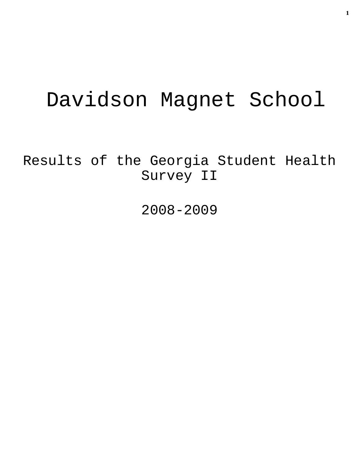# Davidson Magnet School

Results of the Georgia Student Health Survey II

2008-2009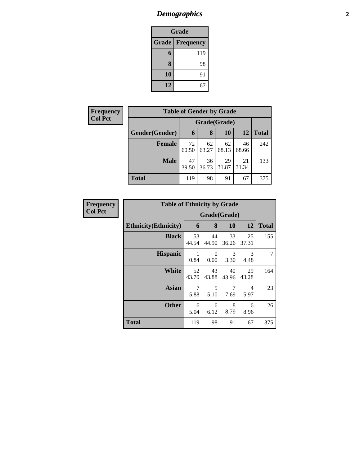## *Demographics* **2**

| <b>Grade</b>                     |     |  |  |  |  |
|----------------------------------|-----|--|--|--|--|
| <b>Grade</b><br><b>Frequency</b> |     |  |  |  |  |
| 6                                | 119 |  |  |  |  |
| 8                                | 98  |  |  |  |  |
| 10                               | 91  |  |  |  |  |
| 12                               | 67  |  |  |  |  |

| <b>Frequency</b> | <b>Table of Gender by Grade</b> |              |             |             |             |              |  |
|------------------|---------------------------------|--------------|-------------|-------------|-------------|--------------|--|
| <b>Col Pct</b>   |                                 | Grade(Grade) |             |             |             |              |  |
|                  | Gender(Gender)                  | 6            | 8           | 10          | 12          | <b>Total</b> |  |
|                  | <b>Female</b>                   | 72<br>60.50  | 62<br>63.27 | 62<br>68.13 | 46<br>68.66 | 242          |  |
|                  | <b>Male</b>                     | 47<br>39.50  | 36<br>36.73 | 29<br>31.87 | 21<br>31.34 | 133          |  |
|                  | <b>Total</b>                    | 119          | 98          | 91          | 67          | 375          |  |

| <b>Frequency</b> | <b>Table of Ethnicity by Grade</b> |             |                  |              |             |              |
|------------------|------------------------------------|-------------|------------------|--------------|-------------|--------------|
| <b>Col Pct</b>   |                                    |             |                  | Grade(Grade) |             |              |
|                  | <b>Ethnicity</b> (Ethnicity)       | 6           | 8                | 10           | 12          | <b>Total</b> |
|                  | <b>Black</b>                       | 53<br>44.54 | 44<br>44.90      | 33<br>36.26  | 25<br>37.31 | 155          |
|                  | <b>Hispanic</b>                    | 1<br>0.84   | $\Omega$<br>0.00 | 3<br>3.30    | 3<br>4.48   | 7            |
|                  | White                              | 52<br>43.70 | 43<br>43.88      | 40<br>43.96  | 29<br>43.28 | 164          |
|                  | <b>Asian</b>                       | 7<br>5.88   | 5<br>5.10        | 7<br>7.69    | 4<br>5.97   | 23           |
|                  | <b>Other</b>                       | 6<br>5.04   | 6<br>6.12        | 8<br>8.79    | 6<br>8.96   | 26           |
|                  | <b>Total</b>                       | 119         | 98               | 91           | 67          | 375          |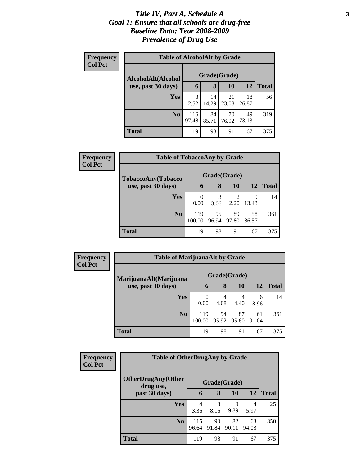### *Title IV, Part A, Schedule A* **3** *Goal 1: Ensure that all schools are drug-free Baseline Data: Year 2008-2009 Prevalence of Drug Use*

| Frequency<br><b>Col Pct</b> | <b>Table of AlcoholAlt by Grade</b> |              |             |             |             |              |  |  |  |
|-----------------------------|-------------------------------------|--------------|-------------|-------------|-------------|--------------|--|--|--|
|                             | AlcoholAlt(Alcohol                  | Grade(Grade) |             |             |             |              |  |  |  |
|                             | use, past 30 days)                  | 6            | 8           | 10          | 12          | <b>Total</b> |  |  |  |
|                             | <b>Yes</b>                          | 3<br>2.52    | 14<br>14.29 | 21<br>23.08 | 18<br>26.87 | 56           |  |  |  |
|                             | N <sub>0</sub>                      | 116<br>97.48 | 84<br>85.71 | 70<br>76.92 | 49<br>73.13 | 319          |  |  |  |
|                             | <b>Total</b>                        | 119          | 98          | 91          | 67          | 375          |  |  |  |

| <b>Frequency</b> | <b>Table of TobaccoAny by Grade</b> |               |              |                        |             |              |
|------------------|-------------------------------------|---------------|--------------|------------------------|-------------|--------------|
| <b>Col Pct</b>   | TobaccoAny(Tobacco                  |               | Grade(Grade) |                        |             |              |
|                  | use, past 30 days)                  | 6             | 8            | 10                     | 12          | <b>Total</b> |
|                  | <b>Yes</b>                          | 0<br>0.00     | 3<br>3.06    | $\overline{2}$<br>2.20 | 9<br>13.43  | 14           |
|                  | N <sub>0</sub>                      | 119<br>100.00 | 95<br>96.94  | 89<br>97.80            | 58<br>86.57 | 361          |
|                  | <b>Total</b>                        | 119           | 98           | 91                     | 67          | 375          |

| Frequency      |                                              | <b>Table of MarijuanaAlt by Grade</b> |             |             |             |              |  |
|----------------|----------------------------------------------|---------------------------------------|-------------|-------------|-------------|--------------|--|
| <b>Col Pct</b> | MarijuanaAlt(Marijuana<br>use, past 30 days) | Grade(Grade)                          |             |             |             |              |  |
|                |                                              | 6                                     | 8           | 10          | 12          | <b>Total</b> |  |
|                | Yes                                          | 0<br>0.00                             | 4<br>4.08   | 4<br>4.40   | 6<br>8.96   | 14           |  |
|                | N <sub>0</sub>                               | 119<br>100.00                         | 94<br>95.92 | 87<br>95.60 | 61<br>91.04 | 361          |  |
|                | <b>Total</b>                                 | 119                                   | 98          | 91          | 67          | 375          |  |

| <b>Frequency</b> | <b>Table of OtherDrugAny by Grade</b> |              |              |             |             |              |
|------------------|---------------------------------------|--------------|--------------|-------------|-------------|--------------|
| <b>Col Pct</b>   | OtherDrugAny(Other<br>drug use,       |              | Grade(Grade) |             |             |              |
|                  | past 30 days)                         | 6            | 8            | 10          | 12          | <b>Total</b> |
|                  | <b>Yes</b>                            | 4<br>3.36    | 8<br>8.16    | 9<br>9.89   | 4<br>5.97   | 25           |
|                  | N <sub>0</sub>                        | 115<br>96.64 | 90<br>91.84  | 82<br>90.11 | 63<br>94.03 | 350          |
|                  | <b>Total</b>                          | 119          | 98           | 91          | 67          | 375          |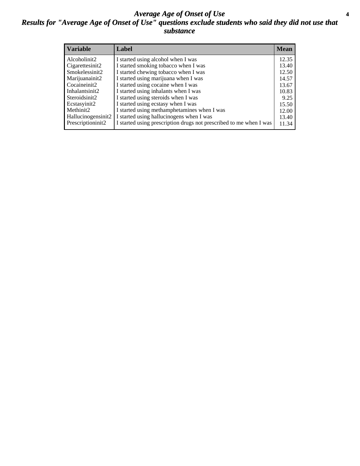### *Average Age of Onset of Use* **4** *Results for "Average Age of Onset of Use" questions exclude students who said they did not use that substance*

| <b>Variable</b>    | Label                                                              | <b>Mean</b> |
|--------------------|--------------------------------------------------------------------|-------------|
| Alcoholinit2       | I started using alcohol when I was                                 | 12.35       |
| Cigarettesinit2    | I started smoking tobacco when I was                               | 13.40       |
| Smokelessinit2     | I started chewing tobacco when I was                               | 12.50       |
| Marijuanainit2     | I started using marijuana when I was                               | 14.57       |
| Cocaineinit2       | I started using cocaine when I was                                 | 13.67       |
| Inhalantsinit2     | I started using inhalants when I was                               | 10.83       |
| Steroidsinit2      | I started using steroids when I was                                | 9.25        |
| Ecstasyinit2       | I started using ecstasy when I was                                 | 15.50       |
| Methinit2          | I started using methamphetamines when I was                        | 12.00       |
| Hallucinogensinit2 | I started using hallucinogens when I was                           | 13.40       |
| Prescriptioninit2  | I started using prescription drugs not prescribed to me when I was | 11.34       |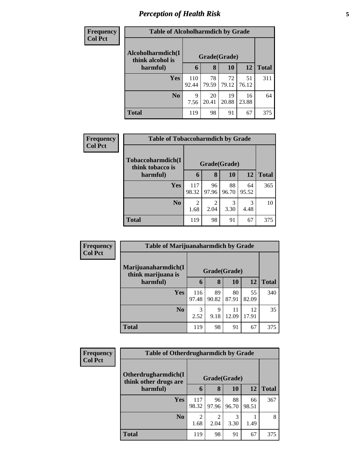# *Perception of Health Risk* **5**

| <b>Frequency</b> | <b>Table of Alcoholharmdich by Grade</b> |              |              |             |             |              |  |  |
|------------------|------------------------------------------|--------------|--------------|-------------|-------------|--------------|--|--|
| <b>Col Pct</b>   | Alcoholharmdich(I<br>think alcohol is    |              | Grade(Grade) |             |             |              |  |  |
|                  | harmful)                                 | 6            | 8            | 10          | 12          | <b>Total</b> |  |  |
|                  | <b>Yes</b>                               | 110<br>92.44 | 78<br>79.59  | 72<br>79.12 | 51<br>76.12 | 311          |  |  |
|                  | N <sub>0</sub>                           | 9<br>7.56    | 20<br>20.41  | 19<br>20.88 | 16<br>23.88 | 64           |  |  |
|                  | <b>Total</b>                             | 119          | 98           | 91          | 67          | 375          |  |  |

| Frequency      | <b>Table of Tobaccoharmdich by Grade</b> |              |             |             |             |              |  |  |
|----------------|------------------------------------------|--------------|-------------|-------------|-------------|--------------|--|--|
| <b>Col Pct</b> | Tobaccoharmdich(I<br>think tobacco is    | Grade(Grade) |             |             |             |              |  |  |
|                | harmful)                                 | 6            | 8           | 10          | 12          | <b>Total</b> |  |  |
|                | <b>Yes</b>                               | 117<br>98.32 | 96<br>97.96 | 88<br>96.70 | 64<br>95.52 | 365          |  |  |
|                | N <sub>0</sub>                           | 2<br>1.68    | 2.04        | 3<br>3.30   | 3<br>4.48   | 10           |  |  |
|                | <b>Total</b>                             | 119          | 98          | 91          | 67          | 375          |  |  |

| Frequency      | <b>Table of Marijuanaharmdich by Grade</b> |              |              |             |             |              |
|----------------|--------------------------------------------|--------------|--------------|-------------|-------------|--------------|
| <b>Col Pct</b> | Marijuanaharmdich(I<br>think marijuana is  |              | Grade(Grade) |             |             |              |
|                | harmful)                                   | 6            | 8            | 10          | 12          | <b>Total</b> |
|                | <b>Yes</b>                                 | 116<br>97.48 | 89<br>90.82  | 80<br>87.91 | 55<br>82.09 | 340          |
|                | N <sub>0</sub>                             | 3<br>2.52    | 9<br>9.18    | 11<br>12.09 | 12<br>17.91 | 35           |
|                | <b>Total</b>                               | 119          | 98           | 91          | 67          | 375          |

| <b>Frequency</b> | <b>Table of Otherdrugharmdich by Grade</b>   |              |              |             |             |              |
|------------------|----------------------------------------------|--------------|--------------|-------------|-------------|--------------|
| <b>Col Pct</b>   | Otherdrugharmdich(I<br>think other drugs are |              | Grade(Grade) |             |             |              |
|                  | harmful)                                     | 6            | 8            | 10          | <b>12</b>   | <b>Total</b> |
|                  | <b>Yes</b>                                   | 117<br>98.32 | 96<br>97.96  | 88<br>96.70 | 66<br>98.51 | 367          |
|                  | N <sub>o</sub>                               | 2<br>1.68    | 2.04         | 3<br>3.30   | 1.49        | 8            |
|                  | <b>Total</b>                                 | 119          | 98           | 91          | 67          | 375          |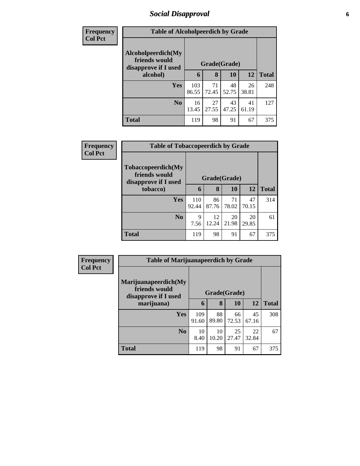## *Social Disapproval* **6**

| <b>Frequency</b> | <b>Table of Alcoholpeerdich by Grade</b> |       |              |           |       |              |  |
|------------------|------------------------------------------|-------|--------------|-----------|-------|--------------|--|
| <b>Col Pct</b>   |                                          |       |              |           |       |              |  |
|                  | Alcoholpeerdich(My<br>friends would      |       |              |           |       |              |  |
|                  | disapprove if I used                     |       | Grade(Grade) |           |       |              |  |
|                  | alcohol)                                 | 6     | 8            | <b>10</b> | 12    | <b>Total</b> |  |
|                  | Yes                                      | 103   | 71           | 48        | 26    | 248          |  |
|                  |                                          | 86.55 | 72.45        | 52.75     | 38.81 |              |  |
|                  | N <sub>0</sub>                           | 16    | 27           | 43        | 41    | 127          |  |
|                  |                                          | 13.45 | 27.55        | 47.25     | 61.19 |              |  |
|                  | <b>Total</b>                             | 119   | 98           | 91        | 67    | 375          |  |

| <b>Frequency</b> | <b>Table of Tobaccopeerdich by Grade</b>                    |              |              |             |             |              |
|------------------|-------------------------------------------------------------|--------------|--------------|-------------|-------------|--------------|
| <b>Col Pct</b>   | Tobaccopeerdich(My<br>friends would<br>disapprove if I used |              | Grade(Grade) |             |             |              |
|                  | tobacco)                                                    | 6            | 8            | 10          | 12          | <b>Total</b> |
|                  | <b>Yes</b>                                                  | 110<br>92.44 | 86<br>87.76  | 71<br>78.02 | 47<br>70.15 | 314          |
|                  | N <sub>o</sub>                                              | 9<br>7.56    | 12<br>12.24  | 20<br>21.98 | 20<br>29.85 | 61           |
|                  | <b>Total</b>                                                | 119          | 98           | 91          | 67          | 375          |

| Frequency      | <b>Table of Marijuanapeerdich by Grade</b>                    |              |             |             |             |              |  |
|----------------|---------------------------------------------------------------|--------------|-------------|-------------|-------------|--------------|--|
| <b>Col Pct</b> | Marijuanapeerdich(My<br>friends would<br>disapprove if I used | Grade(Grade) |             |             |             |              |  |
|                | marijuana)                                                    | 6            | 8           | 10          | <b>12</b>   | <b>Total</b> |  |
|                | <b>Yes</b>                                                    | 109<br>91.60 | 88<br>89.80 | 66<br>72.53 | 45<br>67.16 | 308          |  |
|                | N <sub>0</sub>                                                | 10<br>8.40   | 10<br>10.20 | 25<br>27.47 | 22<br>32.84 | 67           |  |
|                | <b>Total</b>                                                  | 119          | 98          | 91          | 67          | 375          |  |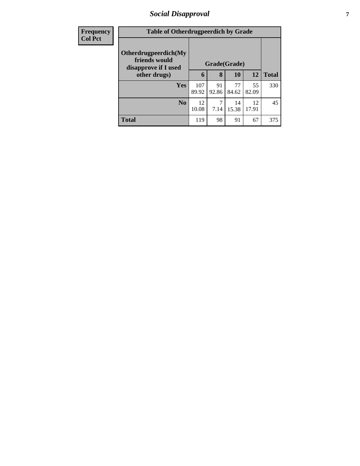## *Social Disapproval* **7**

| <b>Frequency</b> |                                                               | <b>Table of Otherdrugpeerdich by Grade</b> |              |             |             |              |  |
|------------------|---------------------------------------------------------------|--------------------------------------------|--------------|-------------|-------------|--------------|--|
| <b>Col Pct</b>   | Otherdrugpeerdich(My<br>friends would<br>disapprove if I used |                                            | Grade(Grade) |             |             |              |  |
|                  | other drugs)                                                  | 6                                          | 8            | <b>10</b>   | 12          | <b>Total</b> |  |
|                  | Yes                                                           | 107<br>89.92                               | 91<br>92.86  | 77<br>84.62 | 55<br>82.09 | 330          |  |
|                  | N <sub>0</sub>                                                | 12<br>10.08                                | 7.14         | 14<br>15.38 | 12<br>17.91 | 45           |  |
|                  | <b>Total</b>                                                  | 119                                        | 98           | 91          | 67          | 375          |  |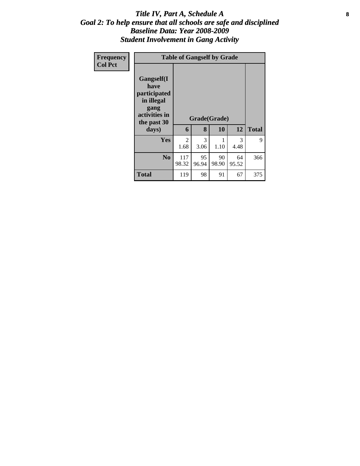### Title IV, Part A, Schedule A **8** *Goal 2: To help ensure that all schools are safe and disciplined Baseline Data: Year 2008-2009 Student Involvement in Gang Activity*

| Frequency<br><b>Col Pct</b> | <b>Table of Gangself by Grade</b>                                                                 |                        |             |                    |             |              |  |  |  |
|-----------------------------|---------------------------------------------------------------------------------------------------|------------------------|-------------|--------------------|-------------|--------------|--|--|--|
|                             | Gangself(I<br>have<br>participated<br>in illegal<br>gang<br>activities in<br>the past 30<br>days) | 6                      | 8           | Grade(Grade)<br>10 | 12          | <b>Total</b> |  |  |  |
|                             | Yes                                                                                               | $\overline{2}$<br>1.68 | 3<br>3.06   | 1.10               | 3<br>4.48   | 9            |  |  |  |
|                             | N <sub>0</sub>                                                                                    | 117<br>98.32           | 95<br>96.94 | 90<br>98.90        | 64<br>95.52 | 366          |  |  |  |
|                             | <b>Total</b>                                                                                      | 119                    | 98          | 91                 | 67          | 375          |  |  |  |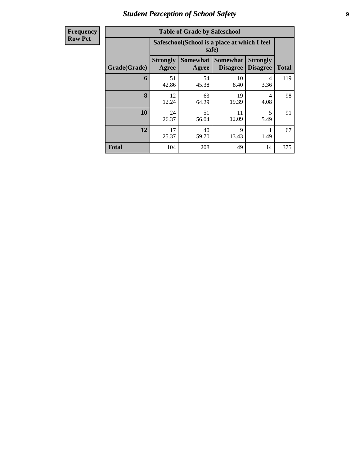# *Student Perception of School Safety* **9**

| <b>Frequency</b> |
|------------------|
| <b>Row Pct</b>   |

| <b>Table of Grade by Safeschool</b> |                          |                                                        |                                    |                                    |              |  |  |  |  |
|-------------------------------------|--------------------------|--------------------------------------------------------|------------------------------------|------------------------------------|--------------|--|--|--|--|
|                                     |                          | Safeschool (School is a place at which I feel<br>safe) |                                    |                                    |              |  |  |  |  |
| Grade(Grade)                        | <b>Strongly</b><br>Agree | <b>Somewhat</b><br>Agree                               | <b>Somewhat</b><br><b>Disagree</b> | <b>Strongly</b><br><b>Disagree</b> | <b>Total</b> |  |  |  |  |
| 6                                   | 51<br>42.86              | 54<br>45.38                                            | 10<br>8.40                         | 4<br>3.36                          | 119          |  |  |  |  |
| 8                                   | 12<br>12.24              | 63<br>64.29                                            | 19<br>19.39                        | 4<br>4.08                          | 98           |  |  |  |  |
| 10                                  | 24<br>26.37              | 51<br>56.04                                            | 11<br>12.09                        | $\overline{\phantom{0}}$<br>5.49   | 91           |  |  |  |  |
| 12                                  | 17<br>25.37              | 40<br>9<br>1.49<br>13.43<br>59.70                      |                                    |                                    |              |  |  |  |  |
| <b>Total</b>                        | 104                      | 208                                                    | 49                                 | 14                                 | 375          |  |  |  |  |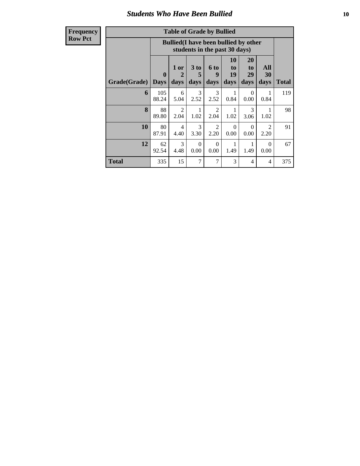### *Students Who Have Been Bullied* **10**

**Frequency Row Pct**

| <b>Table of Grade by Bullied</b> |                             |                                                                               |                              |                        |                        |                        |                        |              |
|----------------------------------|-----------------------------|-------------------------------------------------------------------------------|------------------------------|------------------------|------------------------|------------------------|------------------------|--------------|
|                                  |                             | <b>Bullied</b> (I have been bullied by other<br>students in the past 30 days) |                              |                        |                        |                        |                        |              |
| <b>Grade(Grade)</b>              | $\mathbf{0}$<br><b>Days</b> | 1 or<br>$\mathcal{D}_{\cdot}$<br>days                                         | 3 <sub>to</sub><br>5<br>days | 6 to<br>9<br>days      | 10<br>to<br>19<br>days | 20<br>to<br>29<br>days | All<br>30<br>days      | <b>Total</b> |
| 6                                | 105<br>88.24                | 6<br>5.04                                                                     | 3<br>2.52                    | 3<br>2.52              | 1<br>0.84              | $\Omega$<br>0.00       | 1<br>0.84              | 119          |
| 8                                | 88<br>89.80                 | 2<br>2.04                                                                     | 1<br>1.02                    | $\overline{2}$<br>2.04 | 1<br>1.02              | $\mathcal{R}$<br>3.06  | 1.02                   | 98           |
| 10                               | 80<br>87.91                 | 4<br>4.40                                                                     | 3<br>3.30                    | $\overline{2}$<br>2.20 | $\Omega$<br>0.00       | 0<br>0.00              | $\mathfrak{D}$<br>2.20 | 91           |
| 12                               | 62<br>92.54                 | 3<br>4.48                                                                     | $\Omega$<br>0.00             | $\Omega$<br>0.00       | 1.49                   | 1<br>1.49              | $\Omega$<br>0.00       | 67           |
| <b>Total</b>                     | 335                         | 15                                                                            | 7                            | 7                      | 3                      | 4                      | 4                      | 375          |

 $\blacksquare$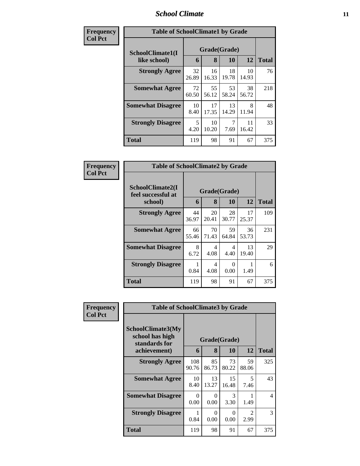### *School Climate* **11**

| Frequency      | <b>Table of SchoolClimate1 by Grade</b> |             |              |             |             |              |  |  |
|----------------|-----------------------------------------|-------------|--------------|-------------|-------------|--------------|--|--|
| <b>Col Pct</b> | SchoolClimate1(I                        |             | Grade(Grade) |             |             |              |  |  |
|                | like school)                            | 6           | 8            | 10          | 12          | <b>Total</b> |  |  |
|                | <b>Strongly Agree</b>                   | 32<br>26.89 | 16<br>16.33  | 18<br>19.78 | 10<br>14.93 | 76           |  |  |
|                | <b>Somewhat Agree</b>                   | 72<br>60.50 | 55<br>56.12  | 53<br>58.24 | 38<br>56.72 | 218          |  |  |
|                | <b>Somewhat Disagree</b>                | 10<br>8.40  | 17<br>17.35  | 13<br>14.29 | 8<br>11.94  | 48           |  |  |
|                | <b>Strongly Disagree</b>                | 5<br>4.20   | 10<br>10.20  | 7<br>7.69   | 11<br>16.42 | 33           |  |  |
|                | <b>Total</b>                            | 119         | 98           | 91          | 67          | 375          |  |  |

| Frequency      | <b>Table of SchoolClimate2 by Grade</b>           |             |                   |                      |             |              |
|----------------|---------------------------------------------------|-------------|-------------------|----------------------|-------------|--------------|
| <b>Col Pct</b> | SchoolClimate2(I<br>feel successful at<br>school) | 6           | Grade(Grade)<br>8 | 10                   | 12          | <b>Total</b> |
|                | <b>Strongly Agree</b>                             | 44<br>36.97 | 20<br>20.41       | 28<br>30.77          | 17<br>25.37 | 109          |
|                | <b>Somewhat Agree</b>                             | 66<br>55.46 | 70<br>71.43       | 59<br>64.84          | 36<br>53.73 | 231          |
|                | <b>Somewhat Disagree</b>                          | 8<br>6.72   | 4<br>4.08         | 4<br>4.40            | 13<br>19.40 | 29           |
|                | <b>Strongly Disagree</b>                          | 0.84        | 4<br>4.08         | $\mathbf{0}$<br>0.00 | 1.49        | 6            |
|                | Total                                             | 119         | 98                | 91                   | 67          | 375          |

| Frequency      | <b>Table of SchoolClimate3 by Grade</b>                               |                  |                  |                    |                                     |              |
|----------------|-----------------------------------------------------------------------|------------------|------------------|--------------------|-------------------------------------|--------------|
| <b>Col Pct</b> | SchoolClimate3(My<br>school has high<br>standards for<br>achievement) | 6                | 8                | Grade(Grade)<br>10 | 12                                  | <b>Total</b> |
|                |                                                                       |                  |                  |                    |                                     |              |
|                | <b>Strongly Agree</b>                                                 | 108<br>90.76     | 85<br>86.73      | 73<br>80.22        | 59<br>88.06                         | 325          |
|                | <b>Somewhat Agree</b>                                                 | 10<br>8.40       | 13<br>13.27      | 15<br>16.48        | 5<br>7.46                           | 43           |
|                | <b>Somewhat Disagree</b>                                              | $\Omega$<br>0.00 | $\Omega$<br>0.00 | 3<br>3.30          | 1.49                                | 4            |
|                | <b>Strongly Disagree</b>                                              | 0.84             | 0<br>0.00        | 0<br>0.00          | $\mathcal{D}_{\mathcal{L}}$<br>2.99 | 3            |
|                | Total                                                                 | 119              | 98               | 91                 | 67                                  | 375          |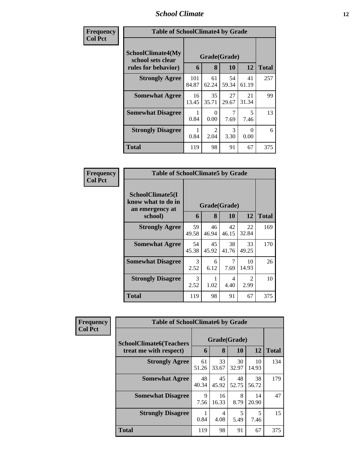### *School Climate* **12**

| Frequency      | <b>Table of SchoolClimate4 by Grade</b>                              |              |                       |                       |                  |              |  |
|----------------|----------------------------------------------------------------------|--------------|-----------------------|-----------------------|------------------|--------------|--|
| <b>Col Pct</b> | <b>SchoolClimate4(My</b><br>school sets clear<br>rules for behavior) | 6            | Grade(Grade)<br>8     | 10                    | 12               | <b>Total</b> |  |
|                | <b>Strongly Agree</b>                                                | 101<br>84.87 | 61<br>62.24           | 54<br>59.34           | 41<br>61.19      | 257          |  |
|                | <b>Somewhat Agree</b>                                                | 16<br>13.45  | 35<br>35.71           | 27<br>29.67           | 21<br>31.34      | 99           |  |
|                | <b>Somewhat Disagree</b>                                             | 0.84         | 0<br>0.00             | 7.69                  | 5<br>7.46        | 13           |  |
|                | <b>Strongly Disagree</b>                                             | 0.84         | $\mathcal{D}$<br>2.04 | $\mathcal{R}$<br>3.30 | $\Omega$<br>0.00 | 6            |  |
|                | <b>Total</b>                                                         | 119          | 98                    | 91                    | 67               | 375          |  |

| Frequency      | <b>Table of SchoolClimate5 by Grade</b>                   |              |             |             |                        |              |
|----------------|-----------------------------------------------------------|--------------|-------------|-------------|------------------------|--------------|
| <b>Col Pct</b> | SchoolClimate5(I<br>know what to do in<br>an emergency at | Grade(Grade) |             |             |                        |              |
|                | school)                                                   | 6            | 8           | 10          | 12                     | <b>Total</b> |
|                | <b>Strongly Agree</b>                                     | 59<br>49.58  | 46<br>46.94 | 42<br>46.15 | 22<br>32.84            | 169          |
|                | <b>Somewhat Agree</b>                                     | 54<br>45.38  | 45<br>45.92 | 38<br>41.76 | 33<br>49.25            | 170          |
|                | <b>Somewhat Disagree</b>                                  | 3<br>2.52    | 6<br>6.12   | 7<br>7.69   | 10<br>14.93            | 26           |
|                | <b>Strongly Disagree</b>                                  | 3<br>2.52    | 1.02        | 4<br>4.40   | $\overline{2}$<br>2.99 | 10           |
|                | Total                                                     | 119          | 98          | 91          | 67                     | 375          |

| Frequency      | <b>Table of SchoolClimate6 by Grade</b>                  |             |             |                    |             |              |  |  |
|----------------|----------------------------------------------------------|-------------|-------------|--------------------|-------------|--------------|--|--|
| <b>Col Pct</b> | <b>SchoolClimate6(Teachers</b><br>treat me with respect) |             | 8           | Grade(Grade)<br>10 | 12          | <b>Total</b> |  |  |
|                | <b>Strongly Agree</b>                                    | 61<br>51.26 | 33<br>33.67 | 30<br>32.97        | 10<br>14.93 | 134          |  |  |
|                | <b>Somewhat Agree</b>                                    | 48<br>40.34 | 45<br>45.92 | 48<br>52.75        | 38<br>56.72 | 179          |  |  |
|                | <b>Somewhat Disagree</b>                                 | 9<br>7.56   | 16<br>16.33 | 8<br>8.79          | 14<br>20.90 | 47           |  |  |
|                | <b>Strongly Disagree</b>                                 | 0.84        | 4<br>4.08   | 5<br>5.49          | 5<br>7.46   | 15           |  |  |
|                | <b>Total</b>                                             | 119         | 98          | 91                 | 67          | 375          |  |  |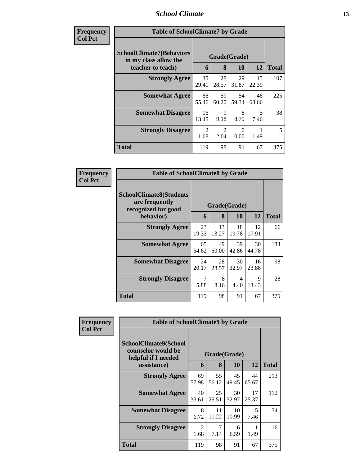### *School Climate* **13**

| <b>Frequency</b> |
|------------------|
| <b>Col Pct</b>   |

| ncy | <b>Table of SchoolClimate7 by Grade</b>                  |                                    |             |             |             |              |  |  |
|-----|----------------------------------------------------------|------------------------------------|-------------|-------------|-------------|--------------|--|--|
|     | <b>SchoolClimate7(Behaviors</b><br>in my class allow the | Grade(Grade)<br>12<br>6<br>8<br>10 |             |             |             | <b>Total</b> |  |  |
|     | teacher to teach)                                        |                                    |             |             |             |              |  |  |
|     | <b>Strongly Agree</b>                                    | 35<br>29.41                        | 28<br>28.57 | 29<br>31.87 | 15<br>22.39 | 107          |  |  |
|     | <b>Somewhat Agree</b>                                    | 66<br>55.46                        | 59<br>60.20 | 54<br>59.34 | 46<br>68.66 | 225          |  |  |
|     | <b>Somewhat Disagree</b>                                 | 16<br>13.45                        | 9<br>9.18   | 8<br>8.79   | 5<br>7.46   | 38           |  |  |
|     | <b>Strongly Disagree</b>                                 | $\overline{2}$<br>1.68             | 2<br>2.04   | 0<br>0.00   | 1.49        | 5            |  |  |
|     | <b>Total</b>                                             | 119                                | 98          | 91          | 67          | 375          |  |  |

| Frequency      | <b>Table of SchoolClimate8 by Grade</b>                                 |             |              |             |             |              |
|----------------|-------------------------------------------------------------------------|-------------|--------------|-------------|-------------|--------------|
| <b>Col Pct</b> | <b>SchoolClimate8(Students</b><br>are frequently<br>recognized for good |             | Grade(Grade) |             |             |              |
|                | behavior)                                                               | 6           | 8            | 10          | 12          | <b>Total</b> |
|                | <b>Strongly Agree</b>                                                   | 23<br>19.33 | 13<br>13.27  | 18<br>19.78 | 12<br>17.91 | 66           |
|                | <b>Somewhat Agree</b>                                                   | 65<br>54.62 | 49<br>50.00  | 39<br>42.86 | 30<br>44.78 | 183          |
|                | <b>Somewhat Disagree</b>                                                | 24<br>20.17 | 28<br>28.57  | 30<br>32.97 | 16<br>23.88 | 98           |
|                | <b>Strongly Disagree</b>                                                | 7<br>5.88   | 8<br>8.16    | 4<br>4.40   | 9<br>13.43  | 28           |
|                | <b>Total</b>                                                            | 119         | 98           | 91          | 67          | 375          |

| Frequency<br><b>Col Pct</b> | <b>Table of SchoolClimate9 by Grade</b>                            |                        |             |             |             |              |
|-----------------------------|--------------------------------------------------------------------|------------------------|-------------|-------------|-------------|--------------|
|                             | SchoolClimate9(School<br>counselor would be<br>helpful if I needed | Grade(Grade)           |             |             |             |              |
|                             | assistance)                                                        | 6                      | 8           | 10          | 12          | <b>Total</b> |
|                             | <b>Strongly Agree</b>                                              | 69<br>57.98            | 55<br>56.12 | 45<br>49.45 | 44<br>65.67 | 213          |
|                             | <b>Somewhat Agree</b>                                              | 40<br>33.61            | 25<br>25.51 | 30<br>32.97 | 17<br>25.37 | 112          |
|                             | <b>Somewhat Disagree</b>                                           | 8<br>6.72              | 11<br>11.22 | 10<br>10.99 | 5<br>7.46   | 34           |
|                             | <b>Strongly Disagree</b>                                           | $\overline{2}$<br>1.68 | 7<br>7.14   | 6<br>6.59   | 1.49        | 16           |
|                             | <b>Total</b>                                                       | 119                    | 98          | 91          | 67          | 375          |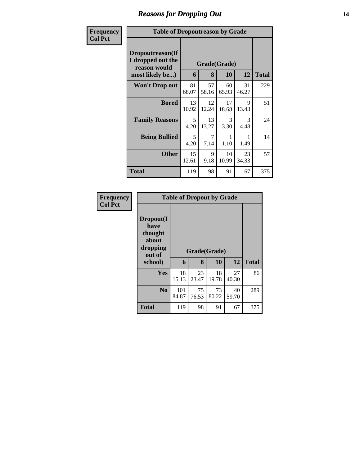# *Reasons for Dropping Out* **14**

| Frequency      | <b>Table of Dropoutreason by Grade</b>                                   |             |             |                    |             |              |  |  |  |
|----------------|--------------------------------------------------------------------------|-------------|-------------|--------------------|-------------|--------------|--|--|--|
| <b>Col Pct</b> | Dropoutreason(If<br>I dropped out the<br>reason would<br>most likely be) | 6           | 8           | Grade(Grade)<br>10 | 12          | <b>Total</b> |  |  |  |
|                | <b>Won't Drop out</b>                                                    | 81<br>68.07 | 57<br>58.16 | 60<br>65.93        | 31<br>46.27 | 229          |  |  |  |
|                | <b>Bored</b>                                                             | 13<br>10.92 | 12<br>12.24 | 17<br>18.68        | 9<br>13.43  | 51           |  |  |  |
|                | <b>Family Reasons</b>                                                    | 5<br>4.20   | 13<br>13.27 | 3<br>3.30          | 3<br>4.48   | 24           |  |  |  |
|                | <b>Being Bullied</b>                                                     | 5<br>4.20   | 7<br>7.14   | 1<br>1.10          | 1.49        | 14           |  |  |  |
|                | <b>Other</b>                                                             | 15<br>12.61 | 9<br>9.18   | 10<br>10.99        | 23<br>34.33 | 57           |  |  |  |
|                | Total                                                                    | 119         | 98          | 91                 | 67          | 375          |  |  |  |

| <b>Frequency</b> | <b>Table of Dropout by Grade</b>                            |              |              |             |             |              |
|------------------|-------------------------------------------------------------|--------------|--------------|-------------|-------------|--------------|
| <b>Col Pct</b>   | Dropout(I<br>have<br>thought<br>about<br>dropping<br>out of |              | Grade(Grade) |             |             |              |
|                  | school)                                                     | 6            | 8            | 10          | 12          | <b>Total</b> |
|                  | Yes                                                         | 18<br>15.13  | 23<br>23.47  | 18<br>19.78 | 27<br>40.30 | 86           |
|                  | N <sub>0</sub>                                              | 101<br>84.87 | 75<br>76.53  | 73<br>80.22 | 40<br>59.70 | 289          |
|                  | <b>Total</b>                                                | 119          | 98           | 91          | 67          | 375          |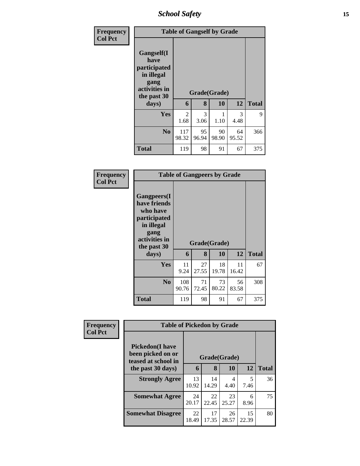*School Safety* **15**

| <b>Frequency</b> | <b>Table of Gangself by Grade</b>                                                        |              |       |       |       |              |  |  |
|------------------|------------------------------------------------------------------------------------------|--------------|-------|-------|-------|--------------|--|--|
| <b>Col Pct</b>   | Gangself(I<br>have<br>participated<br>in illegal<br>gang<br>activities in<br>the past 30 | Grade(Grade) |       |       |       |              |  |  |
|                  | days)                                                                                    | 6            | 8     | 10    | 12    | <b>Total</b> |  |  |
|                  | Yes                                                                                      | 2            | 3     | 1     | 3     | 9            |  |  |
|                  |                                                                                          | 1.68         | 3.06  | 1.10  | 4.48  |              |  |  |
|                  | N <sub>0</sub>                                                                           | 117          | 95    | 90    | 64    | 366          |  |  |
|                  |                                                                                          | 98.32        | 96.94 | 98.90 | 95.52 |              |  |  |
|                  | <b>Total</b>                                                                             | 119          | 98    | 91    | 67    | 375          |  |  |

| <b>Frequency</b> |
|------------------|
| <b>Col Pct</b>   |

| <b>Table of Gangpeers by Grade</b>                                                                                    |              |             |              |             |              |  |  |  |  |
|-----------------------------------------------------------------------------------------------------------------------|--------------|-------------|--------------|-------------|--------------|--|--|--|--|
| <b>Gangpeers</b> (I<br>have friends<br>who have<br>participated<br>in illegal<br>gang<br>activities in<br>the past 30 |              |             | Grade(Grade) |             |              |  |  |  |  |
| days)                                                                                                                 | 6            | 8           | 10           | 12          | <b>Total</b> |  |  |  |  |
| Yes                                                                                                                   | 11<br>9.24   | 27<br>27.55 | 18<br>19.78  | 11<br>16.42 | 67           |  |  |  |  |
| N <sub>0</sub>                                                                                                        | 108<br>90.76 | 71<br>72.45 | 73<br>80.22  | 56<br>83.58 | 308          |  |  |  |  |
| Total                                                                                                                 |              |             |              |             |              |  |  |  |  |

| Frequency      | <b>Table of Pickedon by Grade</b>                                   |             |              |             |             |              |  |
|----------------|---------------------------------------------------------------------|-------------|--------------|-------------|-------------|--------------|--|
| <b>Col Pct</b> | <b>Pickedon</b> (I have<br>been picked on or<br>teased at school in |             | Grade(Grade) |             |             |              |  |
|                | the past 30 days)                                                   | 6           | 8            | 10          | 12          | <b>Total</b> |  |
|                | <b>Strongly Agree</b>                                               | 13<br>10.92 | 14<br>14.29  | 4<br>4.40   | 5<br>7.46   | 36           |  |
|                | <b>Somewhat Agree</b>                                               | 24<br>20.17 | 22<br>22.45  | 23<br>25.27 | 6<br>8.96   | 75           |  |
|                | <b>Somewhat Disagree</b>                                            | 22<br>18.49 | 17<br>17.35  | 26<br>28.57 | 15<br>22.39 | 80           |  |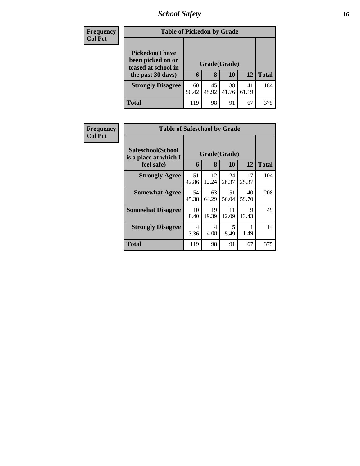# *School Safety* **16**

| <b>Frequency</b> | <b>Table of Pickedon by Grade</b>                                   |              |             |             |             |              |
|------------------|---------------------------------------------------------------------|--------------|-------------|-------------|-------------|--------------|
| <b>Col Pct</b>   | <b>Pickedon</b> (I have<br>been picked on or<br>teased at school in | Grade(Grade) |             |             |             |              |
|                  | the past 30 days)                                                   | 6            | 8           | 10          | 12          | <b>Total</b> |
|                  | <b>Strongly Disagree</b>                                            | 60<br>50.42  | 45<br>45.92 | 38<br>41.76 | 41<br>61.19 | 184          |
|                  | <b>Total</b>                                                        | 119          | 98          | 91          | 67          | 375          |

| Frequency      |                                            | <b>Table of Safeschool by Grade</b> |             |             |                      |              |  |  |  |  |  |  |
|----------------|--------------------------------------------|-------------------------------------|-------------|-------------|----------------------|--------------|--|--|--|--|--|--|
| <b>Col Pct</b> | Safeschool(School<br>is a place at which I | Grade(Grade)                        |             |             |                      |              |  |  |  |  |  |  |
|                | feel safe)                                 | 6                                   | 8           | 10          | 12                   | <b>Total</b> |  |  |  |  |  |  |
|                | <b>Strongly Agree</b>                      | 51<br>42.86                         | 12<br>12.24 | 24<br>26.37 | 17<br>25.37          | 104          |  |  |  |  |  |  |
|                | <b>Somewhat Agree</b>                      | 54<br>45.38                         | 63<br>64.29 | 51<br>56.04 | 40<br>59.70          | 208          |  |  |  |  |  |  |
|                | <b>Somewhat Disagree</b>                   | 10<br>8.40                          | 19<br>19.39 | 11<br>12.09 | $\mathbf Q$<br>13.43 | 49           |  |  |  |  |  |  |
|                | <b>Strongly Disagree</b>                   | 4<br>3.36                           | 4<br>4.08   | 5<br>5.49   | 1.49                 | 14           |  |  |  |  |  |  |
|                | Total                                      | 119                                 | 98          | 91          | 67                   | 375          |  |  |  |  |  |  |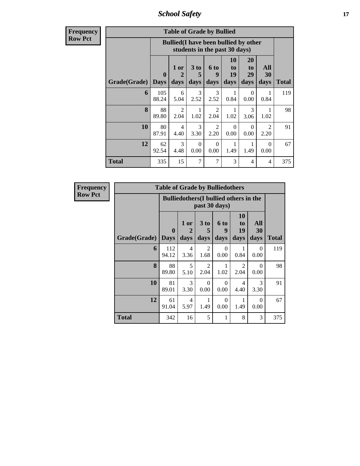*School Safety* **17**

**Frequency Row Pct**

| <b>Table of Grade by Bullied</b> |                                                                                                                                                                                           |                                                                                            |           |                        |                  |                  |                        |     |  |  |
|----------------------------------|-------------------------------------------------------------------------------------------------------------------------------------------------------------------------------------------|--------------------------------------------------------------------------------------------|-----------|------------------------|------------------|------------------|------------------------|-----|--|--|
|                                  |                                                                                                                                                                                           | <b>Bullied</b> (I have been bullied by other<br>students in the past 30 days)              |           |                        |                  |                  |                        |     |  |  |
| Grade(Grade)                     | 10<br>20<br>All<br>3 to<br>6 to<br>1 or<br>to<br>to<br>19<br>$\mathbf{0}$<br>$\overline{2}$<br>29<br>30<br>5<br>9<br>days<br>days<br>days<br>days<br>Total<br><b>Days</b><br>days<br>days |                                                                                            |           |                        |                  |                  |                        |     |  |  |
| 6                                | 105<br>88.24                                                                                                                                                                              | 6<br>5.04                                                                                  | 3<br>2.52 | $\mathcal{F}$<br>2.52  | 1<br>0.84        | $\Omega$<br>0.00 | 1<br>0.84              | 119 |  |  |
| 8                                | 88<br>89.80                                                                                                                                                                               | $\overline{2}$<br>2.04                                                                     | 1<br>1.02 | $\mathfrak{D}$<br>2.04 | 1<br>1.02        | 3<br>3.06        | 1<br>1.02              | 98  |  |  |
| 10                               | 80<br>87.91                                                                                                                                                                               | 4<br>4.40                                                                                  | 3<br>3.30 | $\mathfrak{D}$<br>2.20 | $\Omega$<br>0.00 | $\Omega$<br>0.00 | $\mathfrak{D}$<br>2.20 | 91  |  |  |
| 12                               | 62<br>92.54                                                                                                                                                                               | 3<br>1<br>$\Omega$<br>$\Omega$<br>$\Omega$<br>4.48<br>0.00<br>0.00<br>1.49<br>1.49<br>0.00 |           |                        |                  |                  |                        |     |  |  |
| <b>Total</b>                     | 335                                                                                                                                                                                       | 15                                                                                         | 7         | 7                      | 3                | 4                | 4                      | 375 |  |  |

| <b>Frequency</b> |              | <b>Table of Grade by Bulliedothers</b> |                                               |                        |                          |                               |                   |              |
|------------------|--------------|----------------------------------------|-----------------------------------------------|------------------------|--------------------------|-------------------------------|-------------------|--------------|
| <b>Row Pct</b>   |              |                                        | <b>Bulliedothers</b> (I bullied others in the |                        | past 30 days)            |                               |                   |              |
|                  | Grade(Grade) | $\mathbf{0}$<br><b>Days</b>            | 1 or<br>2<br>days                             | 3 to<br>5<br>days      | <b>6 to</b><br>9<br>days | <b>10</b><br>to<br>19<br>days | All<br>30<br>days | <b>Total</b> |
|                  | 6            | 112<br>94.12                           | $\overline{4}$<br>3.36                        | $\overline{2}$<br>1.68 | $\Omega$<br>0.00         | 1<br>0.84                     | $\Omega$<br>0.00  | 119          |
|                  | 8            | 88<br>89.80                            | 5<br>5.10                                     | $\mathfrak{D}$<br>2.04 | 1.02                     | 2<br>2.04                     | $\Omega$<br>0.00  | 98           |
|                  | 10           | 81<br>89.01                            | 3<br>3.30                                     | $\Omega$<br>0.00       | $\Omega$<br>0.00         | 4<br>4.40                     | 3<br>3.30         | 91           |
|                  | 12           | 61<br>91.04                            | $\overline{4}$<br>5.97                        | 1<br>1.49              | $\Omega$<br>0.00         | 1<br>1.49                     | $\Omega$<br>0.00  | 67           |
|                  | <b>Total</b> | 342                                    | 16                                            | 5                      | 1                        | 8                             | 3                 | 375          |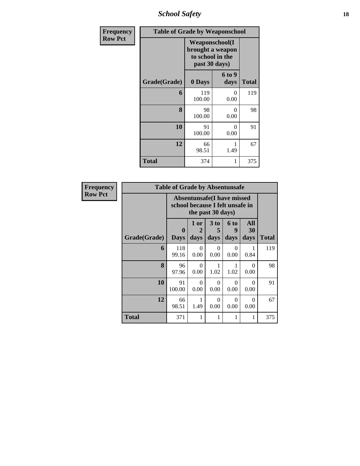*School Safety* **18**

| Frequency      | <b>Table of Grade by Weaponschool</b> |                                                                                 |                |              |  |  |  |  |
|----------------|---------------------------------------|---------------------------------------------------------------------------------|----------------|--------------|--|--|--|--|
| <b>Row Pct</b> |                                       | <b>Weaponschool</b> (I<br>brought a weapon<br>to school in the<br>past 30 days) |                |              |  |  |  |  |
|                | Grade(Grade)                          | 0 Days                                                                          | 6 to 9<br>days | <b>Total</b> |  |  |  |  |
|                | 6                                     | 119<br>100.00                                                                   | 0<br>0.00      | 119          |  |  |  |  |
|                | 8                                     | 98<br>100.00                                                                    | 0<br>0.00      | 98           |  |  |  |  |
|                | 10                                    | 91<br>100.00                                                                    | 0<br>0.00      | 91           |  |  |  |  |
|                | 12                                    | 66<br>98.51                                                                     | 1.49           | 67           |  |  |  |  |
|                | <b>Total</b>                          | 374                                                                             | 1              | 375          |  |  |  |  |

| Frequency      |              | <b>Table of Grade by Absentunsafe</b> |                                                                                           |                   |                          |                   |              |  |  |  |  |
|----------------|--------------|---------------------------------------|-------------------------------------------------------------------------------------------|-------------------|--------------------------|-------------------|--------------|--|--|--|--|
| <b>Row Pct</b> |              |                                       | <b>Absentunsafe(I have missed</b><br>school because I felt unsafe in<br>the past 30 days) |                   |                          |                   |              |  |  |  |  |
|                | Grade(Grade) | 0<br><b>Days</b>                      | 1 or<br>2<br>days                                                                         | 3 to<br>5<br>days | <b>6 to</b><br>9<br>days | All<br>30<br>days | <b>Total</b> |  |  |  |  |
|                | 6            | 118<br>99.16                          | 0<br>0.00                                                                                 | $\Omega$<br>0.00  | $\Omega$<br>0.00         | 0.84              | 119          |  |  |  |  |
|                | 8            | 96<br>97.96                           | $\Omega$<br>0.00                                                                          | 1.02              | 1.02                     | $\Omega$<br>0.00  | 98           |  |  |  |  |
|                | 10           | 91<br>100.00                          | 0<br>0.00                                                                                 | $\Omega$<br>0.00  | $\Omega$<br>0.00         | 0<br>0.00         | 91           |  |  |  |  |
|                | 12           | 66<br>98.51                           | 1.49                                                                                      | $\Omega$<br>0.00  | $\Omega$<br>0.00         | 0<br>0.00         | 67           |  |  |  |  |
|                | <b>Total</b> | 371                                   |                                                                                           | 1                 |                          |                   | 375          |  |  |  |  |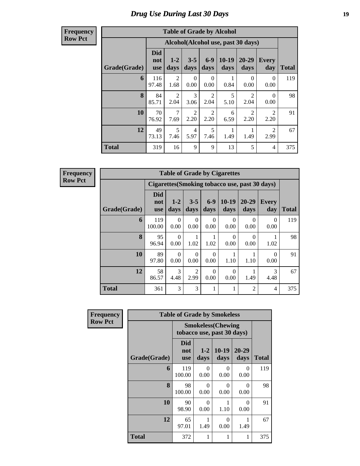## *Drug Use During Last 30 Days* **19**

#### **Frequency Row Pct**

| <b>Table of Grade by Alcohol</b> |                                 |                        |                        |                        |                 |                                    |                        |              |  |  |
|----------------------------------|---------------------------------|------------------------|------------------------|------------------------|-----------------|------------------------------------|------------------------|--------------|--|--|
|                                  |                                 |                        |                        |                        |                 | Alcohol(Alcohol use, past 30 days) |                        |              |  |  |
| Grade(Grade)                     | <b>Did</b><br>not<br><b>use</b> | $1 - 2$<br>days        | $3 - 5$<br>days        | $6 - 9$<br>days        | $10-19$<br>days | 20-29<br>days                      | Every<br>day           | <b>Total</b> |  |  |
| 6                                | 116<br>97.48                    | 2<br>1.68              | $\Omega$<br>0.00       | 0<br>0.00              | 0.84            | $\Omega$<br>0.00                   | 0<br>0.00              | 119          |  |  |
| 8                                | 84<br>85.71                     | $\overline{2}$<br>2.04 | 3<br>3.06              | $\overline{c}$<br>2.04 | 5<br>5.10       | $\mathfrak{D}$<br>2.04             | 0<br>0.00              | 98           |  |  |
| 10                               | 70<br>76.92                     | 7<br>7.69              | $\overline{2}$<br>2.20 | $\overline{2}$<br>2.20 | 6<br>6.59       | $\overline{2}$<br>2.20             | $\mathfrak{D}$<br>2.20 | 91           |  |  |
| 12                               | 49<br>73.13                     | 5<br>7.46              | $\overline{4}$<br>5.97 | 5<br>7.46              | 1.49            | 1.49                               | $\mathfrak{D}$<br>2.99 | 67           |  |  |
| <b>Total</b>                     | 319                             | 16                     | 9                      | 9                      | 13              | 5                                  | 4                      | 375          |  |  |

**Frequency Row Pct**

| <b>Table of Grade by Cigarettes</b> |                          |                                                                                                           |           |                           |                  |                |           |     |  |  |  |
|-------------------------------------|--------------------------|-----------------------------------------------------------------------------------------------------------|-----------|---------------------------|------------------|----------------|-----------|-----|--|--|--|
|                                     |                          | Cigarettes (Smoking tobacco use, past 30 days)                                                            |           |                           |                  |                |           |     |  |  |  |
| Grade(Grade)                        | Did<br>not<br><b>use</b> | $6-9$<br>$20 - 29$<br>$3 - 5$<br>$10-19$<br>$1-2$<br>Every<br>days<br>days<br>day<br>days<br>days<br>days |           |                           |                  |                |           |     |  |  |  |
| 6                                   | 119<br>100.00            | $\Omega$<br>0.00                                                                                          | 0<br>0.00 | $\mathbf{\Omega}$<br>0.00 | $\Omega$<br>0.00 | 0<br>0.00      | 0<br>0.00 | 119 |  |  |  |
| 8                                   | 95<br>96.94              | $\Omega$<br>0.00                                                                                          | 1.02      | 1.02                      | 0<br>0.00        | 0<br>0.00      | 1.02      | 98  |  |  |  |
| 10                                  | 89<br>97.80              | $\Omega$<br>0.00                                                                                          | 0<br>0.00 | $\mathbf{\Omega}$<br>0.00 | 1.10             | 1.10           | 0<br>0.00 | 91  |  |  |  |
| 12                                  | 58<br>86.57              | 3<br>$\overline{2}$<br>3<br>$\theta$<br>0.00<br>1.49<br>2.99<br>0.00<br>4.48<br>4.48                      |           |                           |                  |                |           |     |  |  |  |
| <b>Total</b>                        | 361                      | 3                                                                                                         | 3         |                           |                  | $\overline{2}$ | 4         | 375 |  |  |  |

| Frequency      |              | <b>Table of Grade by Smokeless</b> |                                                        |                  |                  |              |  |  |  |  |
|----------------|--------------|------------------------------------|--------------------------------------------------------|------------------|------------------|--------------|--|--|--|--|
| <b>Row Pct</b> |              |                                    | <b>Smokeless(Chewing</b><br>tobacco use, past 30 days) |                  |                  |              |  |  |  |  |
|                | Grade(Grade) | Did<br>not<br><b>use</b>           | $1 - 2$<br>days                                        | $10-19$<br>days  | 20-29<br>days    | <b>Total</b> |  |  |  |  |
|                | 6            | 119<br>100.00                      | 0<br>0.00                                              | 0<br>0.00        | 0<br>0.00        | 119          |  |  |  |  |
|                | 8            | 98<br>100.00                       | $\Omega$<br>0.00                                       | 0<br>0.00        | $\Omega$<br>0.00 | 98           |  |  |  |  |
|                | 10           | 90<br>98.90                        | $\Omega$<br>0.00                                       | 1.10             | 0<br>0.00        | 91           |  |  |  |  |
|                | 12           | 65<br>97.01                        | 1.49                                                   | $\Omega$<br>0.00 | 1<br>1.49        | 67           |  |  |  |  |
|                | <b>Total</b> | 372                                | 1                                                      | 1                | 1                | 375          |  |  |  |  |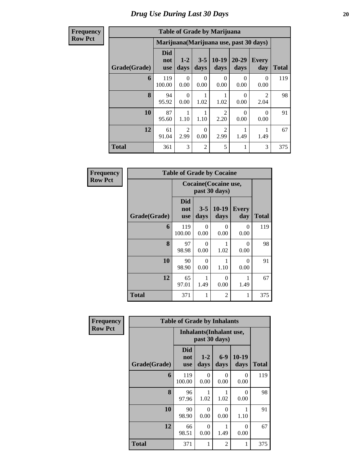**Frequency Row Pct**

| <b>Table of Grade by Marijuana</b> |                                 |                                                                                               |                  |                        |                  |                        |     |  |  |  |  |
|------------------------------------|---------------------------------|-----------------------------------------------------------------------------------------------|------------------|------------------------|------------------|------------------------|-----|--|--|--|--|
|                                    |                                 | Marijuana (Marijuana use, past 30 days)                                                       |                  |                        |                  |                        |     |  |  |  |  |
| Grade(Grade)                       | <b>Did</b><br>not<br><b>use</b> | $10-19$<br>20-29<br>$3 - 5$<br>$1 - 2$<br><b>Every</b><br>days<br>days<br>day<br>days<br>days |                  |                        |                  |                        |     |  |  |  |  |
| 6                                  | 119<br>100.00                   | $\Omega$<br>0.00                                                                              | $\Omega$<br>0.00 | $\Omega$<br>0.00       | $\Omega$<br>0.00 | 0<br>0.00              | 119 |  |  |  |  |
| 8                                  | 94<br>95.92                     | $\Omega$<br>0.00                                                                              | 1.02             | 1.02                   | $\Omega$<br>0.00 | $\mathfrak{D}$<br>2.04 | 98  |  |  |  |  |
| 10                                 | 87<br>95.60                     | 1.10                                                                                          | 1.10             | $\mathfrak{D}$<br>2.20 | $\Omega$<br>0.00 | 0<br>0.00              | 91  |  |  |  |  |
| 12                                 | 61<br>91.04                     | $\mathfrak{D}$<br>2.99                                                                        | $\Omega$<br>0.00 | $\overline{2}$<br>2.99 | 1.49             | 1.49                   | 67  |  |  |  |  |
| <b>Total</b>                       | 361                             | 3                                                                                             | $\overline{2}$   | 5                      | 1                | 3                      | 375 |  |  |  |  |

| Frequency      | <b>Table of Grade by Cocaine</b> |                                 |                 |                  |                     |              |  |  |  |  |
|----------------|----------------------------------|---------------------------------|-----------------|------------------|---------------------|--------------|--|--|--|--|
| <b>Row Pct</b> |                                  | <b>Cocaine</b> (Cocaine use,    |                 |                  |                     |              |  |  |  |  |
|                | Grade(Grade)                     | <b>Did</b><br>not<br><b>use</b> | $3 - 5$<br>days | 10-19<br>days    | <b>Every</b><br>day | <b>Total</b> |  |  |  |  |
|                | 6                                | 119<br>100.00                   | 0<br>0.00       | 0<br>0.00        | $\Omega$<br>0.00    | 119          |  |  |  |  |
|                | 8                                | 97<br>98.98                     | 0<br>0.00       | 1.02             | $\Omega$<br>0.00    | 98           |  |  |  |  |
|                | 10                               | 90<br>98.90                     | 0<br>0.00       | 1.10             | $\Omega$<br>0.00    | 91           |  |  |  |  |
|                | 12                               | 65<br>97.01                     | 1.49            | $\Omega$<br>0.00 | 1.49                | 67           |  |  |  |  |
|                | <b>Total</b>                     | 371                             | 1               | $\overline{2}$   | 1                   | 375          |  |  |  |  |

| Frequency      |              | <b>Table of Grade by Inhalants</b> |                                                  |                  |                  |              |  |  |  |  |
|----------------|--------------|------------------------------------|--------------------------------------------------|------------------|------------------|--------------|--|--|--|--|
| <b>Row Pct</b> |              |                                    | <b>Inhalants</b> (Inhalant use,<br>past 30 days) |                  |                  |              |  |  |  |  |
|                | Grade(Grade) | <b>Did</b><br>not<br><b>use</b>    | $1-2$<br>days                                    | $6-9$<br>days    | $10-19$<br>days  | <b>Total</b> |  |  |  |  |
|                | 6            | 119<br>100.00                      | $\Omega$<br>0.00                                 | 0<br>0.00        | $\Omega$<br>0.00 | 119          |  |  |  |  |
|                | 8            | 96<br>97.96                        | 1<br>1.02                                        | 1<br>1.02        | $\Omega$<br>0.00 | 98           |  |  |  |  |
|                | 10           | 90<br>98.90                        | $\Omega$<br>0.00                                 | $\Omega$<br>0.00 | 1<br>1.10        | 91           |  |  |  |  |
|                | 12           | 66<br>98.51                        | $\Omega$<br>0.00                                 | 1<br>1.49        | $\Omega$<br>0.00 | 67           |  |  |  |  |
|                | <b>Total</b> | 371                                | 1                                                | 2                | $\mathbf{1}$     | 375          |  |  |  |  |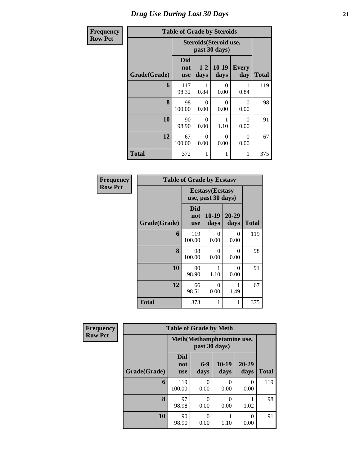# *Drug Use During Last 30 Days* **21**

| <b>Frequency</b> | <b>Table of Grade by Steroids</b> |                          |                  |                  |                     |              |  |  |  |
|------------------|-----------------------------------|--------------------------|------------------|------------------|---------------------|--------------|--|--|--|
| <b>Row Pct</b>   |                                   | Steroids (Steroid use,   |                  |                  |                     |              |  |  |  |
|                  | Grade(Grade)                      | Did<br>not<br><b>use</b> | $1 - 2$<br>days  | $10-19$<br>days  | <b>Every</b><br>day | <b>Total</b> |  |  |  |
|                  | 6                                 | 117<br>98.32             | 0.84             | 0<br>0.00        | 0.84                | 119          |  |  |  |
|                  | 8                                 | 98<br>100.00             | 0<br>0.00        | 0<br>0.00        | $\Omega$<br>0.00    | 98           |  |  |  |
|                  | 10                                | 90<br>98.90              | $\Omega$<br>0.00 | 1<br>1.10        | $\Omega$<br>0.00    | 91           |  |  |  |
|                  | 12                                | 67<br>100.00             | $\Omega$<br>0.00 | $\Omega$<br>0.00 | 0<br>0.00           | 67           |  |  |  |
|                  | <b>Total</b>                      | 372                      | 1                | 1                |                     | 375          |  |  |  |

| Frequency      | <b>Table of Grade by Ecstasy</b> |                          |                                               |                  |              |  |  |  |  |
|----------------|----------------------------------|--------------------------|-----------------------------------------------|------------------|--------------|--|--|--|--|
| <b>Row Pct</b> |                                  |                          | <b>Ecstasy</b> (Ecstasy<br>use, past 30 days) |                  |              |  |  |  |  |
|                | Grade(Grade)                     | Did<br>not<br><b>use</b> | 10-19<br>days                                 | 20-29<br>days    | <b>Total</b> |  |  |  |  |
|                | 6                                | 119<br>100.00            | $\theta$<br>0.00                              | 0<br>0.00        | 119          |  |  |  |  |
|                | 8                                | 98<br>100.00             | $\Omega$<br>0.00                              | 0<br>0.00        | 98           |  |  |  |  |
|                | 10                               | 90<br>98.90              | 1<br>1.10                                     | $\Omega$<br>0.00 | 91           |  |  |  |  |
|                | 12                               | 66<br>98.51              | $\theta$<br>0.00                              | 1<br>1.49        | 67           |  |  |  |  |
|                | <b>Total</b>                     | 373                      | 1                                             | 1                | 375          |  |  |  |  |

| Frequency      |              | <b>Table of Grade by Meth</b>   |               |                   |                  |              |
|----------------|--------------|---------------------------------|---------------|-------------------|------------------|--------------|
| <b>Row Pct</b> |              | Meth (Methamphetamine use,      |               |                   |                  |              |
|                | Grade(Grade) | <b>Did</b><br>not<br><b>use</b> | $6-9$<br>days | $10 - 19$<br>days | 20-29<br>days    | <b>Total</b> |
|                | 6            | 119<br>100.00                   | 0<br>0.00     | 0<br>0.00         | 0<br>0.00        | 119          |
|                | 8            | 97<br>98.98                     | 0<br>0.00     | $\Omega$<br>0.00  | 1.02             | 98           |
|                | 10           | 90<br>98.90                     | 0<br>0.00     | 1.10              | $\Omega$<br>0.00 | 91           |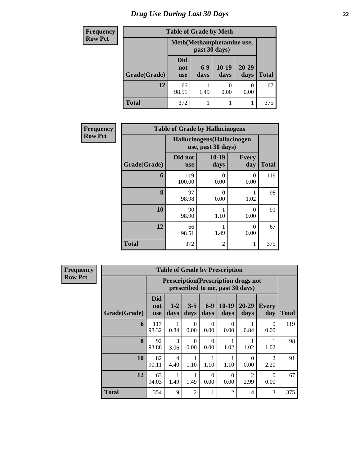| <b>Frequency</b> | <b>Table of Grade by Meth</b> |                                 |               |                           |                   |              |  |  |
|------------------|-------------------------------|---------------------------------|---------------|---------------------------|-------------------|--------------|--|--|
| <b>Row Pct</b>   |                               |                                 | past 30 days) | Meth(Methamphetamine use, |                   |              |  |  |
|                  | Grade(Grade)                  | <b>Did</b><br>not<br><b>use</b> | $6-9$<br>days | $10-19$<br>days           | $20 - 29$<br>days | <b>Total</b> |  |  |
|                  | 12                            | 66<br>98.51                     | 1.49          | 0.00                      | $\theta$<br>0.00  | 67           |  |  |
|                  | <b>Total</b>                  | 372                             |               |                           |                   | 375          |  |  |

| Frequency      | <b>Table of Grade by Hallucinogens</b> |                       |                                                   |                     |              |  |  |  |  |
|----------------|----------------------------------------|-----------------------|---------------------------------------------------|---------------------|--------------|--|--|--|--|
| <b>Row Pct</b> |                                        |                       | Hallucinogens (Hallucinogen<br>use, past 30 days) |                     |              |  |  |  |  |
|                | Grade(Grade)                           | Did not<br><b>use</b> | $10-19$<br>days                                   | <b>Every</b><br>day | <b>Total</b> |  |  |  |  |
|                | 6                                      | 119<br>100.00         | 0<br>0.00                                         | 0<br>0.00           | 119          |  |  |  |  |
|                | 8                                      | 97<br>98.98           | 0<br>0.00                                         | 1.02                | 98           |  |  |  |  |
|                | 10                                     | 90<br>98.90           | 1.10                                              | $\Omega$<br>0.00    | 91           |  |  |  |  |
|                | 12                                     | 66<br>98.51           | 1.49                                              | $\Omega$<br>0.00    | 67           |  |  |  |  |
|                | <b>Total</b>                           | 372                   | 2                                                 | 1                   | 375          |  |  |  |  |

**Frequency Row Pct**

| <b>Table of Grade by Prescription</b> |                                 |                                                                                                    |                  |                  |                 |                   |                                     |              |  |
|---------------------------------------|---------------------------------|----------------------------------------------------------------------------------------------------|------------------|------------------|-----------------|-------------------|-------------------------------------|--------------|--|
|                                       |                                 | <b>Prescription</b> (Prescription drugs not<br>prescribed to me, past 30 days)                     |                  |                  |                 |                   |                                     |              |  |
| Grade(Grade)                          | <b>Did</b><br>not<br><b>use</b> | $1-2$<br>days                                                                                      | $3 - 5$<br>days  | $6-9$<br>days    | $10-19$<br>days | $20 - 29$<br>days | <b>Every</b><br>day                 | <b>Total</b> |  |
| 6                                     | 117<br>98.32                    | 0.84                                                                                               | $\Omega$<br>0.00 | $\Omega$<br>0.00 | 0<br>0.00       | 0.84              | 0<br>0.00                           | 119          |  |
| 8                                     | 92<br>93.88                     | $\mathcal{R}$<br>3.06                                                                              | $\Omega$<br>0.00 | $\Omega$<br>0.00 | 1.02            | 1.02              | 1.02                                | 98           |  |
| 10                                    | 82<br>90.11                     | 4<br>4.40                                                                                          | 1.10             | 1<br>1.10        | 1.10            | 0<br>0.00         | $\mathcal{D}_{\mathcal{A}}$<br>2.20 | 91           |  |
| 12                                    | 63<br>94.03                     | $\mathfrak{D}$<br>$\Omega$<br>$\Omega$<br>$\Omega$<br>1.49<br>0.00<br>2.99<br>0.00<br>1.49<br>0.00 |                  |                  |                 |                   |                                     |              |  |
| <b>Total</b>                          | 354                             | 9                                                                                                  | 2                | 1                | $\overline{2}$  | 4                 | 3                                   | 375          |  |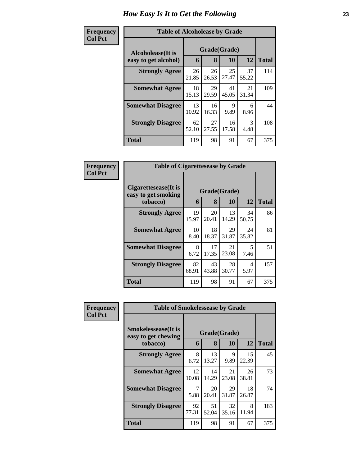#### **Frequency Col Pct**

| ncy | <b>Table of Alcoholease by Grade</b> |             |             |             |             |              |  |  |  |  |  |
|-----|--------------------------------------|-------------|-------------|-------------|-------------|--------------|--|--|--|--|--|
|     | Grade(Grade)<br>Alcoholease(It is    |             |             |             |             |              |  |  |  |  |  |
|     | easy to get alcohol)                 | 6           | 8           | 10          | 12          | <b>Total</b> |  |  |  |  |  |
|     | <b>Strongly Agree</b>                | 26<br>21.85 | 26<br>26.53 | 25<br>27.47 | 37<br>55.22 | 114          |  |  |  |  |  |
|     | <b>Somewhat Agree</b>                | 18<br>15.13 | 29<br>29.59 | 41<br>45.05 | 21<br>31.34 | 109          |  |  |  |  |  |
|     | <b>Somewhat Disagree</b>             | 13<br>10.92 | 16<br>16.33 | 9<br>9.89   | 6<br>8.96   | 44           |  |  |  |  |  |
|     | <b>Strongly Disagree</b>             | 62<br>52.10 | 27<br>27.55 | 16<br>17.58 | 3<br>4.48   | 108          |  |  |  |  |  |
|     | <b>Total</b>                         | 119         | 98          | 91          | 67          | 375          |  |  |  |  |  |

| Frequency      | <b>Table of Cigarettesease by Grade</b>                 |             |                   |             |             |              |  |
|----------------|---------------------------------------------------------|-------------|-------------------|-------------|-------------|--------------|--|
| <b>Col Pct</b> | Cigarettesease(It is<br>easy to get smoking<br>tobacco) | 6           | Grade(Grade)<br>8 | 10          | 12          | <b>Total</b> |  |
|                | <b>Strongly Agree</b>                                   | 19<br>15.97 | 20<br>20.41       | 13<br>14.29 | 34<br>50.75 | 86           |  |
|                | <b>Somewhat Agree</b>                                   | 10<br>8.40  | 18<br>18.37       | 29<br>31.87 | 24<br>35.82 | 81           |  |
|                | <b>Somewhat Disagree</b>                                | 8<br>6.72   | 17<br>17.35       | 21<br>23.08 | 5<br>7.46   | 51           |  |
|                | <b>Strongly Disagree</b>                                | 82<br>68.91 | 43<br>43.88       | 28<br>30.77 | 4<br>5.97   | 157          |  |
|                | Total                                                   | 119         | 98                | 91          | 67          | 375          |  |

| <b>Frequency</b> | <b>Table of Smokelessease by Grade</b>                         |             |                   |             |             |              |  |  |
|------------------|----------------------------------------------------------------|-------------|-------------------|-------------|-------------|--------------|--|--|
| <b>Col Pct</b>   | <b>Smokelessease</b> (It is<br>easy to get chewing<br>tobacco) | 6           | Grade(Grade)<br>8 | <b>10</b>   | 12          | <b>Total</b> |  |  |
|                  | <b>Strongly Agree</b>                                          | 8<br>6.72   | 13<br>13.27       | 9<br>9.89   | 15<br>22.39 | 45           |  |  |
|                  | <b>Somewhat Agree</b>                                          | 12<br>10.08 | 14<br>14.29       | 21<br>23.08 | 26<br>38.81 | 73           |  |  |
|                  | <b>Somewhat Disagree</b>                                       | 7<br>5.88   | 20<br>20.41       | 29<br>31.87 | 18<br>26.87 | 74           |  |  |
|                  | <b>Strongly Disagree</b>                                       | 92<br>77.31 | 51<br>52.04       | 32<br>35.16 | 8<br>11.94  | 183          |  |  |
|                  | <b>Total</b>                                                   | 119         | 98                | 91          | 67          | 375          |  |  |

ń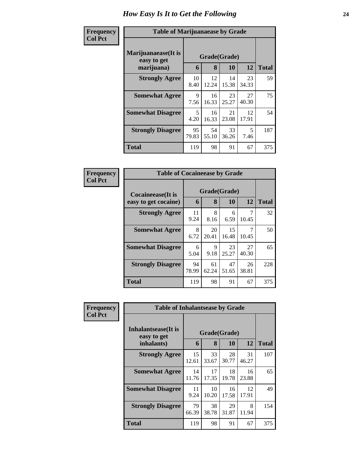| Frequency<br><b>Col Pct</b> | <b>Table of Marijuanaease by Grade</b>           |             |                   |             |             |              |  |  |
|-----------------------------|--------------------------------------------------|-------------|-------------------|-------------|-------------|--------------|--|--|
|                             | Marijuanaease(It is<br>easy to get<br>marijuana) | 6           | Grade(Grade)<br>8 | <b>10</b>   | 12          | <b>Total</b> |  |  |
|                             |                                                  |             |                   |             |             |              |  |  |
|                             | <b>Strongly Agree</b>                            | 10<br>8.40  | 12<br>12.24       | 14<br>15.38 | 23<br>34.33 | 59           |  |  |
|                             | <b>Somewhat Agree</b>                            | 9<br>7.56   | 16<br>16.33       | 23<br>25.27 | 27<br>40.30 | 75           |  |  |
|                             | <b>Somewhat Disagree</b>                         | 5<br>4.20   | 16<br>16.33       | 21<br>23.08 | 12<br>17.91 | 54           |  |  |
|                             | <b>Strongly Disagree</b>                         | 95<br>79.83 | 54<br>55.10       | 33<br>36.26 | 5<br>7.46   | 187          |  |  |
|                             | <b>Total</b>                                     | 119         | 98                | 91          | 67          | 375          |  |  |

| Frequency      | <b>Table of Cocaineease by Grade</b>              |             |                   |             |             |              |  |  |
|----------------|---------------------------------------------------|-------------|-------------------|-------------|-------------|--------------|--|--|
| <b>Col Pct</b> | <b>Cocaineease</b> (It is<br>easy to get cocaine) | 6           | Grade(Grade)<br>8 | 10          | 12          | <b>Total</b> |  |  |
|                | <b>Strongly Agree</b>                             | 11<br>9.24  | 8<br>8.16         | 6<br>6.59   | 10.45       | 32           |  |  |
|                | <b>Somewhat Agree</b>                             | 8<br>6.72   | 20<br>20.41       | 15<br>16.48 | 7<br>10.45  | 50           |  |  |
|                | <b>Somewhat Disagree</b>                          | 6<br>5.04   | 9<br>9.18         | 23<br>25.27 | 27<br>40.30 | 65           |  |  |
|                | <b>Strongly Disagree</b>                          | 94<br>78.99 | 61<br>62.24       | 47<br>51.65 | 26<br>38.81 | 228          |  |  |
|                | <b>Total</b>                                      | 119         | 98                | 91          | 67          | 375          |  |  |

| <b>Frequency</b> | <b>Table of Inhalantsease by Grade</b>           |             |                   |             |             |              |  |
|------------------|--------------------------------------------------|-------------|-------------------|-------------|-------------|--------------|--|
| <b>Col Pct</b>   | Inhalantsease(It is<br>easy to get<br>inhalants) | 6           | Grade(Grade)<br>8 | 10          | 12          | <b>Total</b> |  |
|                  | <b>Strongly Agree</b>                            | 15<br>12.61 | 33<br>33.67       | 28<br>30.77 | 31<br>46.27 | 107          |  |
|                  | <b>Somewhat Agree</b>                            | 14<br>11.76 | 17<br>17.35       | 18<br>19.78 | 16<br>23.88 | 65           |  |
|                  | <b>Somewhat Disagree</b>                         | 11<br>9.24  | 10<br>10.20       | 16<br>17.58 | 12<br>17.91 | 49           |  |
|                  | <b>Strongly Disagree</b>                         | 79<br>66.39 | 38<br>38.78       | 29<br>31.87 | 8<br>11.94  | 154          |  |
|                  | <b>Total</b>                                     | 119         | 98                | 91          | 67          | 375          |  |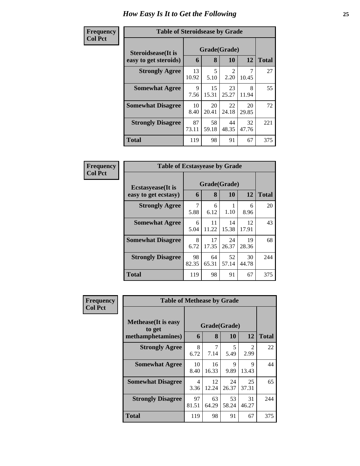| Frequency      | <b>Table of Steroidsease by Grade</b> |              |             |             |             |              |  |  |
|----------------|---------------------------------------|--------------|-------------|-------------|-------------|--------------|--|--|
| <b>Col Pct</b> | <b>Steroidsease</b> (It is            | Grade(Grade) |             |             |             |              |  |  |
|                | easy to get steroids)                 | 6            | 8           | 10          | 12          | <b>Total</b> |  |  |
|                | <b>Strongly Agree</b>                 | 13<br>10.92  | 5<br>5.10   | 2<br>2.20   | 10.45       | 27           |  |  |
|                | <b>Somewhat Agree</b>                 | 9<br>7.56    | 15<br>15.31 | 23<br>25.27 | 8<br>11.94  | 55           |  |  |
|                | <b>Somewhat Disagree</b>              | 10<br>8.40   | 20<br>20.41 | 22<br>24.18 | 20<br>29.85 | 72           |  |  |
|                | <b>Strongly Disagree</b>              | 87<br>73.11  | 58<br>59.18 | 44<br>48.35 | 32<br>47.76 | 221          |  |  |
|                | <b>Total</b>                          | 119          | 98          | 91          | 67          | 375          |  |  |

| Frequency      | <b>Table of Ecstasyease by Grade</b>              |             |                   |             |             |              |
|----------------|---------------------------------------------------|-------------|-------------------|-------------|-------------|--------------|
| <b>Col Pct</b> | <b>Ecstasyease</b> (It is<br>easy to get ecstasy) | 6           | Grade(Grade)<br>8 | 10          | 12          | <b>Total</b> |
|                | <b>Strongly Agree</b>                             | 7<br>5.88   | 6<br>6.12         | 1<br>1.10   | 6<br>8.96   | 20           |
|                | <b>Somewhat Agree</b>                             | 6<br>5.04   | 11<br>11.22       | 14<br>15.38 | 12<br>17.91 | 43           |
|                | <b>Somewhat Disagree</b>                          | 8<br>6.72   | 17<br>17.35       | 24<br>26.37 | 19<br>28.36 | 68           |
|                | <b>Strongly Disagree</b>                          | 98<br>82.35 | 64<br>65.31       | 52<br>57.14 | 30<br>44.78 | 244          |
|                | Total                                             | 119         | 98                | 91          | 67          | 375          |

| Frequency      | <b>Table of Methease by Grade</b>                          |             |             |                           |                       |              |
|----------------|------------------------------------------------------------|-------------|-------------|---------------------------|-----------------------|--------------|
| <b>Col Pct</b> | <b>Methease</b> (It is easy<br>to get<br>methamphetamines) | 6           | 8           | Grade(Grade)<br><b>10</b> | <b>12</b>             | <b>Total</b> |
|                | <b>Strongly Agree</b>                                      | 8<br>6.72   | 7<br>7.14   | 5<br>5.49                 | $\mathcal{D}$<br>2.99 | 22           |
|                | <b>Somewhat Agree</b>                                      | 10<br>8.40  | 16<br>16.33 | 9<br>9.89                 | 9<br>13.43            | 44           |
|                | <b>Somewhat Disagree</b>                                   | 4<br>3.36   | 12<br>12.24 | 24<br>26.37               | 25<br>37.31           | 65           |
|                | <b>Strongly Disagree</b>                                   | 97<br>81.51 | 63<br>64.29 | 53<br>58.24               | 31<br>46.27           | 244          |
|                | Total                                                      | 119         | 98          | 91                        | 67                    | 375          |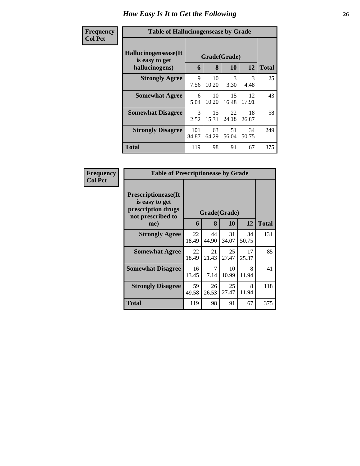| Frequency<br><b>Col Pct</b> | <b>Table of Hallucinogensease by Grade</b>               |                   |             |                       |             |     |
|-----------------------------|----------------------------------------------------------|-------------------|-------------|-----------------------|-------------|-----|
|                             | Hallucinogensease(It<br>is easy to get<br>hallucinogens) | Grade(Grade)<br>6 | 12          | <b>Total</b>          |             |     |
|                             | <b>Strongly Agree</b>                                    | 9<br>7.56         | 10<br>10.20 | $\mathcal{E}$<br>3.30 | 3<br>4.48   | 25  |
|                             | <b>Somewhat Agree</b>                                    | 6<br>5.04         | 10<br>10.20 | 15<br>16.48           | 12<br>17.91 | 43  |
|                             | <b>Somewhat Disagree</b>                                 | 3<br>2.52         | 15<br>15.31 | 22<br>24.18           | 18<br>26.87 | 58  |
|                             | <b>Strongly Disagree</b>                                 | 101<br>84.87      | 63<br>64.29 | 51<br>56.04           | 34<br>50.75 | 249 |
|                             | <b>Total</b>                                             | 119               | 98          | 91                    | 67          | 375 |

| Frequency      | <b>Table of Prescriptionease by Grade</b>                                                |              |             |             |             |              |
|----------------|------------------------------------------------------------------------------------------|--------------|-------------|-------------|-------------|--------------|
| <b>Col Pct</b> | <b>Prescriptionease</b> (It<br>is easy to get<br>prescription drugs<br>not prescribed to | Grade(Grade) |             |             |             |              |
|                | me)                                                                                      | 6            | 8           | <b>10</b>   | 12          | <b>Total</b> |
|                | <b>Strongly Agree</b>                                                                    | 22<br>18.49  | 44<br>44.90 | 31<br>34.07 | 34<br>50.75 | 131          |
|                | <b>Somewhat Agree</b>                                                                    | 22<br>18.49  | 21<br>21.43 | 25<br>27.47 | 17<br>25.37 | 85           |
|                | <b>Somewhat Disagree</b>                                                                 | 16<br>13.45  | 7<br>7.14   | 10<br>10.99 | 8<br>11.94  | 41           |
|                | <b>Strongly Disagree</b>                                                                 | 59<br>49.58  | 26<br>26.53 | 25<br>27.47 | 8<br>11.94  | 118          |
|                | Total                                                                                    | 119          | 98          | 91          | 67          | 375          |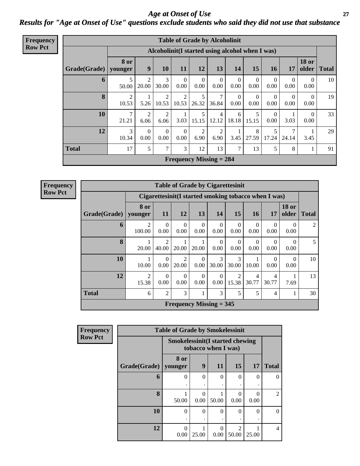### *Age at Onset of Use* **27** *Results for "Age at Onset of Use" questions exclude students who said they did not use that substance*

| <b>Frequency</b> |              |                         |                         |                  | <b>Table of Grade by Alcoholinit</b>             |                  |                  |                  |                  |                        |                      |                       |              |
|------------------|--------------|-------------------------|-------------------------|------------------|--------------------------------------------------|------------------|------------------|------------------|------------------|------------------------|----------------------|-----------------------|--------------|
| <b>Row Pct</b>   |              |                         |                         |                  | Alcoholinit (I started using alcohol when I was) |                  |                  |                  |                  |                        |                      |                       |              |
|                  | Grade(Grade) | <b>8 or</b><br>younger  | 9                       | 10               | 11                                               | 12               | 13               | 14               | 15               | 16                     | 17                   | <b>18 or</b><br>older | <b>Total</b> |
|                  | 6            | 50.00                   | $\overline{2}$<br>20.00 | 3<br>30.00       | $\theta$<br>0.00                                 | $\theta$<br>0.00 | $\Omega$<br>0.00 | $\Omega$<br>0.00 | $\Omega$<br>0.00 | $\Omega$<br>0.00       | $\theta$<br>$0.00\,$ | $\Omega$<br>0.00      | 10           |
|                  | 8            | $\overline{2}$<br>10.53 | 5.26                    | 2<br>10.53       | $\overline{2}$<br>10.53                          | 5<br>26.32       | 7<br>36.84       | $\Omega$<br>0.00 | $\theta$<br>0.00 | $\theta$<br>0.00       | $\theta$<br>$0.00\,$ | $\Omega$<br>0.00      | 19           |
|                  | 10           | 7<br>21.21              | $\overline{2}$<br>6.06  | 2<br>6.06        | 3.03                                             | 5<br>15.15       | 4<br>12.12       | 6<br>18.18       | 5<br>15.15       | $\overline{0}$<br>0.00 | 1<br>3.03            | $\Omega$<br>0.00      | 33           |
|                  | 12           | 3<br>10.34              | $\Omega$<br>0.00        | $\Omega$<br>0.00 | $\overline{0}$<br>0.00                           | 2<br>6.90        | 2<br>6.90        | 3.45             | 8<br>27.59       | 5<br>17.24             | 7<br>24.14           | 3.45                  | 29           |
|                  | <b>Total</b> | 17                      | 5                       | 7                | 3                                                | 12               | 13               | 7                | 13               | 5                      | 8                    |                       | 91           |
|                  |              |                         |                         |                  | <b>Frequency Missing = 284</b>                   |                  |                  |                  |                  |                        |                      |                       |              |

**Frequency Row Pct**

|              | <b>Table of Grade by Cigarettesinit</b> |                                                                                                            |                         |                           |                  |                  |                  |                  |                       |                |  |
|--------------|-----------------------------------------|------------------------------------------------------------------------------------------------------------|-------------------------|---------------------------|------------------|------------------|------------------|------------------|-----------------------|----------------|--|
|              |                                         | Cigarettesinit(I started smoking tobacco when I was)                                                       |                         |                           |                  |                  |                  |                  |                       |                |  |
| Grade(Grade) | 8 or<br>younger                         | <b>18 or</b><br>13<br>15<br>12<br>14<br><b>17</b><br>older<br><b>11</b><br>16 <sup>1</sup><br><b>Total</b> |                         |                           |                  |                  |                  |                  |                       |                |  |
| 6            | $\mathfrak{D}$<br>100.00                | $\Omega$<br>0.00                                                                                           | $\Omega$<br>0.00        | $\Omega$<br>0.00          | $\Omega$<br>0.00 | $\Omega$<br>0.00 | $\Omega$<br>0.00 | $\Omega$<br>0.00 | $\Omega$<br>0.00      | $\mathfrak{D}$ |  |
| 8            | 20.00                                   | $\mathcal{D}$<br>40.00                                                                                     | 20.00                   | 20.00                     | $\Omega$<br>0.00 | $\Omega$<br>0.00 | $\Omega$<br>0.00 | $\Omega$<br>0.00 | $\mathcal{L}$<br>0.00 | 5              |  |
| 10           | 10.00                                   | $\Omega$<br>0.00                                                                                           | $\mathfrak{D}$<br>20.00 | $\Omega$<br>0.00          | 3<br>30.00       | 3<br>30.00       | 10.00            | 0<br>0.00        | 0<br>0.00             | 10             |  |
| 12           | $\overline{c}$<br>15.38                 | $\Omega$<br>0.00                                                                                           | $\Omega$<br>0.00        | $\Omega$<br>0.00          | $\Omega$<br>0.00 | 2<br>15.38       | 4<br>30.77       | 4<br>30.77       | 7.69                  | 13             |  |
| <b>Total</b> | 6                                       | $\overline{2}$                                                                                             | 3                       |                           | 3                | 5                | 5                | 4                |                       | 30             |  |
|              |                                         |                                                                                                            |                         | Frequency Missing $=$ 345 |                  |                  |                  |                  |                       |                |  |

| <b>Frequency</b> |              | <b>Table of Grade by Smokelessinit</b>                        |          |           |                         |                       |                |
|------------------|--------------|---------------------------------------------------------------|----------|-----------|-------------------------|-----------------------|----------------|
| <b>Row Pct</b>   |              | <b>Smokelessinit(I started chewing</b><br>tobacco when I was) |          |           |                         |                       |                |
|                  | Grade(Grade) | 8 or<br>younger                                               | 9        | <b>11</b> | <b>15</b>               | <b>17</b>             | <b>Total</b>   |
|                  | 6            | 0                                                             | 0        | $\Omega$  | $\Omega$                | $\Omega$              | $\theta$       |
|                  | 8            | 50.00                                                         | 0.00     | 50.00     | $\Omega$<br>0.00        | $\mathcal{O}$<br>0.00 | $\overline{2}$ |
|                  | 10           | $\theta$                                                      | $\Omega$ | $\Omega$  | $\Omega$                | 0                     | $\theta$       |
|                  | 12           | 0<br>0.00                                                     | 25.00    | 0<br>0.00 | $\mathfrak{D}$<br>50.00 | 25.00                 | $\overline{4}$ |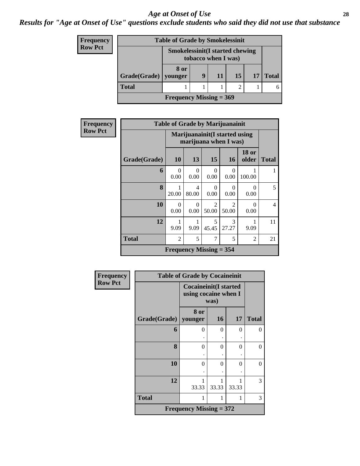### *Results for "Age at Onset of Use" questions exclude students who said they did not use that substance*

| Frequency      |                           | <b>Table of Grade by Smokelessinit</b> |    |                     |  |  |  |
|----------------|---------------------------|----------------------------------------|----|---------------------|--|--|--|
| <b>Row Pct</b> |                           | <b>Smokelessinit(I started chewing</b> |    | tobacco when I was) |  |  |  |
|                | Grade(Grade)              | 8 or<br>vounger                        | 17 | <b>Total</b>        |  |  |  |
|                | <b>Total</b>              |                                        |    |                     |  |  |  |
|                | Frequency Missing $= 369$ |                                        |    |                     |  |  |  |

| <b>Frequency</b> | <b>Table of Grade by Marijuanainit</b>                  |                  |                  |                                      |                         |                       |                |  |  |
|------------------|---------------------------------------------------------|------------------|------------------|--------------------------------------|-------------------------|-----------------------|----------------|--|--|
| <b>Row Pct</b>   | Marijuanainit (I started using<br>marijuana when I was) |                  |                  |                                      |                         |                       |                |  |  |
|                  | Grade(Grade)                                            | <b>10</b>        | 13               | 15                                   | 16                      | <b>18 or</b><br>older | <b>Total</b>   |  |  |
|                  | 6                                                       | $\Omega$<br>0.00 | $\Omega$<br>0.00 | 0<br>0.00                            | $\Omega$<br>0.00        | 100.00                | 1              |  |  |
|                  | 8                                                       | 20.00            | 4<br>80.00       | 0<br>0.00                            | 0<br>0.00               | 0<br>0.00             | 5 <sup>5</sup> |  |  |
|                  | 10                                                      | $\Omega$<br>0.00 | $\Omega$<br>0.00 | $\mathcal{D}_{\mathcal{A}}$<br>50.00 | $\mathfrak{D}$<br>50.00 | $\Omega$<br>0.00      | $\overline{4}$ |  |  |
|                  | 12                                                      | 9.09             | 9.09             | 5<br>45.45                           | $\mathcal{R}$<br>27.27  | 9.09                  | 11             |  |  |
|                  | Total                                                   | 2                | 5                | 7                                    | 5                       | 2                     | 21             |  |  |
|                  | <b>Frequency Missing = 354</b>                          |                  |                  |                                      |                         |                       |                |  |  |

| <b>Frequency</b> |              | <b>Table of Grade by Cocaineinit</b>                         |       |          |              |
|------------------|--------------|--------------------------------------------------------------|-------|----------|--------------|
| <b>Row Pct</b>   |              | <b>Cocaineinit(I started</b><br>using cocaine when I<br>was) |       |          |              |
|                  | Grade(Grade) | 8 or<br>  younger                                            | 16    | 17       | <b>Total</b> |
|                  | 6            | $\Omega$                                                     | 0     | $\theta$ | $\Omega$     |
|                  | 8            | 0                                                            | 0     | $\theta$ | 0            |
|                  | 10           | 0                                                            | 0     | 0        | $\theta$     |
|                  | 12           | 33.33                                                        | 33.33 | 33.33    | 3            |
|                  | <b>Total</b> |                                                              |       | 1        | 3            |
|                  |              | <b>Frequency Missing = 372</b>                               |       |          |              |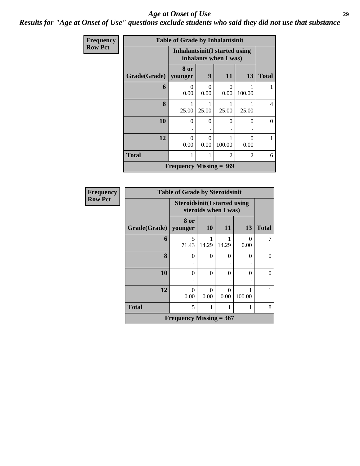### *Results for "Age at Onset of Use" questions exclude students who said they did not use that substance*

| Frequency      |              | <b>Table of Grade by Inhalantsinit</b> |                                                               |                |                |              |  |  |  |  |
|----------------|--------------|----------------------------------------|---------------------------------------------------------------|----------------|----------------|--------------|--|--|--|--|
| <b>Row Pct</b> |              |                                        | <b>Inhalantsinit(I started using</b><br>inhalants when I was) |                |                |              |  |  |  |  |
|                | Grade(Grade) | 8 or<br>younger                        | 9                                                             | 11             | 13             | <b>Total</b> |  |  |  |  |
|                | 6            | 0<br>0.00                              | 0<br>0.00                                                     | 0<br>0.00      | 100.00         |              |  |  |  |  |
|                | 8            | 25.00                                  | 25.00                                                         | 25.00          | 25.00          | 4            |  |  |  |  |
|                | 10           | 0                                      | $\theta$                                                      | 0              | $\Omega$       | $\Omega$     |  |  |  |  |
|                | 12           | $\Omega$<br>0.00                       | 0<br>0.00                                                     | 100.00         | O<br>0.00      |              |  |  |  |  |
|                | <b>Total</b> | 1                                      | 1                                                             | $\mathfrak{D}$ | $\mathfrak{D}$ | 6            |  |  |  |  |
|                |              | Frequency Missing $= 369$              |                                                               |                |                |              |  |  |  |  |

| <b>Frequency</b> | <b>Table of Grade by Steroidsinit</b> |                                     |           |                      |           |              |  |  |
|------------------|---------------------------------------|-------------------------------------|-----------|----------------------|-----------|--------------|--|--|
| <b>Row Pct</b>   |                                       | <b>Steroidsinit(I started using</b> |           | steroids when I was) |           |              |  |  |
|                  | Grade(Grade)                          | 8 or<br>younger                     | <b>10</b> | 11                   | 13        | <b>Total</b> |  |  |
|                  | 6                                     | 5<br>71.43                          | 14.29     | 14.29                | 0<br>0.00 |              |  |  |
|                  | 8                                     | $\theta$                            | 0         | 0                    | 0         | $\theta$     |  |  |
|                  | 10                                    | $\theta$                            | $\Omega$  | 0                    | 0         |              |  |  |
|                  | 12                                    | $\Omega$<br>0.00                    | 0<br>0.00 | 0<br>0.00            | 100.00    |              |  |  |
|                  | <b>Total</b>                          | 5                                   | 1         | 1                    |           | 8            |  |  |
|                  |                                       | Frequency Missing $= 367$           |           |                      |           |              |  |  |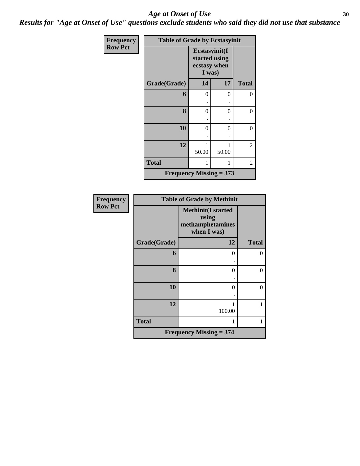*Results for "Age at Onset of Use" questions exclude students who said they did not use that substance*

| Frequency      | <b>Table of Grade by Ecstasyinit</b> |                        |                                |                |  |  |  |  |
|----------------|--------------------------------------|------------------------|--------------------------------|----------------|--|--|--|--|
| <b>Row Pct</b> |                                      | ecstasy when<br>I was) | Ecstasyinit(I<br>started using |                |  |  |  |  |
|                | Grade(Grade)                         | 14                     | 17                             | <b>Total</b>   |  |  |  |  |
|                | 6                                    | 0                      | 0                              | 0              |  |  |  |  |
|                |                                      |                        |                                |                |  |  |  |  |
|                | 8                                    | 0                      | 0                              | $\theta$       |  |  |  |  |
|                |                                      |                        |                                |                |  |  |  |  |
|                | 10                                   | 0                      | 0                              | $\overline{0}$ |  |  |  |  |
|                |                                      |                        |                                |                |  |  |  |  |
|                | 12                                   | 1                      |                                | 2              |  |  |  |  |
|                |                                      | 50.00                  | 50.00                          |                |  |  |  |  |
|                | <b>Total</b>                         | 1                      |                                | 2              |  |  |  |  |
|                | Frequency Missing $= 373$            |                        |                                |                |  |  |  |  |

| Frequency      |              | <b>Table of Grade by Methinit</b>                                     |              |  |  |  |  |  |
|----------------|--------------|-----------------------------------------------------------------------|--------------|--|--|--|--|--|
| <b>Row Pct</b> |              | <b>Methinit(I started</b><br>using<br>methamphetamines<br>when I was) |              |  |  |  |  |  |
|                | Grade(Grade) | 12                                                                    | <b>Total</b> |  |  |  |  |  |
|                | 6            | $\Omega$                                                              | $\theta$     |  |  |  |  |  |
|                | 8            | $\theta$                                                              | 0            |  |  |  |  |  |
|                | 10           | 0                                                                     | $\theta$     |  |  |  |  |  |
|                | 12           | 1<br>100.00                                                           | 1            |  |  |  |  |  |
|                | <b>Total</b> | 1                                                                     | 1            |  |  |  |  |  |
|                |              | Frequency Missing $= 374$                                             |              |  |  |  |  |  |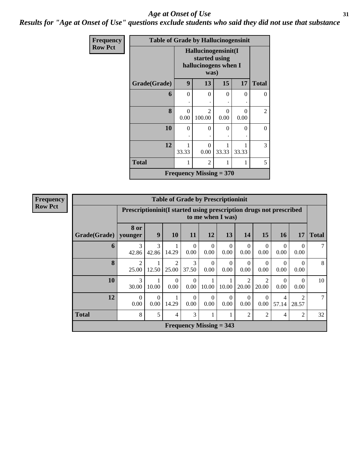*Results for "Age at Onset of Use" questions exclude students who said they did not use that substance*

| Frequency      | <b>Table of Grade by Hallucinogensinit</b> |                  |                                                                      |           |                  |              |  |  |
|----------------|--------------------------------------------|------------------|----------------------------------------------------------------------|-----------|------------------|--------------|--|--|
| <b>Row Pct</b> |                                            |                  | Hallucinogensinit(I<br>started using<br>hallucinogens when I<br>was) |           |                  |              |  |  |
|                | Grade(Grade)                               | 9                | 13                                                                   | 15        | 17               | <b>Total</b> |  |  |
|                | 6                                          | $\theta$         | 0                                                                    | $\Omega$  | $\Omega$         | 0            |  |  |
|                |                                            |                  |                                                                      |           |                  |              |  |  |
|                | 8                                          | $\Omega$<br>0.00 | $\mathcal{D}$<br>100.00                                              | 0<br>0.00 | $\Omega$<br>0.00 | 2            |  |  |
|                | 10                                         | $\theta$         | 0                                                                    | 0         | $\Omega$         | 0            |  |  |
|                | 12                                         | 1<br>33.33       | 0<br>0.00                                                            | 33.33     | 33.33            | 3            |  |  |
|                | <b>Total</b>                               | 1                | $\mathfrak{D}$                                                       |           | 1                | 5            |  |  |
|                |                                            |                  | Frequency Missing $= 370$                                            |           |                  |              |  |  |

| <b>Frequency</b> |
|------------------|
| <b>Row Pct</b>   |

| <b>Table of Grade by Prescriptioninit</b> |                                                                                       |                                                                                                                                                                                 |                         |                  |                                |                      |                         |                         |                  |                  |              |
|-------------------------------------------|---------------------------------------------------------------------------------------|---------------------------------------------------------------------------------------------------------------------------------------------------------------------------------|-------------------------|------------------|--------------------------------|----------------------|-------------------------|-------------------------|------------------|------------------|--------------|
|                                           |                                                                                       | Prescription in the started using prescription drugs not prescribed<br>to me when I was)                                                                                        |                         |                  |                                |                      |                         |                         |                  |                  |              |
| Grade(Grade)                              | 8 or<br>younger                                                                       | $\boldsymbol{9}$                                                                                                                                                                | 10                      | 11               | 12                             | 13                   | 14                      | 15                      | <b>16</b>        | 17               | <b>Total</b> |
| 6                                         | 3<br>42.86                                                                            | 3<br>42.86                                                                                                                                                                      | 14.29                   | $\Omega$<br>0.00 | $\Omega$<br>0.00               | $\mathbf{0}$<br>0.00 | $\Omega$<br>0.00        | $\Omega$<br>0.00        | $\Omega$<br>0.00 | $\Omega$<br>0.00 |              |
| 8                                         | $\overline{2}$<br>25.00                                                               | 12.50                                                                                                                                                                           | $\overline{2}$<br>25.00 | 3<br>37.50       | $\Omega$<br>0.00               | $\Omega$<br>0.00     | $\Omega$<br>0.00        | $\Omega$<br>0.00        | $\Omega$<br>0.00 | $\Omega$<br>0.00 | 8            |
| 10                                        | 3<br>30.00                                                                            | 10.00                                                                                                                                                                           | $\theta$<br>0.00        | $\Omega$<br>0.00 | 10.00                          | 1<br>10.00           | $\mathfrak{D}$<br>20.00 | $\mathfrak{D}$<br>20.00 | $\Omega$<br>0.00 | $\Omega$<br>0.00 | 10           |
| 12                                        | $\Omega$<br>0.00                                                                      | $\mathfrak{D}$<br>$\Omega$<br>$\Omega$<br>$\Omega$<br>$\Omega$<br>1<br>$\mathbf{0}$<br>$\Omega$<br>4<br>14.29<br>0.00<br>0.00<br>0.00<br>0.00<br>0.00<br>0.00<br>57.14<br>28.57 |                         |                  |                                |                      |                         |                         |                  |                  |              |
| <b>Total</b>                              | 8<br>5<br>3<br>$\overline{2}$<br>$\overline{2}$<br>2<br>$\overline{4}$<br>1<br>1<br>4 |                                                                                                                                                                                 |                         |                  |                                |                      |                         |                         |                  |                  | 32           |
|                                           |                                                                                       |                                                                                                                                                                                 |                         |                  | <b>Frequency Missing = 343</b> |                      |                         |                         |                  |                  |              |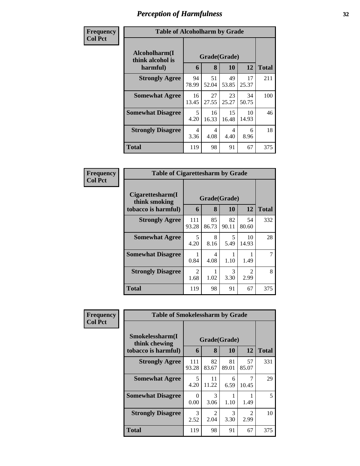| Frequency      | <b>Table of Alcoholharm by Grade</b>          |             |                   |             |             |              |  |
|----------------|-----------------------------------------------|-------------|-------------------|-------------|-------------|--------------|--|
| <b>Col Pct</b> | Alcoholharm(I<br>think alcohol is<br>harmful) | 6           | Grade(Grade)<br>8 | 10          | 12          | <b>Total</b> |  |
|                | <b>Strongly Agree</b>                         | 94<br>78.99 | 51<br>52.04       | 49<br>53.85 | 17<br>25.37 | 211          |  |
|                | <b>Somewhat Agree</b>                         | 16<br>13.45 | 27<br>27.55       | 23<br>25.27 | 34<br>50.75 | 100          |  |
|                | <b>Somewhat Disagree</b>                      | 5<br>4.20   | 16<br>16.33       | 15<br>16.48 | 10<br>14.93 | 46           |  |
|                | <b>Strongly Disagree</b>                      | 4<br>3.36   | 4<br>4.08         | 4<br>4.40   | 6<br>8.96   | 18           |  |
|                | Total                                         | 119         | 98                | 91          | 67          | 375          |  |

| Frequency      | <b>Table of Cigarettesharm by Grade</b>                  |              |                   |             |                        |              |
|----------------|----------------------------------------------------------|--------------|-------------------|-------------|------------------------|--------------|
| <b>Col Pct</b> | Cigarettesharm(I<br>think smoking<br>tobacco is harmful) | 6            | Grade(Grade)<br>8 | 10          | 12                     | <b>Total</b> |
|                | <b>Strongly Agree</b>                                    | 111<br>93.28 | 85<br>86.73       | 82<br>90.11 | 54<br>80.60            | 332          |
|                | <b>Somewhat Agree</b>                                    | 5<br>4.20    | 8<br>8.16         | 5<br>5.49   | 10<br>14.93            | 28           |
|                | <b>Somewhat Disagree</b>                                 | 0.84         | 4<br>4.08         | 1.10        | 1.49                   |              |
|                | <b>Strongly Disagree</b>                                 | 2<br>1.68    | 1.02              | 3<br>3.30   | $\mathfrak{D}$<br>2.99 | 8            |
|                | <b>Total</b>                                             | 119          | 98                | 91          | 67                     | 375          |

| Frequency      | <b>Table of Smokelessharm by Grade</b> |              |                        |             |                        |              |  |  |  |
|----------------|----------------------------------------|--------------|------------------------|-------------|------------------------|--------------|--|--|--|
| <b>Col Pct</b> | Smokelessharm(I<br>think chewing       | Grade(Grade) |                        |             |                        |              |  |  |  |
|                | tobacco is harmful)                    | 6            | 8                      | 10          | 12                     | <b>Total</b> |  |  |  |
|                | <b>Strongly Agree</b>                  | 111<br>93.28 | 82<br>83.67            | 81<br>89.01 | 57<br>85.07            | 331          |  |  |  |
|                | <b>Somewhat Agree</b>                  | 5<br>4.20    | 11<br>11.22            | 6<br>6.59   | 10.45                  | 29           |  |  |  |
|                | <b>Somewhat Disagree</b>               | 0<br>0.00    | 3<br>3.06              | 1.10        | 1.49                   | 5            |  |  |  |
|                | <b>Strongly Disagree</b>               | 3<br>2.52    | $\overline{2}$<br>2.04 | 3<br>3.30   | $\mathfrak{D}$<br>2.99 | 10           |  |  |  |
|                | <b>Total</b>                           | 119          | 98                     | 91          | 67                     | 375          |  |  |  |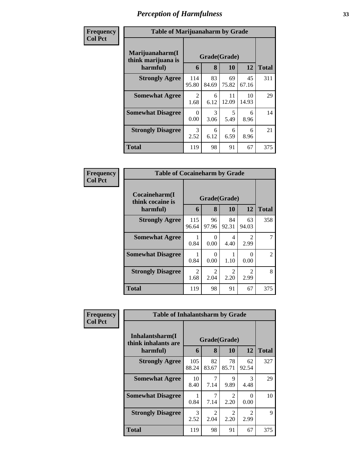| Frequency      |                                                   | <b>Table of Marijuanaharm by Grade</b> |                       |             |             |              |  |  |
|----------------|---------------------------------------------------|----------------------------------------|-----------------------|-------------|-------------|--------------|--|--|
| <b>Col Pct</b> | Marijuanaharm(I<br>think marijuana is<br>harmful) | 6                                      | Grade(Grade)<br>8     | 10          | 12          | <b>Total</b> |  |  |
|                | <b>Strongly Agree</b>                             | 114<br>95.80                           | 83<br>84.69           | 69<br>75.82 | 45<br>67.16 | 311          |  |  |
|                | <b>Somewhat Agree</b>                             | 2<br>1.68                              | 6<br>6.12             | 11<br>12.09 | 10<br>14.93 | 29           |  |  |
|                | <b>Somewhat Disagree</b>                          | 0<br>0.00                              | $\mathcal{R}$<br>3.06 | 5<br>5.49   | 6<br>8.96   | 14           |  |  |
|                | <b>Strongly Disagree</b>                          | $\mathcal{R}$<br>2.52                  | 6<br>6.12             | 6<br>6.59   | 6<br>8.96   | 21           |  |  |
|                | <b>Total</b>                                      | 119                                    | 98                    | 91          | 67          | 375          |  |  |

| Frequency      | <b>Table of Cocaineharm by Grade</b>          |                        |                                     |                                     |                                     |              |
|----------------|-----------------------------------------------|------------------------|-------------------------------------|-------------------------------------|-------------------------------------|--------------|
| <b>Col Pct</b> | Cocaineharm(I<br>think cocaine is<br>harmful) | 6                      | Grade(Grade)<br>8                   | 10                                  | 12                                  | <b>Total</b> |
|                | <b>Strongly Agree</b>                         | 115<br>96.64           | 96<br>97.96                         | 84<br>92.31                         | 63<br>94.03                         | 358          |
|                | <b>Somewhat Agree</b>                         | 0.84                   | $\Omega$<br>0.00                    | 4<br>4.40                           | $\mathcal{D}_{\mathcal{L}}$<br>2.99 |              |
|                | <b>Somewhat Disagree</b>                      | 0.84                   | $\Omega$<br>0.00                    | 1.10                                | ∩<br>0.00                           | 2            |
|                | <b>Strongly Disagree</b>                      | $\mathfrak{D}$<br>1.68 | $\mathcal{D}_{\mathcal{L}}$<br>2.04 | $\mathcal{D}_{\mathcal{L}}$<br>2.20 | $\mathcal{D}_{\mathcal{L}}$<br>2.99 | 8            |
|                | <b>Total</b>                                  | 119                    | 98                                  | 91                                  | 67                                  | 375          |

| Frequency      | <b>Table of Inhalantsharm by Grade</b>  |                       |                        |                       |                                     |              |  |  |
|----------------|-----------------------------------------|-----------------------|------------------------|-----------------------|-------------------------------------|--------------|--|--|
| <b>Col Pct</b> | Inhalantsharm(I)<br>think inhalants are | Grade(Grade)          |                        |                       |                                     |              |  |  |
|                | harmful)                                | 6                     | 8                      | 10                    | 12                                  | <b>Total</b> |  |  |
|                | <b>Strongly Agree</b>                   | 105<br>88.24          | 82<br>83.67            | 78<br>85.71           | 62<br>92.54                         | 327          |  |  |
|                | <b>Somewhat Agree</b>                   | 10<br>8.40            | 7<br>7.14              | 9<br>9.89             | $\mathcal{R}$<br>4.48               | 29           |  |  |
|                | <b>Somewhat Disagree</b>                | 0.84                  | 7<br>7.14              | $\mathcal{L}$<br>2.20 | 0<br>0.00                           | 10           |  |  |
|                | <b>Strongly Disagree</b>                | $\mathcal{F}$<br>2.52 | $\mathfrak{D}$<br>2.04 | $\mathcal{L}$<br>2.20 | $\mathcal{D}_{\mathcal{L}}$<br>2.99 | $\mathbf Q$  |  |  |
|                | Total                                   | 119                   | 98                     | 91                    | 67                                  | 375          |  |  |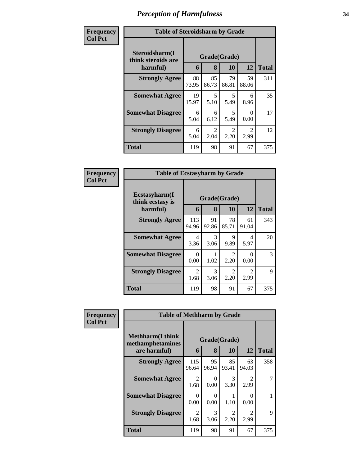| <b>Frequency</b> | <b>Table of Steroidsharm by Grade</b> |              |                                  |                                     |                                     |              |  |
|------------------|---------------------------------------|--------------|----------------------------------|-------------------------------------|-------------------------------------|--------------|--|
| <b>Col Pct</b>   | Steroidsharm(I<br>think steroids are  | Grade(Grade) |                                  |                                     |                                     |              |  |
|                  | harmful)                              | 6            | 8                                | 10                                  | 12                                  | <b>Total</b> |  |
|                  | <b>Strongly Agree</b>                 | 88<br>73.95  | 85<br>86.73                      | 79<br>86.81                         | 59<br>88.06                         | 311          |  |
|                  | <b>Somewhat Agree</b>                 | 19<br>15.97  | $\overline{\mathcal{L}}$<br>5.10 | 5<br>5.49                           | 6<br>8.96                           | 35           |  |
|                  | <b>Somewhat Disagree</b>              | 6<br>5.04    | 6<br>6.12                        | 5<br>5.49                           | 0<br>0.00                           | 17           |  |
|                  | <b>Strongly Disagree</b>              | 6<br>5.04    | $\mathfrak{D}$<br>2.04           | $\mathcal{D}_{\mathcal{L}}$<br>2.20 | $\mathcal{D}_{\mathcal{L}}$<br>2.99 | 12           |  |
|                  | <b>Total</b>                          | 119          | 98                               | 91                                  | 67                                  | 375          |  |

| Frequency      | <b>Table of Ecstasyharm by Grade</b>                |                   |             |                                     |                        |     |  |
|----------------|-----------------------------------------------------|-------------------|-------------|-------------------------------------|------------------------|-----|--|
| <b>Col Pct</b> | $E$ cstasyharm $(I$<br>think ecstasy is<br>harmful) | Grade(Grade)<br>6 | 12          | <b>Total</b>                        |                        |     |  |
|                | <b>Strongly Agree</b>                               | 113<br>94.96      | 91<br>92.86 | 78<br>85.71                         | 61<br>91.04            | 343 |  |
|                | <b>Somewhat Agree</b>                               | 4<br>3.36         | 3<br>3.06   | 9<br>9.89                           | 4<br>5.97              | 20  |  |
|                | <b>Somewhat Disagree</b>                            | 0<br>0.00         | 1.02        | $\mathfrak{D}$<br>2.20              | 0.00                   | 3   |  |
|                | <b>Strongly Disagree</b>                            | 2<br>1.68         | 3<br>3.06   | $\mathcal{D}_{\mathcal{L}}$<br>2.20 | $\mathfrak{D}$<br>2.99 | 9   |  |
|                | <b>Total</b>                                        | 119               | 98          | 91                                  | 67                     | 375 |  |

| Frequency      | <b>Table of Methharm by Grade</b>            |                        |                  |                                     |                                     |              |  |  |
|----------------|----------------------------------------------|------------------------|------------------|-------------------------------------|-------------------------------------|--------------|--|--|
| <b>Col Pct</b> | <b>Methharm</b> (I think<br>methamphetamines | Grade(Grade)           |                  |                                     |                                     |              |  |  |
|                | are harmful)                                 | 6                      | 8                | 10                                  | 12                                  | <b>Total</b> |  |  |
|                | <b>Strongly Agree</b>                        | 115<br>96.64           | 95<br>96.94      | 85<br>93.41                         | 63<br>94.03                         | 358          |  |  |
|                | <b>Somewhat Agree</b>                        | $\mathfrak{D}$<br>1.68 | $\Omega$<br>0.00 | 3<br>3.30                           | $\mathcal{D}_{\mathcal{L}}$<br>2.99 |              |  |  |
|                | <b>Somewhat Disagree</b>                     | 0<br>0.00              | 0<br>0.00        | 1.10                                | 0.00                                |              |  |  |
|                | <b>Strongly Disagree</b>                     | $\mathfrak{D}$<br>1.68 | 3<br>3.06        | $\mathcal{D}_{\mathcal{L}}$<br>2.20 | $\mathfrak{D}$<br>2.99              | 9            |  |  |
|                | <b>Total</b>                                 | 119                    | 98               | 91                                  | 67                                  | 375          |  |  |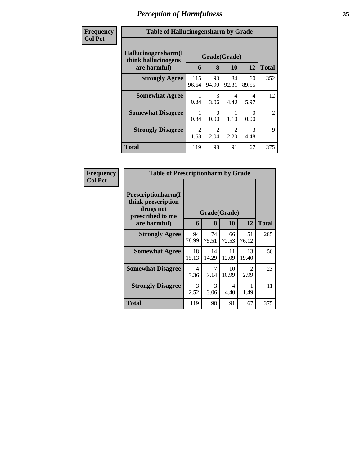| Frequency      | <b>Table of Hallucinogensharm by Grade</b>                                                              |              |                                     |                                     |                       |                |  |  |
|----------------|---------------------------------------------------------------------------------------------------------|--------------|-------------------------------------|-------------------------------------|-----------------------|----------------|--|--|
| <b>Col Pct</b> | Hallucinogensharm(I<br>Grade(Grade)<br>think hallucinogens<br>12<br>are harmful)<br>8<br><b>10</b><br>6 |              |                                     |                                     |                       |                |  |  |
|                | <b>Strongly Agree</b>                                                                                   | 115<br>96.64 | 93<br>94.90                         | 84<br>92.31                         | 60<br>89.55           | 352            |  |  |
|                | <b>Somewhat Agree</b>                                                                                   | 0.84         | $\mathcal{R}$<br>3.06               | $\overline{4}$<br>4.40              | 4<br>5.97             | 12             |  |  |
|                | <b>Somewhat Disagree</b>                                                                                | 0.84         | $\mathbf{\Omega}$<br>0.00           | 1.10                                | ∩<br>0.00             | $\overline{2}$ |  |  |
|                | <b>Strongly Disagree</b>                                                                                | 2<br>1.68    | $\mathcal{D}_{\mathcal{L}}$<br>2.04 | $\mathcal{D}_{\mathcal{L}}$<br>2.20 | $\mathcal{R}$<br>4.48 | 9              |  |  |
|                | <b>Total</b>                                                                                            | 119          | 98                                  | 91                                  | 67                    | 375            |  |  |

| Frequency      | <b>Table of Prescriptionharm by Grade</b>                                 |              |             |             |                                     |              |  |  |
|----------------|---------------------------------------------------------------------------|--------------|-------------|-------------|-------------------------------------|--------------|--|--|
| <b>Col Pct</b> | Prescriptionharm(I<br>think prescription<br>drugs not<br>prescribed to me | Grade(Grade) |             |             |                                     |              |  |  |
|                | are harmful)                                                              | 6            | 8           | 10          | 12                                  | <b>Total</b> |  |  |
|                | <b>Strongly Agree</b>                                                     | 94<br>78.99  | 74<br>75.51 | 66<br>72.53 | 51<br>76.12                         | 285          |  |  |
|                | <b>Somewhat Agree</b>                                                     | 18<br>15.13  | 14<br>14.29 | 11<br>12.09 | 13<br>19.40                         | 56           |  |  |
|                | <b>Somewhat Disagree</b>                                                  | 4<br>3.36    | 7<br>7.14   | 10<br>10.99 | $\mathcal{D}_{\mathcal{L}}$<br>2.99 | 23           |  |  |
|                | <b>Strongly Disagree</b>                                                  | 3<br>2.52    | 3<br>3.06   | 4<br>4.40   | 1.49                                | 11           |  |  |
|                | Total                                                                     | 119          | 98          | 91          | 67                                  | 375          |  |  |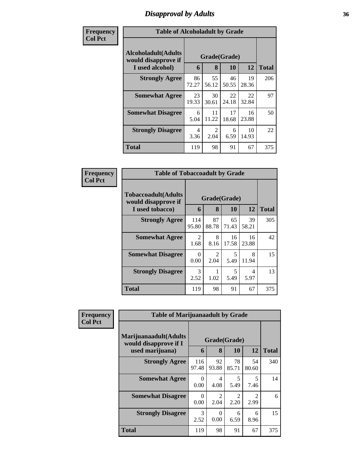## *Disapproval by Adults* **36**

| Frequency      | <b>Table of Alcoholadult by Grade</b>                                 |             |                        |             |             |              |  |
|----------------|-----------------------------------------------------------------------|-------------|------------------------|-------------|-------------|--------------|--|
| <b>Col Pct</b> | <b>Alcoholadult</b> (Adults<br>would disapprove if<br>I used alcohol) | 6           | Grade(Grade)<br>8      | 10          | 12          | <b>Total</b> |  |
|                | <b>Strongly Agree</b>                                                 | 86<br>72.27 | 55<br>56.12            | 46<br>50.55 | 19<br>28.36 | 206          |  |
|                | <b>Somewhat Agree</b>                                                 | 23<br>19.33 | 30<br>30.61            | 22<br>24.18 | 22<br>32.84 | 97           |  |
|                | <b>Somewhat Disagree</b>                                              | 6<br>5.04   | 11<br>11.22            | 17<br>18.68 | 16<br>23.88 | 50           |  |
|                | <b>Strongly Disagree</b>                                              | 4<br>3.36   | $\mathfrak{D}$<br>2.04 | 6<br>6.59   | 10<br>14.93 | 22           |  |
|                | <b>Total</b>                                                          | 119         | 98                     | 91          | 67          | 375          |  |

| Frequency      | <b>Table of Tobaccoadult by Grade</b>                         |                        |                                                                                                                                                                         |                           |             |              |  |
|----------------|---------------------------------------------------------------|------------------------|-------------------------------------------------------------------------------------------------------------------------------------------------------------------------|---------------------------|-------------|--------------|--|
| <b>Col Pct</b> | Tobaccoadult(Adults<br>would disapprove if<br>I used tobacco) | 6                      | 8                                                                                                                                                                       | Grade(Grade)<br><b>10</b> | 12          | <b>Total</b> |  |
|                | <b>Strongly Agree</b>                                         | 114<br>95.80           | 87<br>88.78                                                                                                                                                             | 65<br>71.43               | 39<br>58.21 | 305          |  |
|                | <b>Somewhat Agree</b>                                         | $\overline{c}$<br>1.68 | 8<br>8.16                                                                                                                                                               | 16<br>17.58               | 16<br>23.88 | 42           |  |
|                | <b>Somewhat Disagree</b>                                      | 0<br>0.00              | $\mathcal{D}_{\mathcal{A}}^{\mathcal{A}}(\mathcal{A})=\mathcal{D}_{\mathcal{A}}^{\mathcal{A}}(\mathcal{A})\mathcal{D}_{\mathcal{A}}^{\mathcal{A}}(\mathcal{A})$<br>2.04 | 5<br>5.49                 | 8<br>11.94  | 15           |  |
|                | <b>Strongly Disagree</b>                                      | 3<br>2.52              | 1.02                                                                                                                                                                    | 5<br>5.49                 | 4<br>5.97   | 13           |  |
|                | <b>Total</b>                                                  | 119                    | 98                                                                                                                                                                      | 91                        | 67          | 375          |  |

| Frequency      | <b>Table of Marijuanaadult by Grade</b>        |                       |                        |                       |             |              |  |
|----------------|------------------------------------------------|-----------------------|------------------------|-----------------------|-------------|--------------|--|
| <b>Col Pct</b> | Marijuanaadult(Adults<br>would disapprove if I |                       |                        | Grade(Grade)          |             |              |  |
|                | used marijuana)                                | 6                     | 8                      | <b>10</b>             | 12          | <b>Total</b> |  |
|                | <b>Strongly Agree</b>                          | 116<br>97.48          | 92<br>93.88            | 78<br>85.71           | 54<br>80.60 | 340          |  |
|                | <b>Somewhat Agree</b>                          | 0<br>0.00             | 4<br>4.08              | 5<br>5.49             | 5<br>7.46   | 14           |  |
|                | <b>Somewhat Disagree</b>                       | 0<br>0.00             | $\mathfrak{D}$<br>2.04 | $\mathcal{L}$<br>2.20 | 2.99        | 6            |  |
|                | <b>Strongly Disagree</b>                       | $\mathcal{R}$<br>2.52 | 0<br>0.00              | 6<br>6.59             | 6<br>8.96   | 15           |  |
|                | <b>Total</b>                                   | 119                   | 98                     | 91                    | 67          | 375          |  |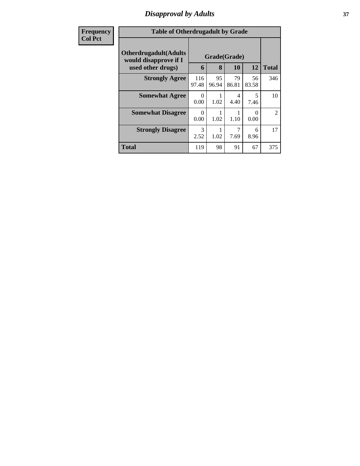## *Disapproval by Adults* **37**

| <b>Frequency</b> | <b>Table of Otherdrugadult by Grade</b>                                     |                  |                   |             |             |                |
|------------------|-----------------------------------------------------------------------------|------------------|-------------------|-------------|-------------|----------------|
| <b>Col Pct</b>   | <b>Otherdrugadult</b> (Adults<br>would disapprove if I<br>used other drugs) | 6                | Grade(Grade)<br>8 | 10          | 12          | <b>Total</b>   |
|                  | <b>Strongly Agree</b>                                                       | 116<br>97.48     | 95<br>96.94       | 79<br>86.81 | 56<br>83.58 | 346            |
|                  | <b>Somewhat Agree</b>                                                       | $\Omega$<br>0.00 | 1.02              | 4<br>4.40   | 5<br>7.46   | 10             |
|                  | <b>Somewhat Disagree</b>                                                    | $\Omega$<br>0.00 | 1.02              | 1.10        | 0<br>0.00   | $\mathfrak{D}$ |
|                  | <b>Strongly Disagree</b>                                                    | 3<br>2.52        | 1.02              | 7.69        | 6<br>8.96   | 17             |
|                  | <b>Total</b>                                                                | 119              | 98                | 91          | 67          | 375            |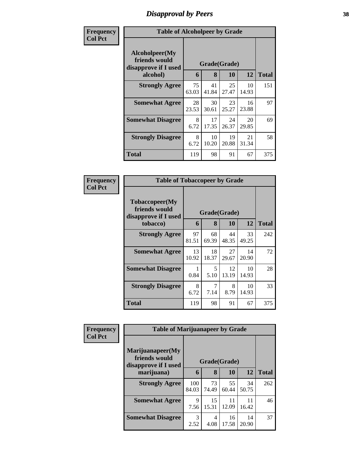## *Disapproval by Peers* **38**

| Frequency      | <b>Table of Alcoholpeer by Grade</b>                    |              |             |             |             |              |
|----------------|---------------------------------------------------------|--------------|-------------|-------------|-------------|--------------|
| <b>Col Pct</b> | Alcoholpeer(My<br>friends would<br>disapprove if I used | Grade(Grade) |             |             |             |              |
|                | alcohol)                                                | 6            | 8           | 10          | 12          | <b>Total</b> |
|                | <b>Strongly Agree</b>                                   | 75<br>63.03  | 41<br>41.84 | 25<br>27.47 | 10<br>14.93 | 151          |
|                | <b>Somewhat Agree</b>                                   | 28<br>23.53  | 30<br>30.61 | 23<br>25.27 | 16<br>23.88 | 97           |
|                | <b>Somewhat Disagree</b>                                | 8<br>6.72    | 17<br>17.35 | 24<br>26.37 | 20<br>29.85 | 69           |
|                | <b>Strongly Disagree</b>                                | 8<br>6.72    | 10<br>10.20 | 19<br>20.88 | 21<br>31.34 | 58           |
|                | Total                                                   | 119          | 98          | 91          | 67          | 375          |

| Frequency      | <b>Table of Tobaccopeer by Grade</b>                            |              |             |             |             |              |
|----------------|-----------------------------------------------------------------|--------------|-------------|-------------|-------------|--------------|
| <b>Col Pct</b> | <b>Tobaccopeer</b> (My<br>friends would<br>disapprove if I used | Grade(Grade) |             |             |             |              |
|                | tobacco)                                                        | 6            | 8           | 10          | 12          | <b>Total</b> |
|                | <b>Strongly Agree</b>                                           | 97<br>81.51  | 68<br>69.39 | 44<br>48.35 | 33<br>49.25 | 242          |
|                | <b>Somewhat Agree</b>                                           | 13<br>10.92  | 18<br>18.37 | 27<br>29.67 | 14<br>20.90 | 72           |
|                | <b>Somewhat Disagree</b>                                        | 0.84         | 5<br>5.10   | 12<br>13.19 | 10<br>14.93 | 28           |
|                | <b>Strongly Disagree</b>                                        | 8<br>6.72    | 7<br>7.14   | 8<br>8.79   | 10<br>14.93 | 33           |
|                | Total                                                           | 119          | 98          | 91          | 67          | 375          |

| <b>Frequency</b> | <b>Table of Marijuanapeer by Grade</b>                                  |                       |              |             |             |     |
|------------------|-------------------------------------------------------------------------|-----------------------|--------------|-------------|-------------|-----|
| <b>Col Pct</b>   | Marijuanapeer(My<br>friends would<br>disapprove if I used<br>marijuana) | Grade(Grade)<br>6     | <b>Total</b> |             |             |     |
|                  | <b>Strongly Agree</b>                                                   | 100<br>84.03          | 73<br>74.49  | 55<br>60.44 | 34<br>50.75 | 262 |
|                  | <b>Somewhat Agree</b>                                                   | 9<br>7.56             | 15<br>15.31  | 11<br>12.09 | 11<br>16.42 | 46  |
|                  | <b>Somewhat Disagree</b>                                                | $\mathcal{R}$<br>2.52 | 4<br>4.08    | 16<br>17.58 | 14<br>20.90 | 37  |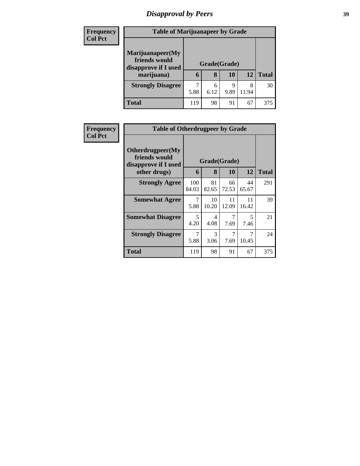# *Disapproval by Peers* **39**

| <b>Frequency</b> | <b>Table of Marijuanapeer by Grade</b> |              |      |      |       |              |
|------------------|----------------------------------------|--------------|------|------|-------|--------------|
| <b>Col Pct</b>   | Marijuanapeer(My                       |              |      |      |       |              |
|                  | friends would<br>disapprove if I used  | Grade(Grade) |      |      |       |              |
|                  | marijuana)                             | 6            | 8    | 10   | 12    | <b>Total</b> |
|                  | <b>Strongly Disagree</b>               | 7            | 6    | 9    | 8     | 30           |
|                  |                                        | 5.88         | 6.12 | 9.89 | 11.94 |              |
|                  | <b>Total</b>                           | 119          | 98   | 91   | 67    | 375          |

| Frequency      | <b>Table of Otherdrugpeer by Grade</b>                                    |              |                       |             |             |              |
|----------------|---------------------------------------------------------------------------|--------------|-----------------------|-------------|-------------|--------------|
| <b>Col Pct</b> | Otherdrugpeer(My<br>friends would<br>disapprove if I used<br>other drugs) | 6            | Grade(Grade)<br>8     | 10          | 12          | <b>Total</b> |
|                | <b>Strongly Agree</b>                                                     | 100<br>84.03 | 81<br>82.65           | 66<br>72.53 | 44<br>65.67 | 291          |
|                | <b>Somewhat Agree</b>                                                     | 7<br>5.88    | 10<br>10.20           | 11<br>12.09 | 11<br>16.42 | 39           |
|                | <b>Somewhat Disagree</b>                                                  | 5<br>4.20    | 4<br>4.08             | 7<br>7.69   | 5<br>7.46   | 21           |
|                | <b>Strongly Disagree</b>                                                  | 7<br>5.88    | $\mathcal{F}$<br>3.06 | 7<br>7.69   | 7<br>10.45  | 24           |
|                | Total                                                                     | 119          | 98                    | 91          | 67          | 375          |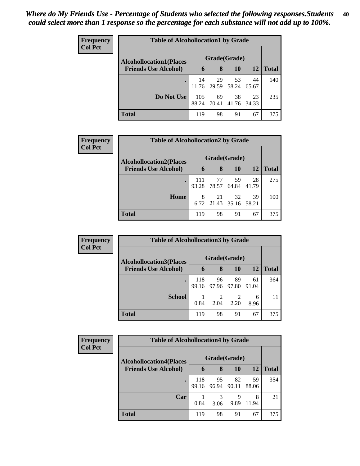| Frequency<br><b>Col Pct</b> | <b>Table of Alcohollocation1 by Grade</b> |              |             |             |             |              |  |  |
|-----------------------------|-------------------------------------------|--------------|-------------|-------------|-------------|--------------|--|--|
|                             | <b>Alcohollocation1(Places</b>            | Grade(Grade) |             |             |             |              |  |  |
|                             | <b>Friends Use Alcohol)</b>               | 6            | 8           | 10          | <b>12</b>   | <b>Total</b> |  |  |
|                             |                                           | 14<br>11.76  | 29<br>29.59 | 53<br>58.24 | 44<br>65.67 | 140          |  |  |
|                             | Do Not Use                                | 105<br>88.24 | 69<br>70.41 | 38<br>41.76 | 23<br>34.33 | 235          |  |  |
|                             | <b>Total</b>                              | 119          | 98          | 91          | 67          | 375          |  |  |

| Frequency      | <b>Table of Alcohollocation2 by Grade</b> |              |             |             |             |              |  |
|----------------|-------------------------------------------|--------------|-------------|-------------|-------------|--------------|--|
| <b>Col Pct</b> | <b>Alcohollocation2(Places</b>            | Grade(Grade) |             |             |             |              |  |
|                | <b>Friends Use Alcohol)</b>               | 6            | 8           | <b>10</b>   | 12          | <b>Total</b> |  |
|                |                                           | 111<br>93.28 | 77<br>78.57 | 59<br>64.84 | 28<br>41.79 | 275          |  |
|                | Home                                      | 8<br>6.72    | 21<br>21.43 | 32<br>35.16 | 39<br>58.21 | 100          |  |
|                | <b>Total</b>                              | 119          | 98          | 91          | 67          | 375          |  |

| <b>Frequency</b> | <b>Table of Alcohollocation 3 by Grade</b> |              |              |             |             |              |  |  |
|------------------|--------------------------------------------|--------------|--------------|-------------|-------------|--------------|--|--|
| <b>Col Pct</b>   | <b>Alcohollocation3</b> (Places            |              | Grade(Grade) |             |             |              |  |  |
|                  | <b>Friends Use Alcohol)</b>                | 6            | 8            | 10          | 12          | <b>Total</b> |  |  |
|                  |                                            | 118<br>99.16 | 96<br>97.96  | 89<br>97.80 | 61<br>91.04 | 364          |  |  |
|                  | <b>School</b>                              | 0.84         | 2<br>2.04    | ↑<br>2.20   | 6<br>8.96   | 11           |  |  |
|                  | <b>Total</b>                               | 119          | 98           | 91          | 67          | 375          |  |  |

| Frequency      | <b>Table of Alcohollocation4 by Grade</b> |              |             |             |             |              |  |  |
|----------------|-------------------------------------------|--------------|-------------|-------------|-------------|--------------|--|--|
| <b>Col Pct</b> | <b>Alcohollocation4(Places</b>            | Grade(Grade) |             |             |             |              |  |  |
|                | <b>Friends Use Alcohol)</b>               | 6            | 8           | 10          | 12          | <b>Total</b> |  |  |
|                |                                           | 118<br>99.16 | 95<br>96.94 | 82<br>90.11 | 59<br>88.06 | 354          |  |  |
|                | Car                                       | 0.84         | 3<br>3.06   | 9<br>9.89   | 8<br>11.94  | 21           |  |  |
|                | <b>Total</b>                              | 119          | 98          | 91          | 67          | 375          |  |  |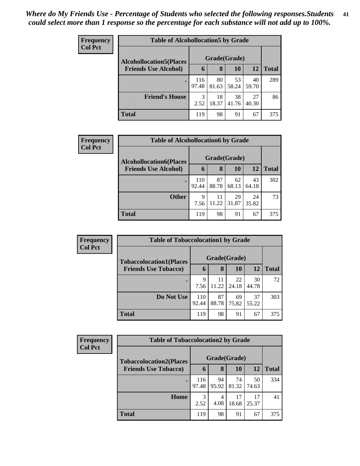| <b>Frequency</b> | <b>Table of Alcohollocation5 by Grade</b> |              |              |             |             |       |  |  |
|------------------|-------------------------------------------|--------------|--------------|-------------|-------------|-------|--|--|
| <b>Col Pct</b>   | <b>Alcohollocation5</b> (Places           |              | Grade(Grade) |             |             |       |  |  |
|                  | <b>Friends Use Alcohol)</b>               | $\mathbf b$  | 8            | 10          | 12          | Total |  |  |
|                  |                                           | 116<br>97.48 | 80<br>81.63  | 53<br>58.24 | 40<br>59.70 | 289   |  |  |
|                  | <b>Friend's House</b>                     | 3<br>2.52    | 18<br>18.37  | 38<br>41.76 | 27<br>40.30 | 86    |  |  |
|                  | <b>Total</b>                              | 119          | 98           | 91          | 67          | 375   |  |  |

| Frequency      | <b>Table of Alcohollocation6 by Grade</b> |              |              |             |             |              |  |
|----------------|-------------------------------------------|--------------|--------------|-------------|-------------|--------------|--|
| <b>Col Pct</b> | <b>Alcohollocation6(Places</b>            |              | Grade(Grade) |             |             |              |  |
|                | <b>Friends Use Alcohol)</b>               | 6            | 8            | <b>10</b>   | 12          | <b>Total</b> |  |
|                |                                           | 110<br>92.44 | 87<br>88.78  | 62<br>68.13 | 43<br>64.18 | 302          |  |
|                | <b>Other</b>                              | 9<br>7.56    | 11<br>11.22  | 29<br>31.87 | 24<br>35.82 | 73           |  |
|                | <b>Total</b>                              | 119          | 98           | 91          | 67          | 375          |  |

| Frequency      |                                | <b>Table of Tobaccolocation1 by Grade</b> |             |             |             |              |  |  |  |  |
|----------------|--------------------------------|-------------------------------------------|-------------|-------------|-------------|--------------|--|--|--|--|
| <b>Col Pct</b> | <b>Tobaccolocation1(Places</b> | Grade(Grade)                              |             |             |             |              |  |  |  |  |
|                | <b>Friends Use Tobacco)</b>    | 6                                         | 8           | 10          | 12          | <b>Total</b> |  |  |  |  |
|                |                                | 9<br>7.56                                 | 11<br>11.22 | 22<br>24.18 | 30<br>44.78 | 72           |  |  |  |  |
|                | Do Not Use                     | 110<br>92.44                              | 87<br>88.78 | 69<br>75.82 | 37<br>55.22 | 303          |  |  |  |  |
|                | <b>Total</b>                   | 119                                       | 98          | 91          | 67          | 375          |  |  |  |  |

| Frequency      | <b>Table of Tobaccolocation2 by Grade</b> |              |             |             |             |              |  |  |
|----------------|-------------------------------------------|--------------|-------------|-------------|-------------|--------------|--|--|
| <b>Col Pct</b> | <b>Tobaccolocation2(Places</b>            | Grade(Grade) |             |             |             |              |  |  |
|                | <b>Friends Use Tobacco)</b>               | 6            | 8           | 10          | 12          | <b>Total</b> |  |  |
|                |                                           | 116<br>97.48 | 94<br>95.92 | 74<br>81.32 | 50<br>74.63 | 334          |  |  |
|                | Home                                      | 3<br>2.52    | 4<br>4.08   | 17<br>18.68 | 17<br>25.37 | 41           |  |  |
|                | <b>Total</b>                              | 119          | 98          | 91          | 67          | 375          |  |  |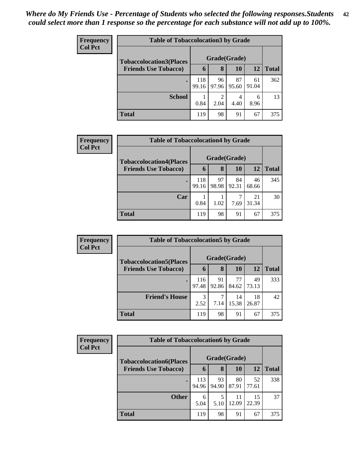| <b>Frequency</b><br><b>Col Pct</b> | <b>Table of Tobaccolocation3 by Grade</b> |              |                        |             |             |              |  |  |  |
|------------------------------------|-------------------------------------------|--------------|------------------------|-------------|-------------|--------------|--|--|--|
|                                    | <b>Tobaccolocation3(Places</b>            | Grade(Grade) |                        |             |             |              |  |  |  |
|                                    | <b>Friends Use Tobacco)</b>               | 6            | 8                      | 10          | 12          | <b>Total</b> |  |  |  |
|                                    |                                           | 118<br>99.16 | 96<br>97.96            | 87<br>95.60 | 61<br>91.04 | 362          |  |  |  |
|                                    | <b>School</b>                             | 0.84         | $\overline{2}$<br>2.04 | 4.40        | 6<br>8.96   | 13           |  |  |  |
|                                    | <b>Total</b>                              | 119          | 98                     | 91          | 67          | 375          |  |  |  |

| Frequency      | <b>Table of Tobaccolocation4 by Grade</b> |              |             |             |             |              |
|----------------|-------------------------------------------|--------------|-------------|-------------|-------------|--------------|
| <b>Col Pct</b> | <b>Tobaccolocation4(Places</b>            | Grade(Grade) |             |             |             |              |
|                | <b>Friends Use Tobacco)</b>               | 6            | 8           | <b>10</b>   | <b>12</b>   | <b>Total</b> |
|                |                                           | 118<br>99.16 | 97<br>98.98 | 84<br>92.31 | 46<br>68.66 | 345          |
|                | Car                                       | 0.84         | 1.02        | 7.69        | 21<br>31.34 | 30           |
|                | <b>Total</b>                              | 119          | 98          | 91          | 67          | 375          |

| <b>Frequency</b> | <b>Table of Tobaccolocation5 by Grade</b> |              |             |             |             |              |  |
|------------------|-------------------------------------------|--------------|-------------|-------------|-------------|--------------|--|
| <b>Col Pct</b>   | <b>Tobaccolocation5(Places</b>            | Grade(Grade) |             |             |             |              |  |
|                  | <b>Friends Use Tobacco)</b>               | 6            | 8           | 10          | 12          | <b>Total</b> |  |
|                  |                                           | 116<br>97.48 | 91<br>92.86 | 77<br>84.62 | 49<br>73.13 | 333          |  |
|                  | <b>Friend's House</b>                     | 3<br>2.52    | 7.14        | 14<br>15.38 | 18<br>26.87 | 42           |  |
|                  | <b>Total</b>                              | 119          | 98          | 91          | 67          | 375          |  |

| Frequency      |                                | <b>Table of Tobaccolocation6 by Grade</b> |             |             |             |              |  |  |  |
|----------------|--------------------------------|-------------------------------------------|-------------|-------------|-------------|--------------|--|--|--|
| <b>Col Pct</b> | <b>Tobaccolocation6(Places</b> | Grade(Grade)                              |             |             |             |              |  |  |  |
|                | <b>Friends Use Tobacco)</b>    | 6                                         | 8           | 10          | 12          | <b>Total</b> |  |  |  |
|                |                                | 113<br>94.96                              | 93<br>94.90 | 80<br>87.91 | 52<br>77.61 | 338          |  |  |  |
|                | <b>Other</b>                   | 6<br>5.04                                 | 5<br>5.10   | 11<br>12.09 | 15<br>22.39 | 37           |  |  |  |
|                | <b>Total</b>                   | 119                                       | 98          | 91          | 67          | 375          |  |  |  |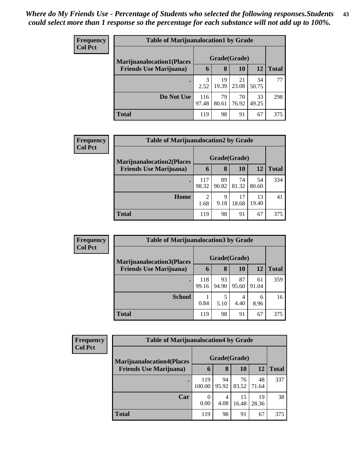| <b>Frequency</b> | <b>Table of Marijuanalocation1 by Grade</b> |              |             |             |             |              |  |  |
|------------------|---------------------------------------------|--------------|-------------|-------------|-------------|--------------|--|--|
| <b>Col Pct</b>   | <b>Marijuanalocation1(Places</b>            | Grade(Grade) |             |             |             |              |  |  |
|                  | <b>Friends Use Marijuana</b> )              | $\mathbf b$  | 8           | 10          | 12          | <b>Total</b> |  |  |
|                  |                                             | 2.52         | 19<br>19.39 | 21<br>23.08 | 34<br>50.75 | 77           |  |  |
|                  | Do Not Use                                  | 116<br>97.48 | 79<br>80.61 | 70<br>76.92 | 33<br>49.25 | 298          |  |  |
|                  | <b>Total</b>                                | 119          | 98          | 91          | 67          | 375          |  |  |

| Frequency      |                                                                    | <b>Table of Marijuanalocation2 by Grade</b> |                   |             |             |              |  |  |  |
|----------------|--------------------------------------------------------------------|---------------------------------------------|-------------------|-------------|-------------|--------------|--|--|--|
| <b>Col Pct</b> | <b>Marijuanalocation2(Places</b><br><b>Friends Use Marijuana</b> ) | 6                                           | Grade(Grade)<br>8 | 10          | 12          | <b>Total</b> |  |  |  |
|                | $\bullet$                                                          | 117                                         | 89                | 74          | 54          | 334          |  |  |  |
|                |                                                                    | 98.32                                       | 90.82             | 81.32       | 80.60       |              |  |  |  |
|                | Home                                                               | 2<br>1.68                                   | 9<br>9.18         | 17<br>18.68 | 13<br>19.40 | 41           |  |  |  |
|                | <b>Total</b>                                                       | 119                                         | 98                | 91          | 67          | 375          |  |  |  |

| Frequency      | <b>Table of Marijuanalocation3 by Grade</b> |              |             |             |             |       |  |  |  |
|----------------|---------------------------------------------|--------------|-------------|-------------|-------------|-------|--|--|--|
| <b>Col Pct</b> | <b>Marijuanalocation3(Places)</b>           | Grade(Grade) |             |             |             |       |  |  |  |
|                | <b>Friends Use Marijuana</b> )              | 6            | 8           | 10          | 12          | Total |  |  |  |
|                | ٠                                           | 118<br>99.16 | 93<br>94.90 | 87<br>95.60 | 61<br>91.04 | 359   |  |  |  |
|                | <b>School</b>                               | 0.84         | 5.10        | 4<br>4.40   | 6<br>8.96   | 16    |  |  |  |
|                | <b>Total</b>                                | 119          | 98          | 91          | 67          | 375   |  |  |  |

| Frequency<br><b>Col Pct</b> |                                  | <b>Table of Marijuanalocation4 by Grade</b> |             |             |             |              |  |  |  |
|-----------------------------|----------------------------------|---------------------------------------------|-------------|-------------|-------------|--------------|--|--|--|
|                             | <b>Marijuanalocation4(Places</b> | Grade(Grade)                                |             |             |             |              |  |  |  |
|                             | <b>Friends Use Marijuana</b> )   | h                                           | 8           | 10          | 12          | <b>Total</b> |  |  |  |
|                             |                                  | 119<br>100.00                               | 94<br>95.92 | 76<br>83.52 | 48<br>71.64 | 337          |  |  |  |
|                             | Car                              | 0<br>0.00                                   | 4<br>4.08   | 15<br>16.48 | 19<br>28.36 | 38           |  |  |  |
|                             | <b>Total</b>                     | 119                                         | 98          | 91          | 67          | 375          |  |  |  |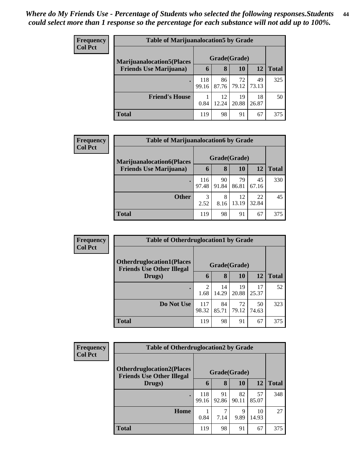| <b>Frequency</b> | <b>Table of Marijuanalocation5 by Grade</b> |              |             |             |             |              |  |  |
|------------------|---------------------------------------------|--------------|-------------|-------------|-------------|--------------|--|--|
| <b>Col Pct</b>   | <b>Marijuanalocation5</b> (Places           | Grade(Grade) |             |             |             |              |  |  |
|                  | <b>Friends Use Marijuana</b> )              | 6            | 8           | 10          | 12          | <b>Total</b> |  |  |
|                  |                                             | 118<br>99.16 | 86<br>87.76 | 72<br>79.12 | 49<br>73.13 | 325          |  |  |
|                  | <b>Friend's House</b>                       | 0.84         | 12<br>12.24 | 19<br>20.88 | 18<br>26.87 | 50           |  |  |
|                  | <b>Total</b>                                | 119          | 98          | 91          | 67          | 375          |  |  |

| <b>Frequency</b> |                                  | <b>Table of Marijuanalocation6 by Grade</b> |             |             |             |              |  |  |  |
|------------------|----------------------------------|---------------------------------------------|-------------|-------------|-------------|--------------|--|--|--|
| <b>Col Pct</b>   | <b>Marijuanalocation6(Places</b> | Grade(Grade)                                |             |             |             |              |  |  |  |
|                  | <b>Friends Use Marijuana</b> )   | 6                                           | 8           | 10          | 12          | <b>Total</b> |  |  |  |
|                  | $\bullet$                        | 116<br>97.48                                | 90<br>91.84 | 79<br>86.81 | 45<br>67.16 | 330          |  |  |  |
|                  | <b>Other</b>                     | 3<br>2.52                                   | 8<br>8.16   | 12<br>13.19 | 22<br>32.84 | 45           |  |  |  |
|                  | <b>Total</b>                     | 119                                         | 98          | 91          | 67          | 375          |  |  |  |

| Frequency      | <b>Table of Otherdruglocation1 by Grade</b>                          |                        |             |             |             |              |
|----------------|----------------------------------------------------------------------|------------------------|-------------|-------------|-------------|--------------|
| <b>Col Pct</b> | <b>Otherdruglocation1(Places</b><br><b>Friends Use Other Illegal</b> | Grade(Grade)           |             |             |             |              |
|                | Drugs)                                                               | 6                      | 8           | <b>10</b>   | 12          | <b>Total</b> |
|                |                                                                      | $\overline{2}$<br>1.68 | 14<br>14.29 | 19<br>20.88 | 17<br>25.37 | 52           |
|                | Do Not Use                                                           | 117<br>98.32           | 84<br>85.71 | 72<br>79.12 | 50<br>74.63 | 323          |
|                | <b>Total</b>                                                         | 119                    | 98          | 91          | 67          | 375          |

| <b>Frequency</b> |                                                                       | <b>Table of Otherdruglocation2 by Grade</b> |              |             |             |              |  |  |  |
|------------------|-----------------------------------------------------------------------|---------------------------------------------|--------------|-------------|-------------|--------------|--|--|--|
| <b>Col Pct</b>   | <b>Otherdruglocation2(Places)</b><br><b>Friends Use Other Illegal</b> |                                             | Grade(Grade) |             |             |              |  |  |  |
|                  | Drugs)                                                                | 6                                           | 8            | 10          | 12          | <b>Total</b> |  |  |  |
|                  |                                                                       | 118<br>99.16                                | 91<br>92.86  | 82<br>90.11 | 57<br>85.07 | 348          |  |  |  |
|                  | Home                                                                  | 0.84                                        | 7.14         | 9<br>9.89   | 10<br>14.93 | 27           |  |  |  |
|                  | <b>Total</b>                                                          | 119                                         | 98           | 91          | 67          | 375          |  |  |  |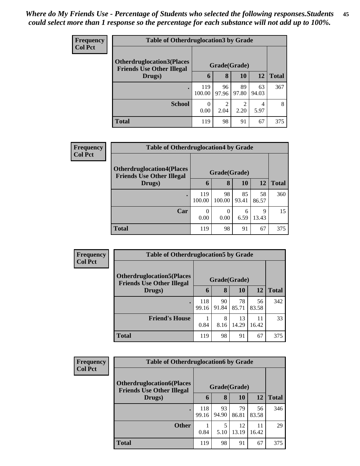| <b>Frequency</b> | <b>Table of Otherdruglocation 3 by Grade</b>                         |               |             |             |             |              |  |
|------------------|----------------------------------------------------------------------|---------------|-------------|-------------|-------------|--------------|--|
| <b>Col Pct</b>   | <b>Otherdruglocation3(Places</b><br><b>Friends Use Other Illegal</b> | Grade(Grade)  |             |             |             |              |  |
|                  | Drugs)                                                               | 6             | 8           | 10          | 12          | <b>Total</b> |  |
|                  | $\bullet$                                                            | 119<br>100.00 | 96<br>97.96 | 89<br>97.80 | 63<br>94.03 | 367          |  |
|                  | <b>School</b>                                                        | 0<br>0.00     | ∍<br>2.04   | 2.20        | 4<br>5.97   | 8            |  |
|                  | <b>Total</b>                                                         | 119           | 98          | 91          | 67          | 375          |  |

| <b>Frequency</b> | <b>Table of Otherdruglocation4 by Grade</b>                          |                  |              |             |             |              |  |  |
|------------------|----------------------------------------------------------------------|------------------|--------------|-------------|-------------|--------------|--|--|
| <b>Col Pct</b>   | <b>Otherdruglocation4(Places</b><br><b>Friends Use Other Illegal</b> | Grade(Grade)     |              |             |             |              |  |  |
|                  | Drugs)                                                               | 6                | 8            | 10          | 12          | <b>Total</b> |  |  |
|                  | ٠                                                                    | 119<br>100.00    | 98<br>100.00 | 85<br>93.41 | 58<br>86.57 | 360          |  |  |
|                  | Car                                                                  | $\theta$<br>0.00 | 0<br>0.00    | 6<br>6.59   | Q<br>13.43  | 15           |  |  |
|                  | <b>Total</b>                                                         | 119              | 98           | 91          | 67          | 375          |  |  |

| Frequency      | <b>Table of Otherdruglocation5 by Grade</b>                           |              |             |             |             |              |  |
|----------------|-----------------------------------------------------------------------|--------------|-------------|-------------|-------------|--------------|--|
| <b>Col Pct</b> | <b>Otherdruglocation5(Places)</b><br><b>Friends Use Other Illegal</b> | Grade(Grade) |             |             |             |              |  |
|                | Drugs)                                                                | 6            | 8           | 10          | 12          | <b>Total</b> |  |
|                |                                                                       | 118<br>99.16 | 90<br>91.84 | 78<br>85.71 | 56<br>83.58 | 342          |  |
|                | <b>Friend's House</b>                                                 | 0.84         | 8<br>8.16   | 13<br>14.29 | 11<br>16.42 | 33           |  |
|                | <b>Total</b>                                                          | 119          | 98          | 91          | 67          | 375          |  |

| <b>Frequency</b> | <b>Table of Otherdruglocation6 by Grade</b>                          |              |             |             |             |              |
|------------------|----------------------------------------------------------------------|--------------|-------------|-------------|-------------|--------------|
| <b>Col Pct</b>   | <b>Otherdruglocation6(Places</b><br><b>Friends Use Other Illegal</b> | Grade(Grade) |             |             |             |              |
|                  | Drugs)                                                               | 6            | 8           | 10          | 12          | <b>Total</b> |
|                  | $\bullet$                                                            | 118<br>99.16 | 93<br>94.90 | 79<br>86.81 | 56<br>83.58 | 346          |
|                  | <b>Other</b>                                                         | 0.84         | 5<br>5.10   | 12<br>13.19 | 11<br>16.42 | 29           |
|                  | <b>Total</b>                                                         | 119          | 98          | 91          | 67          | 375          |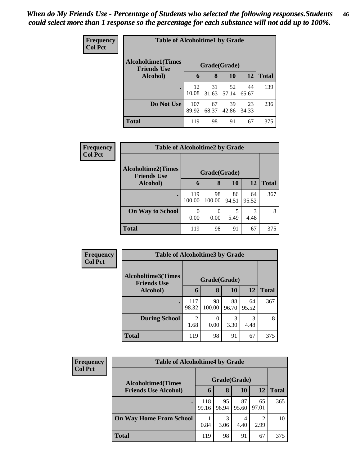| <b>Frequency</b> | <b>Table of Alcoholtime1 by Grade</b>           |              |             |             |             |              |  |  |
|------------------|-------------------------------------------------|--------------|-------------|-------------|-------------|--------------|--|--|
| <b>Col Pct</b>   | <b>Alcoholtime1(Times</b><br><b>Friends Use</b> | Grade(Grade) |             |             |             |              |  |  |
|                  | Alcohol)                                        | 6            | 8           | 10          | 12          | <b>Total</b> |  |  |
|                  |                                                 | 12<br>10.08  | 31<br>31.63 | 52<br>57.14 | 44<br>65.67 | 139          |  |  |
|                  | Do Not Use                                      | 107<br>89.92 | 67<br>68.37 | 39<br>42.86 | 23<br>34.33 | 236          |  |  |
|                  | <b>Total</b>                                    | 119          | 98          | 91          | 67          | 375          |  |  |

| Frequency      | <b>Table of Alcoholtime2 by Grade</b>           |               |              |             |             |              |  |  |
|----------------|-------------------------------------------------|---------------|--------------|-------------|-------------|--------------|--|--|
| <b>Col Pct</b> | <b>Alcoholtime2(Times</b><br><b>Friends Use</b> | Grade(Grade)  |              |             |             |              |  |  |
|                | Alcohol)                                        | 6             | 8            | <b>10</b>   | 12          | <b>Total</b> |  |  |
|                | $\bullet$                                       | 119<br>100.00 | 98<br>100.00 | 86<br>94.51 | 64<br>95.52 | 367          |  |  |
|                | <b>On Way to School</b>                         | 0<br>0.00     | 0<br>0.00    | 5<br>5.49   | 3<br>4.48   | 8            |  |  |
|                | <b>Total</b>                                    | 119           | 98           | 91          | 67          | 375          |  |  |

| Frequency      | <b>Table of Alcoholtime3 by Grade</b>           |              |              |             |             |              |
|----------------|-------------------------------------------------|--------------|--------------|-------------|-------------|--------------|
| <b>Col Pct</b> | <b>Alcoholtime3(Times</b><br><b>Friends Use</b> | Grade(Grade) |              |             |             |              |
|                | Alcohol)                                        | 6            | 8            | 10          | 12          | <b>Total</b> |
|                | $\bullet$                                       | 117<br>98.32 | 98<br>100.00 | 88<br>96.70 | 64<br>95.52 | 367          |
|                | <b>During School</b>                            | 2<br>1.68    | 0.00         | 3<br>3.30   | 3<br>4.48   | 8            |
|                | <b>Total</b>                                    | 119          | 98           | 91          | 67          | 375          |

| <b>Frequency</b><br><b>Col Pct</b> | <b>Table of Alcoholtime4 by Grade</b>                    |              |             |             |             |              |  |
|------------------------------------|----------------------------------------------------------|--------------|-------------|-------------|-------------|--------------|--|
|                                    | <b>Alcoholtime4(Times</b><br><b>Friends Use Alcohol)</b> | Grade(Grade) |             |             |             |              |  |
|                                    |                                                          | 6            | 8           | 10          | 12          | <b>Total</b> |  |
|                                    |                                                          | 118<br>99.16 | 95<br>96.94 | 87<br>95.60 | 65<br>97.01 | 365          |  |
|                                    | <b>On Way Home From School</b>                           | 0.84         | 3<br>3.06   | 4<br>4.40   | 2<br>2.99   | 10           |  |
|                                    | <b>Total</b>                                             | 119          | 98          | 91          | 67          | 375          |  |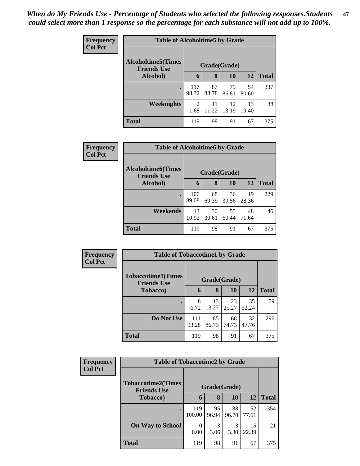| Frequency      | <b>Table of Alcoholtime5 by Grade</b>           |              |             |             |             |              |  |  |
|----------------|-------------------------------------------------|--------------|-------------|-------------|-------------|--------------|--|--|
| <b>Col Pct</b> | <b>Alcoholtime5(Times</b><br><b>Friends Use</b> | Grade(Grade) |             |             |             |              |  |  |
|                | Alcohol)                                        | 6            | 8           | <b>10</b>   | 12          | <b>Total</b> |  |  |
|                |                                                 | 117<br>98.32 | 87<br>88.78 | 79<br>86.81 | 54<br>80.60 | 337          |  |  |
|                | Weeknights                                      | 2<br>1.68    | 11<br>11.22 | 12<br>13.19 | 13<br>19.40 | 38           |  |  |
|                | <b>Total</b>                                    | 119          | 98          | 91          | 67          | 375          |  |  |

| <b>Frequency</b> | <b>Table of Alcoholtime6 by Grade</b>           |              |             |             |             |              |  |  |  |
|------------------|-------------------------------------------------|--------------|-------------|-------------|-------------|--------------|--|--|--|
| <b>Col Pct</b>   | <b>Alcoholtime6(Times</b><br><b>Friends Use</b> | Grade(Grade) |             |             |             |              |  |  |  |
|                  | Alcohol)                                        | 6            | 8           | 10          | 12          | <b>Total</b> |  |  |  |
|                  |                                                 | 106<br>89.08 | 68<br>69.39 | 36<br>39.56 | 19<br>28.36 | 229          |  |  |  |
|                  | Weekends                                        | 13<br>10.92  | 30<br>30.61 | 55<br>60.44 | 48<br>71.64 | 146          |  |  |  |
|                  | <b>Total</b>                                    | 119          | 98          | 91          | 67          | 375          |  |  |  |

| Frequency      | <b>Table of Tobaccotime1 by Grade</b>           |              |             |             |             |              |  |  |  |
|----------------|-------------------------------------------------|--------------|-------------|-------------|-------------|--------------|--|--|--|
| <b>Col Pct</b> | <b>Tobaccotime1(Times</b><br><b>Friends Use</b> | Grade(Grade) |             |             |             |              |  |  |  |
|                | <b>Tobacco</b> )                                | 6            | 8           | 10          | 12          | <b>Total</b> |  |  |  |
|                |                                                 | 8<br>6.72    | 13<br>13.27 | 23<br>25.27 | 35<br>52.24 | 79           |  |  |  |
|                | Do Not Use                                      | 111<br>93.28 | 85<br>86.73 | 68<br>74.73 | 32<br>47.76 | 296          |  |  |  |
|                | <b>Total</b>                                    | 119          | 98          | 91          | 67          | 375          |  |  |  |

| <b>Frequency</b> | <b>Table of Tobaccotime2 by Grade</b>           |               |             |             |             |              |  |  |
|------------------|-------------------------------------------------|---------------|-------------|-------------|-------------|--------------|--|--|
| <b>Col Pct</b>   | <b>Tobaccotime2(Times</b><br><b>Friends Use</b> | Grade(Grade)  |             |             |             |              |  |  |
|                  | <b>Tobacco</b> )                                | 6             | 8           | 10          | <b>12</b>   | <b>Total</b> |  |  |
|                  |                                                 | 119<br>100.00 | 95<br>96.94 | 88<br>96.70 | 52<br>77.61 | 354          |  |  |
|                  | <b>On Way to School</b>                         | 0<br>0.00     | 3<br>3.06   | 3<br>3.30   | 15<br>22.39 | 21           |  |  |
|                  | <b>Total</b>                                    | 119           | 98          | 91          | 67          | 375          |  |  |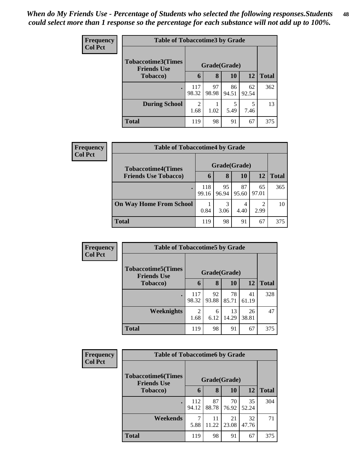| <b>Frequency</b> | <b>Table of Tobaccotime3 by Grade</b>           |                        |             |             |                                  |              |  |  |
|------------------|-------------------------------------------------|------------------------|-------------|-------------|----------------------------------|--------------|--|--|
| <b>Col Pct</b>   | <b>Tobaccotime3(Times</b><br><b>Friends Use</b> | Grade(Grade)           |             |             |                                  |              |  |  |
|                  | <b>Tobacco</b> )                                | 6                      | 8           | 10          | 12                               | <b>Total</b> |  |  |
|                  |                                                 | 117<br>98.32           | 97<br>98.98 | 86<br>94.51 | 62<br>92.54                      | 362          |  |  |
|                  | <b>During School</b>                            | $\overline{c}$<br>1.68 | 1.02        | 5<br>5.49   | $\overline{\phantom{1}}$<br>7.46 | 13           |  |  |
|                  | <b>Total</b>                                    | 119                    | 98          | 91          | 67                               | 375          |  |  |

| Frequency<br><b>Col Pct</b> | <b>Table of Tobaccotime4 by Grade</b> |              |             |             |                        |              |
|-----------------------------|---------------------------------------|--------------|-------------|-------------|------------------------|--------------|
|                             | <b>Tobaccotime4(Times</b>             | Grade(Grade) |             |             |                        |              |
|                             | <b>Friends Use Tobacco)</b>           | $\mathbf b$  | 8           | 10          | 12                     | <b>Total</b> |
|                             |                                       | 118<br>99.16 | 95<br>96.94 | 87<br>95.60 | 65<br>97.01            | 365          |
|                             | <b>On Way Home From School</b>        | 0.84         | 3<br>3.06   | 4<br>4.40   | $\mathfrak{D}$<br>2.99 | 10           |
|                             | <b>Total</b>                          | 119          | 98          | 91          | 67                     | 375          |

| <b>Frequency</b> | <b>Table of Tobaccotime5 by Grade</b>            |              |             |             |             |              |  |  |
|------------------|--------------------------------------------------|--------------|-------------|-------------|-------------|--------------|--|--|
| <b>Col Pct</b>   | <b>Tobaccotime5</b> (Times<br><b>Friends Use</b> | Grade(Grade) |             |             |             |              |  |  |
|                  | <b>Tobacco</b> )                                 | 6            | 8           | 10          | 12          | <b>Total</b> |  |  |
|                  |                                                  | 117<br>98.32 | 92<br>93.88 | 78<br>85.71 | 41<br>61.19 | 328          |  |  |
|                  | Weeknights                                       | 2<br>1.68    | 6<br>6.12   | 13<br>14.29 | 26<br>38.81 | 47           |  |  |
|                  | <b>Total</b>                                     | 119          | 98          | 91          | 67          | 375          |  |  |

| Frequency      | <b>Table of Tobaccotime6 by Grade</b>           |              |             |             |             |              |  |  |  |
|----------------|-------------------------------------------------|--------------|-------------|-------------|-------------|--------------|--|--|--|
| <b>Col Pct</b> | <b>Tobaccotime6(Times</b><br><b>Friends Use</b> | Grade(Grade) |             |             |             |              |  |  |  |
|                | <b>Tobacco</b> )                                | 6            | 8           | 10          | 12          | <b>Total</b> |  |  |  |
|                |                                                 | 112<br>94.12 | 87<br>88.78 | 70<br>76.92 | 35<br>52.24 | 304          |  |  |  |
|                | Weekends                                        | 7<br>5.88    | 11<br>11.22 | 21<br>23.08 | 32<br>47.76 | 71           |  |  |  |
|                | <b>Total</b>                                    | 119          | 98          | 91          | 67          | 375          |  |  |  |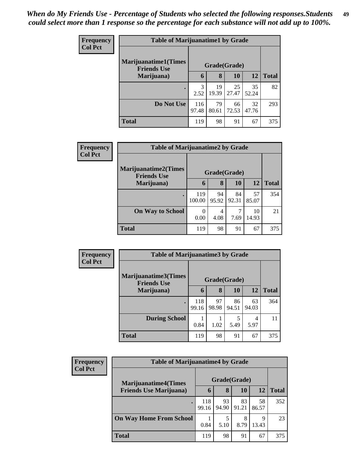| <b>Frequency</b> | <b>Table of Marijuanatime1 by Grade</b>           |              |             |             |             |              |  |
|------------------|---------------------------------------------------|--------------|-------------|-------------|-------------|--------------|--|
| <b>Col Pct</b>   | <b>Marijuanatime1(Times</b><br><b>Friends Use</b> | Grade(Grade) |             |             |             |              |  |
|                  | Marijuana)                                        | 6            | 8           | 10          | 12          | <b>Total</b> |  |
|                  |                                                   | 3<br>2.52    | 19<br>19.39 | 25<br>27.47 | 35<br>52.24 | 82           |  |
|                  | Do Not Use                                        | 116<br>97.48 | 79<br>80.61 | 66<br>72.53 | 32<br>47.76 | 293          |  |
|                  | <b>Total</b>                                      | 119          | 98          | 91          | 67          | 375          |  |

| Frequency      | <b>Table of Marijuanatime2 by Grade</b>           |               |             |             |             |              |  |  |
|----------------|---------------------------------------------------|---------------|-------------|-------------|-------------|--------------|--|--|
| <b>Col Pct</b> | <b>Marijuanatime2(Times</b><br><b>Friends Use</b> | Grade(Grade)  |             |             |             |              |  |  |
|                | Marijuana)                                        | 6             | 8           | <b>10</b>   | 12          | <b>Total</b> |  |  |
|                | $\bullet$                                         | 119<br>100.00 | 94<br>95.92 | 84<br>92.31 | 57<br>85.07 | 354          |  |  |
|                | <b>On Way to School</b>                           | 0.00          | 4<br>4.08   | 7.69        | 10<br>14.93 | 21           |  |  |
|                | <b>Total</b>                                      | 119           | 98          | 91          | 67          | 375          |  |  |

| <b>Frequency</b> | <b>Table of Marijuanatime3 by Grade</b>    |              |             |             |             |              |  |
|------------------|--------------------------------------------|--------------|-------------|-------------|-------------|--------------|--|
| <b>Col Pct</b>   | Marijuanatime3(Times<br><b>Friends Use</b> | Grade(Grade) |             |             |             |              |  |
|                  | Marijuana)                                 | 6            | 8           | 10          | 12          | <b>Total</b> |  |
|                  |                                            | 118<br>99.16 | 97<br>98.98 | 86<br>94.51 | 63<br>94.03 | 364          |  |
|                  | <b>During School</b>                       | 0.84         | 1.02        | 5<br>5.49   | 4<br>5.97   | 11           |  |
|                  | <b>Total</b>                               | 119          | 98          | 91          | 67          | 375          |  |

| <b>Frequency</b> | <b>Table of Marijuanatime4 by Grade</b> |              |             |             |             |              |  |
|------------------|-----------------------------------------|--------------|-------------|-------------|-------------|--------------|--|
| <b>Col Pct</b>   | <b>Marijuanatime4</b> (Times            | Grade(Grade) |             |             |             |              |  |
|                  | <b>Friends Use Marijuana</b> )          | 6            | 8           | 10          | 12          | <b>Total</b> |  |
|                  |                                         | 118<br>99.16 | 93<br>94.90 | 83<br>91.21 | 58<br>86.57 | 352          |  |
|                  | <b>On Way Home From School</b>          | 0.84         | 5.10        | 8<br>8.79   | 9<br>13.43  | 23           |  |
|                  | <b>Total</b>                            | 119          | 98          | 91          | 67          | 375          |  |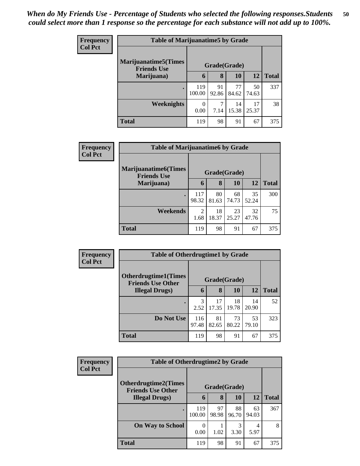| <b>Frequency</b> | <b>Table of Marijuanatime5 by Grade</b>            |               |             |             |             |              |  |
|------------------|----------------------------------------------------|---------------|-------------|-------------|-------------|--------------|--|
| <b>Col Pct</b>   | <b>Marijuanatime5</b> (Times<br><b>Friends Use</b> | Grade(Grade)  |             |             |             |              |  |
|                  | Marijuana)                                         | 6             | 8           | <b>10</b>   | <b>12</b>   | <b>Total</b> |  |
|                  | $\bullet$                                          | 119<br>100.00 | 91<br>92.86 | 77<br>84.62 | 50<br>74.63 | 337          |  |
|                  | Weeknights                                         | 0.00          | 7<br>7.14   | 14<br>15.38 | 17<br>25.37 | 38           |  |
|                  | <b>Total</b>                                       | 119           | 98          | 91          | 67          | 375          |  |

| Frequency      | <b>Table of Marijuanatime6 by Grade</b>           |                        |             |             |             |              |  |
|----------------|---------------------------------------------------|------------------------|-------------|-------------|-------------|--------------|--|
| <b>Col Pct</b> | <b>Marijuanatime6(Times</b><br><b>Friends Use</b> | Grade(Grade)           |             |             |             |              |  |
|                | Marijuana)                                        | 6                      | 8           | <b>10</b>   | 12          | <b>Total</b> |  |
|                | $\bullet$                                         | 117<br>98.32           | 80<br>81.63 | 68<br>74.73 | 35<br>52.24 | 300          |  |
|                | Weekends                                          | $\mathfrak{D}$<br>1.68 | 18<br>18.37 | 23<br>25.27 | 32<br>47.76 | 75           |  |
|                | <b>Total</b>                                      | 119                    | 98          | 91          | 67          | 375          |  |

| Frequency      | <b>Table of Otherdrugtime1 by Grade</b>                 |              |             |             |             |              |  |  |
|----------------|---------------------------------------------------------|--------------|-------------|-------------|-------------|--------------|--|--|
| <b>Col Pct</b> | <b>Otherdrugtime1(Times</b><br><b>Friends Use Other</b> | Grade(Grade) |             |             |             |              |  |  |
|                | <b>Illegal Drugs</b> )                                  | 6            | 8           | 10          | 12          | <b>Total</b> |  |  |
|                | ٠                                                       | 3<br>2.52    | 17<br>17.35 | 18<br>19.78 | 14<br>20.90 | 52           |  |  |
|                | Do Not Use                                              | 116<br>97.48 | 81<br>82.65 | 73<br>80.22 | 53<br>79.10 | 323          |  |  |
|                | <b>Total</b>                                            | 119          | 98          | 91          | 67          | 375          |  |  |

| <b>Frequency</b> | <b>Table of Otherdrugtime2 by Grade</b>                 |               |             |             |             |              |  |
|------------------|---------------------------------------------------------|---------------|-------------|-------------|-------------|--------------|--|
| <b>Col Pct</b>   | <b>Otherdrugtime2(Times</b><br><b>Friends Use Other</b> | Grade(Grade)  |             |             |             |              |  |
|                  | <b>Illegal Drugs</b> )                                  | 6             | 8           | 10          | 12          | <b>Total</b> |  |
|                  |                                                         | 119<br>100.00 | 97<br>98.98 | 88<br>96.70 | 63<br>94.03 | 367          |  |
|                  | <b>On Way to School</b>                                 | 0.00          | 1.02        | 3<br>3.30   | 5.97        | 8            |  |
|                  | <b>Total</b>                                            | 119           | 98          | 91          | 67          | 375          |  |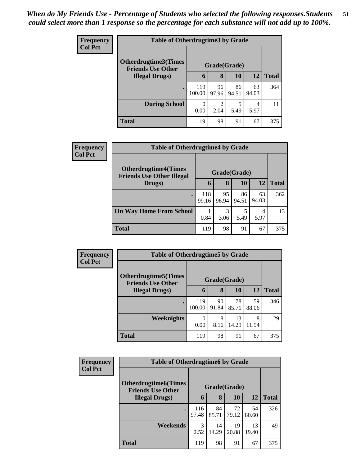| <b>Frequency</b> | <b>Table of Otherdrugtime3 by Grade</b>          |               |                        |             |             |              |  |  |
|------------------|--------------------------------------------------|---------------|------------------------|-------------|-------------|--------------|--|--|
| <b>Col Pct</b>   | Otherdrugtime3(Times<br><b>Friends Use Other</b> |               | Grade(Grade)           |             |             |              |  |  |
|                  | <b>Illegal Drugs</b> )                           | 6             | 8                      | 10          | <b>12</b>   | <b>Total</b> |  |  |
|                  | $\bullet$                                        | 119<br>100.00 | 96<br>97.96            | 86<br>94.51 | 63<br>94.03 | 364          |  |  |
|                  | <b>During School</b>                             | 0<br>0.00     | $\overline{c}$<br>2.04 | 5.49        | 4<br>5.97   | 11           |  |  |
|                  | <b>Total</b>                                     | 119           | 98                     | 91          | 67          | 375          |  |  |

| <b>Frequency</b> | <b>Table of Otherdrugtime4 by Grade</b>                         |              |             |             |             |              |  |
|------------------|-----------------------------------------------------------------|--------------|-------------|-------------|-------------|--------------|--|
| <b>Col Pct</b>   | <b>Otherdrugtime4(Times</b><br><b>Friends Use Other Illegal</b> | Grade(Grade) |             |             |             |              |  |
|                  | Drugs)                                                          | 6            | 8           | 10          | 12          | <b>Total</b> |  |
|                  |                                                                 | 118<br>99.16 | 95<br>96.94 | 86<br>94.51 | 63<br>94.03 | 362          |  |
|                  | <b>On Way Home From School</b>                                  | 0.84         | 3<br>3.06   | 5.49        | 4<br>5.97   | 13           |  |
|                  | <b>Total</b>                                                    | 119          | 98          | 91          | 67          | 375          |  |

| Frequency      | <b>Table of Otherdrugtime5 by Grade</b>                  |               |             |             |             |              |  |  |
|----------------|----------------------------------------------------------|---------------|-------------|-------------|-------------|--------------|--|--|
| <b>Col Pct</b> | <b>Otherdrugtime5</b> (Times<br><b>Friends Use Other</b> | Grade(Grade)  |             |             |             |              |  |  |
|                | <b>Illegal Drugs</b> )                                   | 6             | 8           | 10          | <b>12</b>   | <b>Total</b> |  |  |
|                |                                                          | 119<br>100.00 | 90<br>91.84 | 78<br>85.71 | 59<br>88.06 | 346          |  |  |
|                | Weeknights                                               | 0.00          | 8<br>8.16   | 13<br>14.29 | 8<br>11.94  | 29           |  |  |
|                | <b>Total</b>                                             | 119           | 98          | 91          | 67          | 375          |  |  |

| <b>Frequency</b> | <b>Table of Otherdrugtime6 by Grade</b>                 |                       |             |             |             |              |  |
|------------------|---------------------------------------------------------|-----------------------|-------------|-------------|-------------|--------------|--|
| <b>Col Pct</b>   | <b>Otherdrugtime6(Times</b><br><b>Friends Use Other</b> | Grade(Grade)          |             |             |             |              |  |
|                  | <b>Illegal Drugs</b> )                                  | 6                     | 8           | 10          | 12          | <b>Total</b> |  |
|                  | $\bullet$                                               | 116<br>97.48          | 84<br>85.71 | 72<br>79.12 | 54<br>80.60 | 326          |  |
|                  | Weekends                                                | $\mathcal{R}$<br>2.52 | 14<br>14.29 | 19<br>20.88 | 13<br>19.40 | 49           |  |
|                  | <b>Total</b>                                            | 119                   | 98          | 91          | 67          | 375          |  |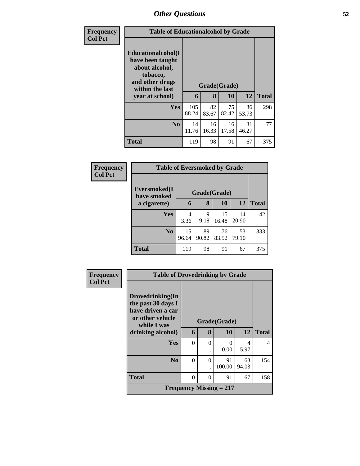| <b>Frequency</b> | <b>Table of Educationalcohol by Grade</b>                                                                                     |              |             |                    |             |              |
|------------------|-------------------------------------------------------------------------------------------------------------------------------|--------------|-------------|--------------------|-------------|--------------|
| <b>Col Pct</b>   | Educationalcohol(I<br>have been taught<br>about alcohol,<br>tobacco,<br>and other drugs<br>within the last<br>year at school) | 6            | 8           | Grade(Grade)<br>10 | 12          | <b>Total</b> |
|                  | Yes                                                                                                                           | 105<br>88.24 | 82<br>83.67 | 75<br>82.42        | 36<br>53.73 | 298          |
|                  | No                                                                                                                            | 14<br>11.76  | 16<br>16.33 | 16<br>17.58        | 31<br>46.27 | 77           |
|                  | <b>Total</b>                                                                                                                  | 119          | 98          | 91                 | 67          | 375          |

| <b>Frequency</b> |                             | <b>Table of Eversmoked by Grade</b> |             |             |             |              |  |  |  |
|------------------|-----------------------------|-------------------------------------|-------------|-------------|-------------|--------------|--|--|--|
| <b>Col Pct</b>   | Eversmoked(I<br>have smoked | Grade(Grade)                        |             |             |             |              |  |  |  |
|                  | a cigarette)                | 6                                   | 8           | 10          | <b>12</b>   | <b>Total</b> |  |  |  |
|                  | Yes                         | 4<br>3.36                           | 9<br>9.18   | 15<br>16.48 | 14<br>20.90 | 42           |  |  |  |
|                  | N <sub>0</sub>              | 115<br>96.64                        | 89<br>90.82 | 76<br>83.52 | 53<br>79.10 | 333          |  |  |  |
|                  | <b>Total</b>                | 119                                 | 98          | 91          | 67          | 375          |  |  |  |

| <b>Frequency</b> | <b>Table of Drovedrinking by Grade</b>                      |              |          |                           |             |              |
|------------------|-------------------------------------------------------------|--------------|----------|---------------------------|-------------|--------------|
| <b>Col Pct</b>   | Drovedrinking(In<br>the past 30 days I<br>have driven a car |              |          |                           |             |              |
|                  | or other vehicle<br>while I was                             | Grade(Grade) |          |                           |             |              |
|                  | drinking alcohol)                                           | 6            | 8        | 10                        | 12          | <b>Total</b> |
|                  | <b>Yes</b>                                                  | $\Omega$     | $\Omega$ | 0                         | 4           | 4            |
|                  |                                                             | ٠            |          | 0.00                      | 5.97        |              |
|                  | N <sub>0</sub>                                              | 0            | $\Omega$ | 91<br>100.00              | 63<br>94.03 | 154          |
|                  | <b>Total</b>                                                | $\Omega$     | $\Omega$ | 91                        | 67          | 158          |
|                  |                                                             |              |          | Frequency Missing $= 217$ |             |              |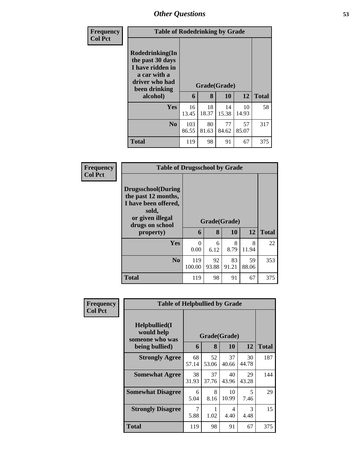| <b>Frequency</b> | <b>Table of Rodedrinking by Grade</b>                                                                                  |              |                   |             |             |              |
|------------------|------------------------------------------------------------------------------------------------------------------------|--------------|-------------------|-------------|-------------|--------------|
| <b>Col Pct</b>   | Rodedrinking(In<br>the past 30 days<br>I have ridden in<br>a car with a<br>driver who had<br>been drinking<br>alcohol) | 6            | Grade(Grade)<br>8 | <b>10</b>   | 12          | <b>Total</b> |
|                  | <b>Yes</b>                                                                                                             | 16<br>13.45  | 18<br>18.37       | 14<br>15.38 | 10<br>14.93 | 58           |
|                  | N <sub>0</sub>                                                                                                         | 103<br>86.55 | 80<br>81.63       | 77<br>84.62 | 57<br>85.07 | 317          |
|                  | <b>Total</b>                                                                                                           | 119          | 98                | 91          | 67          | 375          |

| Frequency      | <b>Table of Drugsschool by Grade</b>                                                                                                   |                  |             |                    |             |              |
|----------------|----------------------------------------------------------------------------------------------------------------------------------------|------------------|-------------|--------------------|-------------|--------------|
| <b>Col Pct</b> | <b>Drugsschool</b> (During<br>the past 12 months,<br>I have been offered,<br>sold,<br>or given illegal<br>drugs on school<br>property) | 6                | 8           | Grade(Grade)<br>10 | 12          | <b>Total</b> |
|                | Yes                                                                                                                                    | $\Omega$<br>0.00 | 6<br>6.12   | 8<br>8.79          | 8<br>11.94  | 22           |
|                | N <sub>0</sub>                                                                                                                         | 119<br>100.00    | 92<br>93.88 | 83<br>91.21        | 59<br>88.06 | 353          |
|                | <b>Total</b>                                                                                                                           | 119              | 98          | 91                 | 67          | 375          |

| <b>Frequency</b> | <b>Table of Helpbullied by Grade</b>                             |             |                   |             |             |              |
|------------------|------------------------------------------------------------------|-------------|-------------------|-------------|-------------|--------------|
| <b>Col Pct</b>   | Helpbullied(I<br>would help<br>someone who was<br>being bullied) | 6           | Grade(Grade)<br>8 | 10          | 12          | <b>Total</b> |
|                  | <b>Strongly Agree</b>                                            | 68<br>57.14 | 52<br>53.06       | 37<br>40.66 | 30<br>44.78 | 187          |
|                  | <b>Somewhat Agree</b>                                            | 38<br>31.93 | 37<br>37.76       | 40<br>43.96 | 29<br>43.28 | 144          |
|                  | <b>Somewhat Disagree</b>                                         | 6<br>5.04   | 8<br>8.16         | 10<br>10.99 | 5<br>7.46   | 29           |
|                  | <b>Strongly Disagree</b>                                         | 7<br>5.88   | 1<br>1.02         | 4<br>4.40   | 3<br>4.48   | 15           |
|                  | <b>Total</b>                                                     | 119         | 98                | 91          | 67          | 375          |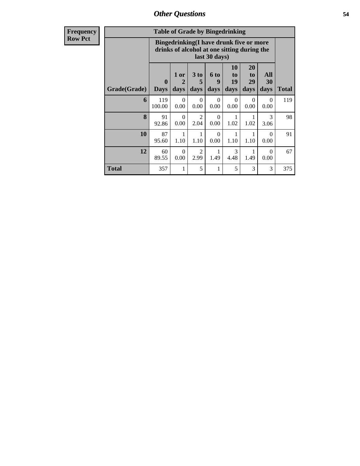**Frequency Row Pct**

| <b>Table of Grade by Bingedrinking</b> |                  |                                                                                                         |                        |                   |                        |                        |                       |              |
|----------------------------------------|------------------|---------------------------------------------------------------------------------------------------------|------------------------|-------------------|------------------------|------------------------|-----------------------|--------------|
|                                        |                  | Bingedrinking(I have drunk five or more<br>drinks of alcohol at one sitting during the<br>last 30 days) |                        |                   |                        |                        |                       |              |
| Grade(Grade)                           | 0<br><b>Days</b> | 1 or<br>2<br>days                                                                                       | 3 to<br>5<br>days      | 6 to<br>9<br>days | 10<br>to<br>19<br>days | 20<br>to<br>29<br>days | All<br>30<br>days     | <b>Total</b> |
| 6                                      | 119<br>100.00    | $\Omega$<br>0.00                                                                                        | $\Omega$<br>0.00       | $\Omega$<br>0.00  | $\Omega$<br>0.00       | $\Omega$<br>0.00       | $\Omega$<br>0.00      | 119          |
| 8                                      | 91<br>92.86      | $\Omega$<br>0.00                                                                                        | 2<br>2.04              | $\Omega$<br>0.00  | 1.02                   | 1<br>1.02              | $\mathcal{R}$<br>3.06 | 98           |
| 10                                     | 87<br>95.60      | 1<br>1.10                                                                                               | 1<br>1.10              | $\Omega$<br>0.00  | 1<br>1.10              | 1<br>1.10              | $\Omega$<br>0.00      | 91           |
| 12                                     | 60<br>89.55      | $\Omega$<br>0.00                                                                                        | $\mathfrak{D}$<br>2.99 | 1<br>1.49         | $\mathcal{F}$<br>4.48  | 1<br>1.49              | $\Omega$<br>0.00      | 67           |
| Total                                  | 357              | 1                                                                                                       | 5                      | 1                 | 5                      | 3                      | 3                     | 375          |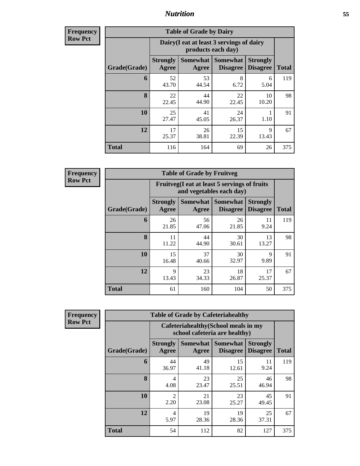**Frequency Row Pct**

| <b>Table of Grade by Dairy</b> |                          |                                                                 |                                    |                                    |              |  |  |  |
|--------------------------------|--------------------------|-----------------------------------------------------------------|------------------------------------|------------------------------------|--------------|--|--|--|
|                                |                          | Dairy (I eat at least 3 servings of dairy<br>products each day) |                                    |                                    |              |  |  |  |
| Grade(Grade)                   | <b>Strongly</b><br>Agree | <b>Somewhat</b><br>Agree                                        | <b>Somewhat</b><br><b>Disagree</b> | <b>Strongly</b><br><b>Disagree</b> | <b>Total</b> |  |  |  |
| 6                              | 52<br>43.70              | 53<br>44.54                                                     | 8<br>6.72                          | 6<br>5.04                          | 119          |  |  |  |
| 8                              | 22<br>22.45              | 44<br>44.90                                                     | 22<br>22.45                        | 10<br>10.20                        | 98           |  |  |  |
| 10                             | 25<br>27.47              | 41<br>45.05                                                     | 24<br>26.37                        | 1.10                               | 91           |  |  |  |
| 12                             | 17<br>25.37              | 26<br>38.81                                                     | 15<br>22.39                        | 9<br>13.43                         | 67           |  |  |  |
| <b>Total</b>                   | 116                      | 164                                                             | 69                                 | 26                                 | 375          |  |  |  |

**Frequency Row Pct**

| <b>Table of Grade by Fruitveg</b> |                                 |                                                                          |                                          |                                    |              |  |  |  |
|-----------------------------------|---------------------------------|--------------------------------------------------------------------------|------------------------------------------|------------------------------------|--------------|--|--|--|
|                                   |                                 | Fruitveg(I eat at least 5 servings of fruits<br>and vegetables each day) |                                          |                                    |              |  |  |  |
| Grade(Grade)                      | <b>Strongly</b><br><b>Agree</b> | Agree                                                                    | Somewhat   Somewhat  <br><b>Disagree</b> | <b>Strongly</b><br><b>Disagree</b> | <b>Total</b> |  |  |  |
| 6                                 | 26<br>21.85                     | 56<br>47.06                                                              | 26<br>21.85                              | 11<br>9.24                         | 119          |  |  |  |
| 8                                 | 11<br>11.22                     | 44<br>44.90                                                              | 30<br>30.61                              | 13<br>13.27                        | 98           |  |  |  |
| 10                                | 15<br>16.48                     | 37<br>40.66                                                              | 30<br>32.97                              | 9<br>9.89                          | 91           |  |  |  |
| 12                                | 9<br>13.43                      | 23<br>34.33                                                              | 18<br>26.87                              | 17<br>25.37                        | 67           |  |  |  |
| <b>Total</b>                      | 61                              | 160                                                                      | 104                                      | 50                                 | 375          |  |  |  |

**Frequency Row Pct**

| <b>Table of Grade by Cafeteriahealthy</b> |                          |                                                                       |                                    |                                    |              |  |  |  |
|-------------------------------------------|--------------------------|-----------------------------------------------------------------------|------------------------------------|------------------------------------|--------------|--|--|--|
|                                           |                          | Cafeteriahealthy (School meals in my<br>school cafeteria are healthy) |                                    |                                    |              |  |  |  |
| Grade(Grade)                              | <b>Strongly</b><br>Agree | <b>Somewhat</b><br>Agree                                              | <b>Somewhat</b><br><b>Disagree</b> | <b>Strongly</b><br><b>Disagree</b> | <b>Total</b> |  |  |  |
| 6                                         | 44<br>36.97              | 49<br>41.18                                                           | 15<br>12.61                        | 11<br>9.24                         | 119          |  |  |  |
| 8                                         | 4<br>4.08                | 23<br>23.47                                                           | 25<br>25.51                        | 46<br>46.94                        | 98           |  |  |  |
| 10                                        | $\overline{c}$<br>2.20   | 21<br>23.08                                                           | 23<br>25.27                        | 45<br>49.45                        | 91           |  |  |  |
| 12                                        | 4<br>5.97                | 19<br>28.36                                                           | 19<br>28.36                        | 25<br>37.31                        | 67           |  |  |  |
| <b>Total</b>                              | 54                       | 112                                                                   | 82                                 | 127                                | 375          |  |  |  |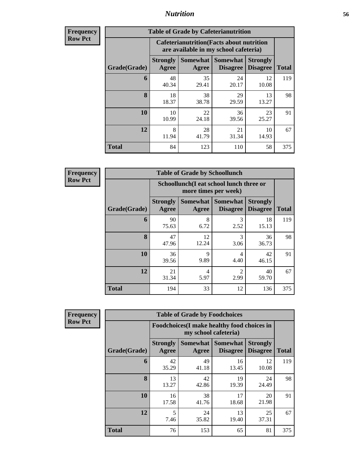| Frequency      |
|----------------|
| <b>Row Pct</b> |

| <b>Table of Grade by Cafeterianutrition</b> |                          |                                                                                           |                                    |                                    |              |  |  |  |
|---------------------------------------------|--------------------------|-------------------------------------------------------------------------------------------|------------------------------------|------------------------------------|--------------|--|--|--|
|                                             |                          | <b>Cafeterianutrition</b> (Facts about nutrition<br>are available in my school cafeteria) |                                    |                                    |              |  |  |  |
| Grade(Grade)                                | <b>Strongly</b><br>Agree | Somewhat  <br>Agree                                                                       | <b>Somewhat</b><br><b>Disagree</b> | <b>Strongly</b><br><b>Disagree</b> | <b>Total</b> |  |  |  |
| 6                                           | 48<br>40.34              | 35<br>29.41                                                                               | 24<br>20.17                        | 12<br>10.08                        | 119          |  |  |  |
| 8                                           | 18<br>18.37              | 38<br>38.78                                                                               | 29<br>29.59                        | 13<br>13.27                        | 98           |  |  |  |
| 10                                          | 10<br>10.99              | 22<br>24.18                                                                               | 36<br>39.56                        | 23<br>25.27                        | 91           |  |  |  |
| 12                                          | 8<br>11.94               | 28<br>41.79                                                                               | 21<br>31.34                        | 10<br>14.93                        | 67           |  |  |  |
| <b>Total</b>                                | 84                       | 123                                                                                       | 110                                | 58                                 | 375          |  |  |  |

**Frequency Row Pct**

| <b>Table of Grade by Schoollunch</b> |                          |                                                                 |                             |                                    |              |  |  |  |
|--------------------------------------|--------------------------|-----------------------------------------------------------------|-----------------------------|------------------------------------|--------------|--|--|--|
|                                      |                          | Schoollunch(I eat school lunch three or<br>more times per week) |                             |                                    |              |  |  |  |
| Grade(Grade)                         | <b>Strongly</b><br>Agree | Somewhat  <br>Agree                                             | Somewhat<br><b>Disagree</b> | <b>Strongly</b><br><b>Disagree</b> | <b>Total</b> |  |  |  |
| 6                                    | 90<br>75.63              | 8<br>6.72                                                       | 3<br>2.52                   | 18<br>15.13                        | 119          |  |  |  |
| 8                                    | 47<br>47.96              | 12<br>12.24                                                     | 3<br>3.06                   | 36<br>36.73                        | 98           |  |  |  |
| 10                                   | 36<br>39.56              | 9<br>9.89                                                       | 4<br>4.40                   | 42<br>46.15                        | 91           |  |  |  |
| 12                                   | 21<br>31.34              | 4<br>5.97                                                       | $\overline{c}$<br>2.99      | 40<br>59.70                        | 67           |  |  |  |
| <b>Total</b>                         | 194                      | 33                                                              | 12                          | 136                                | 375          |  |  |  |

**Frequency Row Pct**

| <b>Table of Grade by Foodchoices</b> |                                 |                                                                    |                                    |                                    |              |  |  |
|--------------------------------------|---------------------------------|--------------------------------------------------------------------|------------------------------------|------------------------------------|--------------|--|--|
|                                      |                                 | Foodchoices(I make healthy food choices in<br>my school cafeteria) |                                    |                                    |              |  |  |
| Grade(Grade)                         | <b>Strongly</b><br><b>Agree</b> | Somewhat<br>Agree                                                  | <b>Somewhat</b><br><b>Disagree</b> | <b>Strongly</b><br><b>Disagree</b> | <b>Total</b> |  |  |
| 6                                    | 42<br>35.29                     | 49<br>41.18                                                        | 16<br>13.45                        | 12<br>10.08                        | 119          |  |  |
| 8                                    | 13<br>13.27                     | 42<br>42.86                                                        | 19<br>19.39                        | 24<br>24.49                        | 98           |  |  |
| 10                                   | 16<br>17.58                     | 38<br>41.76                                                        | 17<br>18.68                        | 20<br>21.98                        | 91           |  |  |
| 12                                   | 5<br>7.46                       | 24<br>35.82                                                        | 13<br>19.40                        | 25<br>37.31                        | 67           |  |  |
| <b>Total</b>                         | 76                              | 153                                                                | 65                                 | 81                                 | 375          |  |  |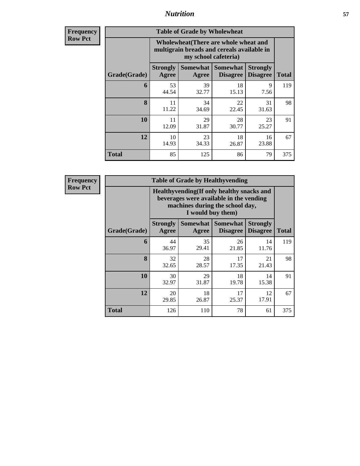**Frequency Row Pct**

| <b>Table of Grade by Wholewheat</b> |                                                                                                             |                                           |                                    |                                    |              |  |  |  |  |
|-------------------------------------|-------------------------------------------------------------------------------------------------------------|-------------------------------------------|------------------------------------|------------------------------------|--------------|--|--|--|--|
|                                     | Wholewheat (There are whole wheat and<br>multigrain breads and cereals available in<br>my school cafeteria) |                                           |                                    |                                    |              |  |  |  |  |
| Grade(Grade)                        | <b>Strongly</b><br>Agree                                                                                    | Somewhat<br>Agree                         | <b>Somewhat</b><br><b>Disagree</b> | <b>Strongly</b><br><b>Disagree</b> | <b>Total</b> |  |  |  |  |
| 6                                   | 53<br>44.54                                                                                                 | 39<br>32.77                               | 18<br>15.13                        | 9<br>7.56                          | 119          |  |  |  |  |
| 8                                   | 11<br>11.22                                                                                                 | 34<br>34.69                               | 22<br>22.45                        | 31<br>31.63                        | 98           |  |  |  |  |
| 10                                  | 11<br>12.09                                                                                                 | 29<br>31.87                               | 28<br>30.77                        | 23<br>25.27                        | 91           |  |  |  |  |
| 12                                  | 10<br>14.93                                                                                                 | 23<br>18<br>16<br>34.33<br>26.87<br>23.88 |                                    |                                    |              |  |  |  |  |
| <b>Total</b>                        | 85                                                                                                          | 125                                       | 86                                 | 79                                 | 375          |  |  |  |  |

**Frequency Row Pct**

| <b>Table of Grade by Healthyvending</b> |                                                                                                                                               |             |                                      |                                    |              |  |  |  |
|-----------------------------------------|-----------------------------------------------------------------------------------------------------------------------------------------------|-------------|--------------------------------------|------------------------------------|--------------|--|--|--|
|                                         | Healthyvending (If only healthy snacks and<br>beverages were available in the vending<br>machines during the school day,<br>I would buy them) |             |                                      |                                    |              |  |  |  |
| Grade(Grade)                            | <b>Strongly</b><br>Agree                                                                                                                      | Agree       | Somewhat Somewhat<br><b>Disagree</b> | <b>Strongly</b><br><b>Disagree</b> | <b>Total</b> |  |  |  |
| 6                                       | 44<br>36.97                                                                                                                                   | 35<br>29.41 | 26<br>21.85                          | 14<br>11.76                        | 119          |  |  |  |
| 8                                       | 32<br>32.65                                                                                                                                   | 28<br>28.57 | 17<br>17.35                          | 21<br>21.43                        | 98           |  |  |  |
| 10                                      | 30<br>32.97                                                                                                                                   | 29<br>31.87 | 18<br>19.78                          | 14<br>15.38                        | 91           |  |  |  |
| 12                                      | 20<br>29.85                                                                                                                                   | 18<br>26.87 | 17<br>25.37                          | 12<br>17.91                        | 67           |  |  |  |
| <b>Total</b>                            | 126                                                                                                                                           | 110         | 78                                   | 61                                 | 375          |  |  |  |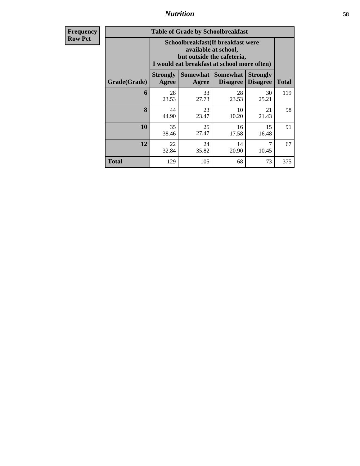**Frequency Row Pct**

| <b>Table of Grade by Schoolbreakfast</b> |                                                                                                                                        |             |                                      |                                    |              |  |  |  |
|------------------------------------------|----------------------------------------------------------------------------------------------------------------------------------------|-------------|--------------------------------------|------------------------------------|--------------|--|--|--|
|                                          | Schoolbreakfast(If breakfast were<br>available at school,<br>but outside the cafeteria,<br>I would eat breakfast at school more often) |             |                                      |                                    |              |  |  |  |
| Grade(Grade)                             | <b>Strongly</b><br>Agree                                                                                                               | Agree       | Somewhat Somewhat<br><b>Disagree</b> | <b>Strongly</b><br><b>Disagree</b> | <b>Total</b> |  |  |  |
| 6                                        | 28<br>23.53                                                                                                                            | 33<br>27.73 | 28<br>23.53                          | 30<br>25.21                        | 119          |  |  |  |
| 8                                        | 44<br>44.90                                                                                                                            | 23<br>23.47 | 10<br>10.20                          | 21<br>21.43                        | 98           |  |  |  |
| 10                                       | 35<br>38.46                                                                                                                            | 25<br>27.47 | 16<br>17.58                          | 15<br>16.48                        | 91           |  |  |  |
| 12                                       | 22<br>32.84                                                                                                                            | 24<br>35.82 | 14<br>20.90                          | 7<br>10.45                         | 67           |  |  |  |
| Total                                    | 129                                                                                                                                    | 105         | 68                                   | 73                                 | 375          |  |  |  |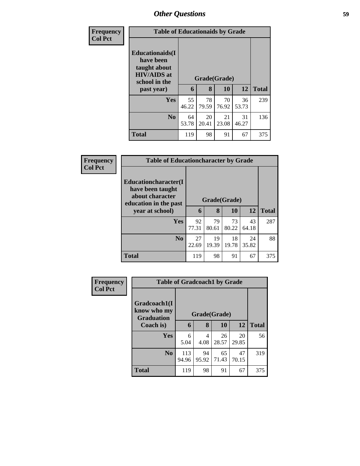| <b>Frequency</b> | <b>Table of Educationaids by Grade</b>                                                      |             |                   |             |             |              |  |
|------------------|---------------------------------------------------------------------------------------------|-------------|-------------------|-------------|-------------|--------------|--|
| <b>Col Pct</b>   | <b>Educationaids</b> (I<br>have been<br>taught about<br><b>HIV/AIDS</b> at<br>school in the | 6           | Grade(Grade)<br>8 | 10          | 12          | <b>Total</b> |  |
|                  | past year)                                                                                  |             |                   |             |             |              |  |
|                  | <b>Yes</b>                                                                                  | 55          | 78                | 70          | 36          | 239          |  |
|                  |                                                                                             | 46.22       | 79.59             | 76.92       | 53.73       |              |  |
|                  | N <sub>0</sub>                                                                              | 64<br>53.78 | 20<br>20.41       | 21<br>23.08 | 31<br>46.27 | 136          |  |
|                  | <b>Total</b>                                                                                | 119         | 98                | 91          | 67          | 375          |  |

| Frequency      | <b>Table of Educationcharacter by Grade</b>                                                  |                   |              |             |             |     |
|----------------|----------------------------------------------------------------------------------------------|-------------------|--------------|-------------|-------------|-----|
| <b>Col Pct</b> | <b>Educationcharacter</b> (I<br>have been taught<br>about character<br>education in the past | Grade(Grade)<br>6 | <b>Total</b> |             |             |     |
|                | year at school)                                                                              |                   | 8            | 10          | <b>12</b>   |     |
|                | <b>Yes</b>                                                                                   | 92<br>77.31       | 79<br>80.61  | 73<br>80.22 | 43<br>64.18 | 287 |
|                | N <sub>o</sub>                                                                               | 27<br>22.69       | 19<br>19.39  | 18<br>19.78 | 24<br>35.82 | 88  |
|                | <b>Total</b>                                                                                 | 119               | 98           | 91          | 67          | 375 |

| Frequency      |                                                  | <b>Table of Gradcoach1 by Grade</b> |              |             |             |              |  |  |
|----------------|--------------------------------------------------|-------------------------------------|--------------|-------------|-------------|--------------|--|--|
| <b>Col Pct</b> | Gradcoach1(I<br>know who my<br><b>Graduation</b> |                                     | Grade(Grade) |             |             |              |  |  |
|                | Coach is)                                        | 6                                   | 8            | 10          | 12          | <b>Total</b> |  |  |
|                | <b>Yes</b>                                       | 6<br>5.04                           | 4<br>4.08    | 26<br>28.57 | 20<br>29.85 | 56           |  |  |
|                | $\bf No$                                         | 113<br>94.96                        | 94<br>95.92  | 65<br>71.43 | 47<br>70.15 | 319          |  |  |
|                | <b>Total</b>                                     | 119                                 | 98           | 91          | 67          | 375          |  |  |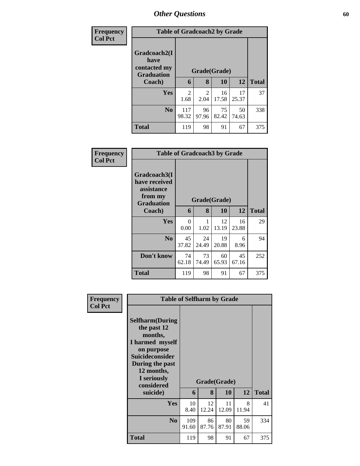| Frequency<br><b>Col Pct</b> |                                                           | <b>Table of Gradcoach2 by Grade</b> |             |             |             |              |  |  |  |  |
|-----------------------------|-----------------------------------------------------------|-------------------------------------|-------------|-------------|-------------|--------------|--|--|--|--|
|                             | Gradcoach2(I<br>have<br>contacted my<br><b>Graduation</b> | Grade(Grade)                        |             |             |             |              |  |  |  |  |
|                             | Coach)                                                    | 6                                   | 8           | 10          | 12          | <b>Total</b> |  |  |  |  |
|                             | <b>Yes</b>                                                | $\overline{2}$<br>1.68              | 2<br>2.04   | 16<br>17.58 | 17<br>25.37 | 37           |  |  |  |  |
|                             | N <sub>0</sub>                                            | 117<br>98.32                        | 96<br>97.96 | 75<br>82.42 | 50<br>74.63 | 338          |  |  |  |  |
|                             | <b>Total</b>                                              | 119                                 | 98          | 91          | 67          | 375          |  |  |  |  |

| Frequency      |                                                                             | <b>Table of Gradcoach3 by Grade</b> |             |             |             |              |  |  |
|----------------|-----------------------------------------------------------------------------|-------------------------------------|-------------|-------------|-------------|--------------|--|--|
| <b>Col Pct</b> | Gradcoach3(I<br>have received<br>assistance<br>from my<br><b>Graduation</b> | Grade(Grade)                        |             |             |             |              |  |  |
|                | Coach)                                                                      | 6                                   | 8           | 10          | 12          | <b>Total</b> |  |  |
|                | Yes                                                                         | 0<br>0.00                           | 1.02        | 12<br>13.19 | 16<br>23.88 | 29           |  |  |
|                | N <sub>0</sub>                                                              | 45<br>37.82                         | 24<br>24.49 | 19<br>20.88 | 6<br>8.96   | 94           |  |  |
|                | Don't know                                                                  | 74<br>62.18                         | 73<br>74.49 | 60<br>65.93 | 45<br>67.16 | 252          |  |  |
|                | <b>Total</b>                                                                | 119                                 | 98          | 91          | 67          | 375          |  |  |

| Frequency<br><b>Col Pct</b> | <b>Table of Selfharm by Grade</b>                                                                                                                                          |              |              |             |             |              |
|-----------------------------|----------------------------------------------------------------------------------------------------------------------------------------------------------------------------|--------------|--------------|-------------|-------------|--------------|
|                             | <b>Selfharm</b> (During<br>the past 12<br>months,<br>I harmed myself<br>on purpose<br><b>Suicideconsider</b><br>During the past<br>12 months,<br>I seriously<br>considered |              | Grade(Grade) |             |             |              |
|                             | suicide)                                                                                                                                                                   | 6            | 8            | 10          | 12          | <b>Total</b> |
|                             | Yes                                                                                                                                                                        | 10<br>8.40   | 12<br>12.24  | 11<br>12.09 | 8<br>11.94  | 41           |
|                             | N <sub>0</sub>                                                                                                                                                             | 109<br>91.60 | 86<br>87.76  | 80<br>87.91 | 59<br>88.06 | 334          |
|                             | <b>Total</b>                                                                                                                                                               | 119          | 98           | 91          | 67          | 375          |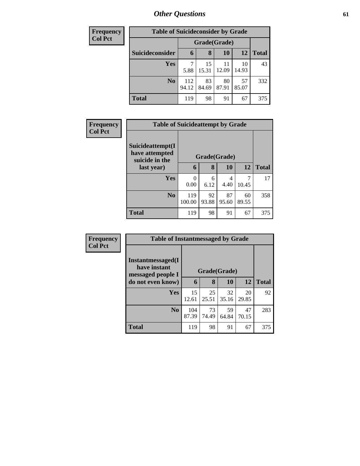| <b>Frequency</b> | <b>Table of Suicideconsider by Grade</b> |              |             |             |             |              |
|------------------|------------------------------------------|--------------|-------------|-------------|-------------|--------------|
| <b>Col Pct</b>   |                                          | Grade(Grade) |             |             |             |              |
|                  | Suicideconsider                          | $\mathbf b$  | 8           | 10          | 12          | <b>Total</b> |
|                  | <b>Yes</b>                               | 7<br>5.88    | 15<br>15.31 | 11<br>12.09 | 10<br>14.93 | 43           |
|                  | N <sub>0</sub>                           | 112<br>94.12 | 83<br>84.69 | 80<br>87.91 | 57<br>85.07 | 332          |
|                  | <b>Total</b>                             | 119          | 98          | 91          | 67          | 375          |

| <b>Frequency</b> |                                                      | <b>Table of Suicideattempt by Grade</b> |              |             |             |              |  |  |
|------------------|------------------------------------------------------|-----------------------------------------|--------------|-------------|-------------|--------------|--|--|
| <b>Col Pct</b>   | Suicideattempt(I<br>have attempted<br>suicide in the |                                         | Grade(Grade) |             |             |              |  |  |
|                  | last year)                                           | 6                                       | 8            | <b>10</b>   | 12          | <b>Total</b> |  |  |
|                  | Yes                                                  | $\theta$<br>0.00                        | 6<br>6.12    | 4<br>4.40   | 10.45       | 17           |  |  |
|                  | N <sub>0</sub>                                       | 119<br>100.00                           | 92<br>93.88  | 87<br>95.60 | 60<br>89.55 | 358          |  |  |
|                  | <b>Total</b>                                         | 119                                     | 98           | 91          | 67          | 375          |  |  |

| Frequency      | <b>Table of Instantmessaged by Grade</b>               |              |             |             |             |              |
|----------------|--------------------------------------------------------|--------------|-------------|-------------|-------------|--------------|
| <b>Col Pct</b> | Instantmessaged(I<br>have instant<br>messaged people I | Grade(Grade) |             |             |             |              |
|                | do not even know)                                      | 6            | 8           | 10          | 12          | <b>Total</b> |
|                | <b>Yes</b>                                             | 15<br>12.61  | 25<br>25.51 | 32<br>35.16 | 20<br>29.85 | 92           |
|                | N <sub>o</sub>                                         | 104<br>87.39 | 73<br>74.49 | 59<br>64.84 | 47<br>70.15 | 283          |
|                | <b>Total</b>                                           | 119          | 98          | 91          | 67          | 375          |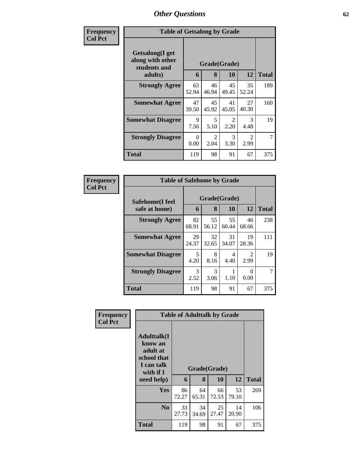| Frequency      |                                                     | <b>Table of Getsalong by Grade</b> |                        |                                     |                       |                |  |  |  |
|----------------|-----------------------------------------------------|------------------------------------|------------------------|-------------------------------------|-----------------------|----------------|--|--|--|
| <b>Col Pct</b> | Getsalong(I get<br>along with other<br>students and | Grade(Grade)                       |                        |                                     |                       |                |  |  |  |
|                | adults)                                             | 6                                  | 8                      | 10                                  | 12                    | <b>Total</b>   |  |  |  |
|                | <b>Strongly Agree</b>                               | 63<br>52.94                        | 46<br>46.94            | 45<br>49.45                         | 35<br>52.24           | 189            |  |  |  |
|                | <b>Somewhat Agree</b>                               | 47<br>39.50                        | 45<br>45.92            | 41<br>45.05                         | 27<br>40.30           | 160            |  |  |  |
|                | <b>Somewhat Disagree</b>                            | $\mathbf Q$<br>7.56                | 5<br>5.10              | $\mathcal{D}_{\mathcal{L}}$<br>2.20 | $\mathcal{F}$<br>4.48 | 19             |  |  |  |
|                | <b>Strongly Disagree</b>                            | $\Omega$<br>0.00                   | $\overline{2}$<br>2.04 | 3<br>3.30                           | 2<br>2.99             | $\overline{7}$ |  |  |  |
|                | Total                                               | 119                                | 98                     | 91                                  | 67                    | 375            |  |  |  |

| Frequency      | <b>Table of Safehome by Grade</b> |                   |              |             |                        |     |  |  |  |
|----------------|-----------------------------------|-------------------|--------------|-------------|------------------------|-----|--|--|--|
| <b>Col Pct</b> | Safehome(I feel<br>safe at home)  | Grade(Grade)<br>6 | <b>Total</b> |             |                        |     |  |  |  |
|                | <b>Strongly Agree</b>             | 82<br>68.91       | 55<br>56.12  | 55<br>60.44 | 46<br>68.66            | 238 |  |  |  |
|                | <b>Somewhat Agree</b>             | 29<br>24.37       | 32<br>32.65  | 31<br>34.07 | 19<br>28.36            | 111 |  |  |  |
|                | <b>Somewhat Disagree</b>          | 5<br>4.20         | 8<br>8.16    | 4<br>4.40   | $\mathfrak{D}$<br>2.99 | 19  |  |  |  |
|                | <b>Strongly Disagree</b>          | 3<br>2.52         | 3<br>3.06    | 1.10        | 0.00                   |     |  |  |  |
|                | <b>Total</b>                      | 119               | 98           | 91          | 67                     | 375 |  |  |  |

| Frequency      | <b>Table of Adulttalk by Grade</b>                                                                |             |             |                    |             |              |  |  |  |
|----------------|---------------------------------------------------------------------------------------------------|-------------|-------------|--------------------|-------------|--------------|--|--|--|
| <b>Col Pct</b> | <b>Adulttalk(I</b><br>know an<br>adult at<br>school that<br>I can talk<br>with if I<br>need help) | 6           | 8           | Grade(Grade)<br>10 | 12          | <b>Total</b> |  |  |  |
|                | <b>Yes</b>                                                                                        | 86<br>72.27 | 64<br>65.31 | 66<br>72.53        | 53<br>79.10 | 269          |  |  |  |
|                | N <sub>0</sub>                                                                                    | 33<br>27.73 | 34<br>34.69 | 25<br>27.47        | 14<br>20.90 | 106          |  |  |  |
|                | <b>Total</b>                                                                                      | 119         | 98          | 91                 | 67          | 375          |  |  |  |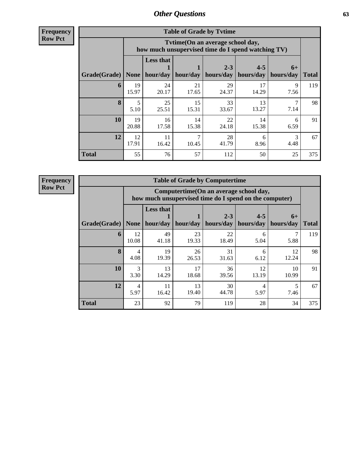**Frequency Row Pct**

| <b>Table of Grade by Tvtime</b> |             |                                                                                        |                     |                      |                                |           |              |  |  |  |
|---------------------------------|-------------|----------------------------------------------------------------------------------------|---------------------|----------------------|--------------------------------|-----------|--------------|--|--|--|
|                                 |             | Tvtime(On an average school day,<br>how much unsupervised time do I spend watching TV) |                     |                      |                                |           |              |  |  |  |
| Grade(Grade)   None             |             | <b>Less that</b>                                                                       | hour/day   hour/day | $2 - 3$<br>hours/day | $4 - 5$<br>hours/day hours/day | $6+$      | <b>Total</b> |  |  |  |
| 6                               | 19<br>15.97 | 24<br>20.17                                                                            | 21<br>17.65         | 29<br>24.37          | 17<br>14.29                    | 9<br>7.56 | 119          |  |  |  |
| 8                               | 5<br>5.10   | 25<br>25.51                                                                            | 15<br>15.31         | 33<br>33.67          | 13<br>13.27                    | 7.14      | 98           |  |  |  |
| 10                              | 19<br>20.88 | 16<br>17.58                                                                            | 14<br>15.38         | 22<br>24.18          | 14<br>15.38                    | 6<br>6.59 | 91           |  |  |  |
| 12                              | 12<br>17.91 | 11<br>16.42                                                                            | 10.45               | 28<br>41.79          | 6<br>8.96                      | 3<br>4.48 | 67           |  |  |  |
| <b>Total</b>                    | 55          | 76                                                                                     | 57                  | 112                  | 50                             | 25        | 375          |  |  |  |

**Frequency Row Pct**

| <b>Table of Grade by Computertime</b> |                        |                                                                                                                              |             |             |             |             |     |  |  |
|---------------------------------------|------------------------|------------------------------------------------------------------------------------------------------------------------------|-------------|-------------|-------------|-------------|-----|--|--|
|                                       |                        | Computertime(On an average school day,<br>how much unsupervised time do I spend on the computer)                             |             |             |             |             |     |  |  |
| Grade(Grade)                          | <b>None</b>            | <b>Less that</b><br>$2 - 3$<br>$4 - 5$<br>$6+$<br>hour/day   hour/day<br>hours/day<br>hours/day<br>hours/day<br><b>Total</b> |             |             |             |             |     |  |  |
| 6                                     | 12<br>10.08            | 49<br>41.18                                                                                                                  | 23<br>19.33 | 22<br>18.49 | 6<br>5.04   | 5.88        | 119 |  |  |
| 8                                     | $\overline{4}$<br>4.08 | 19<br>19.39                                                                                                                  | 26<br>26.53 | 31<br>31.63 | 6<br>6.12   | 12<br>12.24 | 98  |  |  |
| 10                                    | 3<br>3.30              | 13<br>14.29                                                                                                                  | 17<br>18.68 | 36<br>39.56 | 12<br>13.19 | 10<br>10.99 | 91  |  |  |
| 12                                    | 4<br>5.97              | 11<br>16.42                                                                                                                  | 13<br>19.40 | 30<br>44.78 | 4<br>5.97   | 7.46        | 67  |  |  |
| <b>Total</b>                          | 23                     | 92                                                                                                                           | 79          | 119         | 28          | 34          | 375 |  |  |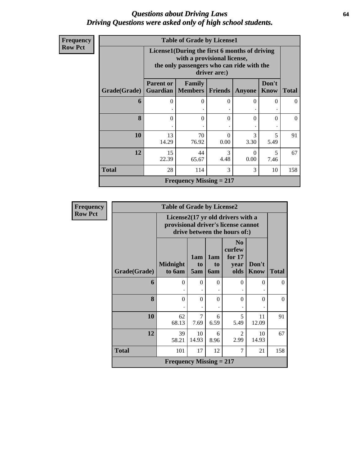### *Questions about Driving Laws* **64** *Driving Questions were asked only of high school students.*

| <b>Frequency</b> |  |
|------------------|--|
| <b>Row Pct</b>   |  |
|                  |  |

| <b>Table of Grade by License1</b>         |                                                                                                                                           |                                     |                  |           |                      |              |  |  |
|-------------------------------------------|-------------------------------------------------------------------------------------------------------------------------------------------|-------------------------------------|------------------|-----------|----------------------|--------------|--|--|
|                                           | License1(During the first 6 months of driving<br>with a provisional license,<br>the only passengers who can ride with the<br>driver are:) |                                     |                  |           |                      |              |  |  |
| Grade(Grade)                              | <b>Parent or</b>                                                                                                                          | Family<br><b>Guardian</b>   Members | Friends          | Anyone    | Don't<br><b>Know</b> | <b>Total</b> |  |  |
| 6                                         | 0                                                                                                                                         | 0                                   | 0                | $\theta$  | 0                    | $\Omega$     |  |  |
| 8                                         | 0                                                                                                                                         | $\Omega$                            | $\Omega$         | $\Omega$  | 0                    | $\Omega$     |  |  |
| 10                                        | 13<br>14.29                                                                                                                               | 70<br>76.92                         | $\Omega$<br>0.00 | 3<br>3.30 | 5<br>5.49            | 91           |  |  |
| 12                                        | $\mathcal{R}$<br>15<br>44<br>5<br>0<br>22.39<br>0.00<br>4.48<br>65.67<br>7.46                                                             |                                     |                  |           |                      |              |  |  |
| <b>Total</b><br>3<br>28<br>3<br>114<br>10 |                                                                                                                                           |                                     |                  |           |                      |              |  |  |
|                                           |                                                                                                                                           | Frequency Missing $= 217$           |                  |           |                      |              |  |  |

| Frequency      |              | <b>Table of Grade by License2</b>                                                                        |                  |                         |                                                      |                      |              |
|----------------|--------------|----------------------------------------------------------------------------------------------------------|------------------|-------------------------|------------------------------------------------------|----------------------|--------------|
| <b>Row Pct</b> |              | License2(17 yr old drivers with a<br>provisional driver's license cannot<br>drive between the hours of:) |                  |                         |                                                      |                      |              |
|                | Grade(Grade) | <b>Midnight</b><br>to 6am                                                                                | 1am<br>to<br>5am | 1am<br>to<br><b>6am</b> | N <sub>0</sub><br>curfew<br>for $17$<br>year<br>olds | Don't<br><b>Know</b> | <b>Total</b> |
|                | 6            | $\Omega$                                                                                                 | $\Omega$         | $\overline{0}$<br>٠     | $\Omega$                                             | 0                    | $\Omega$     |
|                | 8            | $\theta$                                                                                                 | $\theta$         | $\theta$                | $\theta$                                             | $\Omega$             | $\theta$     |
|                | 10           | 62<br>68.13                                                                                              | 7<br>7.69        | 6<br>6.59               | 5<br>5.49                                            | 11<br>12.09          | 91           |
|                | 12           | 39<br>58.21                                                                                              | 10<br>14.93      | 6<br>8.96               | $\mathfrak{D}$<br>2.99                               | 10<br>14.93          | 67           |
|                | <b>Total</b> | 101                                                                                                      | 17               | 12                      | 7                                                    | 21                   | 158          |
|                |              | <b>Frequency Missing = 217</b>                                                                           |                  |                         |                                                      |                      |              |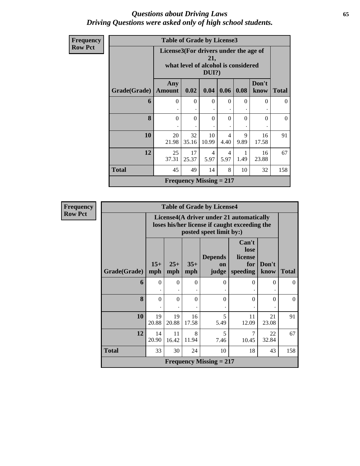### *Questions about Driving Laws* **65** *Driving Questions were asked only of high school students.*

| Frequency      |              | <b>Table of Grade by License3</b> |                                                                                                 |             |                        |           |               |              |  |
|----------------|--------------|-----------------------------------|-------------------------------------------------------------------------------------------------|-------------|------------------------|-----------|---------------|--------------|--|
| <b>Row Pct</b> |              |                                   | License3(For drivers under the age of<br>21,<br>what level of alcohol is considered<br>$DUI$ ?) |             |                        |           |               |              |  |
|                | Grade(Grade) | Any<br><b>Amount</b>              | 0.02                                                                                            | 0.04        | 0.06                   | 0.08      | Don't<br>know | <b>Total</b> |  |
|                | 6            | $\Omega$                          | $\Omega$                                                                                        | $\Omega$    | $\Omega$               | $\Omega$  | $\Omega$      | $\Omega$     |  |
|                | 8            | $\Omega$                          | $\Omega$                                                                                        | $\Omega$    | $\Omega$               | $\Omega$  | $\Omega$      | $\theta$     |  |
|                | 10           | 20<br>21.98                       | 32<br>35.16                                                                                     | 10<br>10.99 | 4<br>4.40              | 9<br>9.89 | 16<br>17.58   | 91           |  |
|                | 12           | 25<br>37.31                       | 17<br>25.37                                                                                     | 4<br>5.97   | $\overline{4}$<br>5.97 | 1.49      | 16<br>23.88   | 67           |  |
|                | <b>Total</b> | 45                                | 49                                                                                              | 14          | 8                      | 10        | 32            | 158          |  |
|                |              |                                   | Frequency Missing $= 217$                                                                       |             |                        |           |               |              |  |

| <b>Frequency</b> |              |              |              |              | <b>Table of Grade by License4</b> |                                                                                           |               |              |
|------------------|--------------|--------------|--------------|--------------|-----------------------------------|-------------------------------------------------------------------------------------------|---------------|--------------|
| <b>Row Pct</b>   |              |              |              |              | posted speet limit by:)           | License4(A driver under 21 automatically<br>loses his/her license if caught exceeding the |               |              |
|                  | Grade(Grade) | $15+$<br>mph | $25+$<br>mph | $35+$<br>mph | <b>Depends</b><br>on<br>judge     | Can't<br>lose<br>license<br>for<br>speeding                                               | Don't<br>know | <b>Total</b> |
|                  | 6            | $\theta$     | $\theta$     | $\mathbf{0}$ | $\Omega$                          | $\theta$                                                                                  | $\theta$      | $\Omega$     |
|                  | 8            | $\theta$     | $\theta$     | $\Omega$     | $\Omega$                          | $\theta$                                                                                  | $\theta$      | $\Omega$     |
|                  | 10           | 19<br>20.88  | 19<br>20.88  | 16<br>17.58  | 5<br>5.49                         | 11<br>12.09                                                                               | 21<br>23.08   | 91           |
|                  | 12           | 14<br>20.90  | 11<br>16.42  | 8<br>11.94   | 5<br>7.46                         | $\overline{7}$<br>10.45                                                                   | 22<br>32.84   | 67           |
|                  | <b>Total</b> | 33           | 30           | 24           | 10                                | 18                                                                                        | 43            | 158          |
|                  |              |              |              |              | <b>Frequency Missing = 217</b>    |                                                                                           |               |              |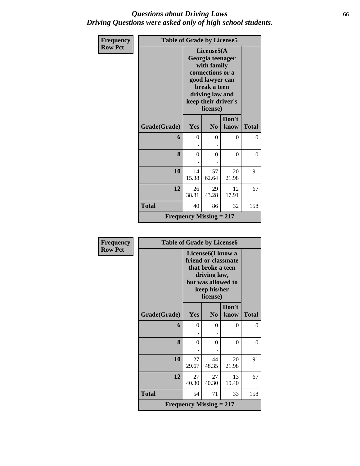### *Questions about Driving Laws* **66** *Driving Questions were asked only of high school students.*

| Frequency      | <b>Table of Grade by License5</b> |                                |                                                                                                                                                             |               |              |
|----------------|-----------------------------------|--------------------------------|-------------------------------------------------------------------------------------------------------------------------------------------------------------|---------------|--------------|
| <b>Row Pct</b> |                                   |                                | License5(A)<br>Georgia teenager<br>with family<br>connections or a<br>good lawyer can<br>break a teen<br>driving law and<br>keep their driver's<br>license) |               |              |
|                | Grade(Grade)                      | Yes                            | N <sub>0</sub>                                                                                                                                              | Don't<br>know | <b>Total</b> |
|                | 6                                 | $\theta$                       | $\Omega$                                                                                                                                                    | 0             | $\Omega$     |
|                | 8                                 | $\overline{0}$                 | $\theta$                                                                                                                                                    | $\theta$      | $\Omega$     |
|                | 10                                | 14<br>15.38                    | 57<br>62.64                                                                                                                                                 | 20<br>21.98   | 91           |
|                | 12                                | 26<br>38.81                    | 29<br>43.28                                                                                                                                                 | 12<br>17.91   | 67           |
|                | <b>Total</b>                      | 40                             | 86                                                                                                                                                          | 32            | 158          |
|                |                                   | <b>Frequency Missing = 217</b> |                                                                                                                                                             |               |              |

| <b>Frequency</b> | <b>Table of Grade by License6</b> |                                                                                                                                              |                |               |              |
|------------------|-----------------------------------|----------------------------------------------------------------------------------------------------------------------------------------------|----------------|---------------|--------------|
| <b>Row Pct</b>   |                                   | License <sub>6</sub> (I know a<br>friend or classmate<br>that broke a teen<br>driving law,<br>but was allowed to<br>keep his/her<br>license) |                |               |              |
|                  | Grade(Grade)                      | Yes                                                                                                                                          | N <sub>0</sub> | Don't<br>know | <b>Total</b> |
|                  | 6                                 | $\theta$                                                                                                                                     | 0              | 0             | 0            |
|                  | 8                                 | $\theta$                                                                                                                                     | 0              | 0             | 0            |
|                  | 10                                | 27<br>29.67                                                                                                                                  | 44<br>48.35    | 20<br>21.98   | 91           |
|                  | 12                                | 27<br>40.30                                                                                                                                  | 27<br>40.30    | 13<br>19.40   | 67           |
|                  | <b>Total</b>                      | 54                                                                                                                                           | 71             | 33            | 158          |
|                  |                                   | <b>Frequency Missing = 217</b>                                                                                                               |                |               |              |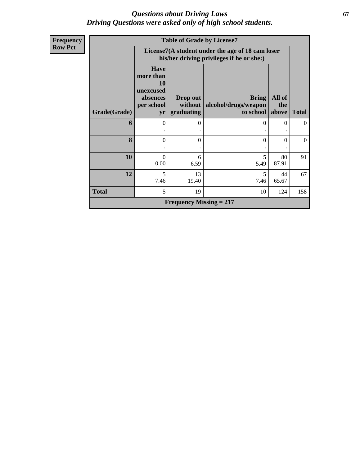### *Questions about Driving Laws* **67** *Driving Questions were asked only of high school students.*

| <b>Frequency</b> |              | <b>Table of Grade by License7</b>                                            |                                   |                                                                                               |                        |                |  |  |  |  |
|------------------|--------------|------------------------------------------------------------------------------|-----------------------------------|-----------------------------------------------------------------------------------------------|------------------------|----------------|--|--|--|--|
| <b>Row Pct</b>   |              |                                                                              |                                   | License7(A student under the age of 18 cam loser<br>his/her driving privileges if he or she:) |                        |                |  |  |  |  |
|                  | Grade(Grade) | <b>Have</b><br>more than<br><b>10</b><br>unexcused<br>absences<br>per school | Drop out<br>without<br>graduating | <b>Bring</b><br>alcohol/drugs/weapon<br>to school                                             | All of<br>the<br>above | <b>Total</b>   |  |  |  |  |
|                  |              | yr                                                                           |                                   |                                                                                               |                        |                |  |  |  |  |
|                  | 6            | $\theta$                                                                     | $\Omega$                          | $\Omega$                                                                                      | $\mathbf{0}$           | $\overline{0}$ |  |  |  |  |
|                  | 8            | $\theta$                                                                     | $\theta$                          | $\mathbf{0}$                                                                                  | $\theta$               | $\theta$       |  |  |  |  |
|                  | 10           | $\theta$<br>0.00                                                             | 6<br>6.59                         | 5<br>5.49                                                                                     | 80<br>87.91            | 91             |  |  |  |  |
|                  | 12           | 5<br>7.46                                                                    | 13<br>19.40                       | 5<br>7.46                                                                                     | 44<br>65.67            | 67             |  |  |  |  |
|                  | <b>Total</b> | 5                                                                            | 19                                | 10                                                                                            | 124                    | 158            |  |  |  |  |
|                  |              |                                                                              | <b>Frequency Missing = 217</b>    |                                                                                               |                        |                |  |  |  |  |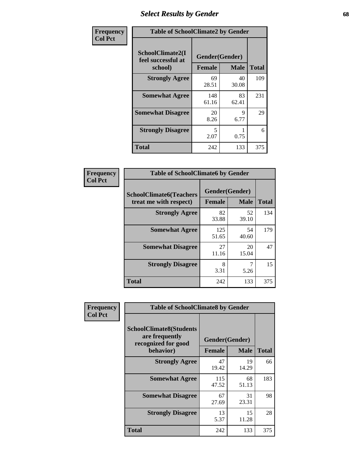## *Select Results by Gender* **68**

| Frequency      | <b>Table of SchoolClimate2 by Gender</b>          |                                 |             |              |  |  |
|----------------|---------------------------------------------------|---------------------------------|-------------|--------------|--|--|
| <b>Col Pct</b> | SchoolClimate2(I<br>feel successful at<br>school) | Gender(Gender)<br><b>Female</b> | <b>Male</b> | <b>Total</b> |  |  |
|                | <b>Strongly Agree</b>                             | 69<br>28.51                     | 40<br>30.08 | 109          |  |  |
|                | <b>Somewhat Agree</b>                             | 148<br>61.16                    | 83<br>62.41 | 231          |  |  |
|                | <b>Somewhat Disagree</b>                          | 20<br>8.26                      | 9<br>6.77   | 29           |  |  |
|                | <b>Strongly Disagree</b>                          | 5<br>2.07                       | 0.75        | 6            |  |  |
|                | <b>Total</b>                                      | 242                             | 133         | 375          |  |  |

| <b>Frequency</b> | <b>Table of SchoolClimate6 by Gender</b>                 |               |                               |              |  |  |
|------------------|----------------------------------------------------------|---------------|-------------------------------|--------------|--|--|
| <b>Col Pct</b>   | <b>SchoolClimate6(Teachers</b><br>treat me with respect) | <b>Female</b> | Gender(Gender)<br><b>Male</b> | <b>Total</b> |  |  |
|                  | <b>Strongly Agree</b>                                    | 82<br>33.88   | 52<br>39.10                   | 134          |  |  |
|                  | <b>Somewhat Agree</b>                                    | 125<br>51.65  | 54<br>40.60                   | 179          |  |  |
|                  | <b>Somewhat Disagree</b>                                 | 27<br>11.16   | 20<br>15.04                   | 47           |  |  |
|                  | <b>Strongly Disagree</b>                                 | 8<br>3.31     | 5.26                          | 15           |  |  |
|                  | <b>Total</b>                                             | 242           | 133                           | 375          |  |  |

| <b>Frequency</b> | <b>Table of SchoolClimate8 by Gender</b>                                             |               |                               |              |
|------------------|--------------------------------------------------------------------------------------|---------------|-------------------------------|--------------|
| <b>Col Pct</b>   | <b>SchoolClimate8(Students</b><br>are frequently<br>recognized for good<br>behavior) | <b>Female</b> | Gender(Gender)<br><b>Male</b> | <b>Total</b> |
|                  |                                                                                      |               |                               |              |
|                  | <b>Strongly Agree</b>                                                                | 47<br>19.42   | 19<br>14.29                   | 66           |
|                  | <b>Somewhat Agree</b>                                                                | 115<br>47.52  | 68<br>51.13                   | 183          |
|                  | <b>Somewhat Disagree</b>                                                             | 67<br>27.69   | 31<br>23.31                   | 98           |
|                  | <b>Strongly Disagree</b>                                                             | 13<br>5.37    | 15<br>11.28                   | 28           |
|                  | Total                                                                                | 242           | 133                           | 375          |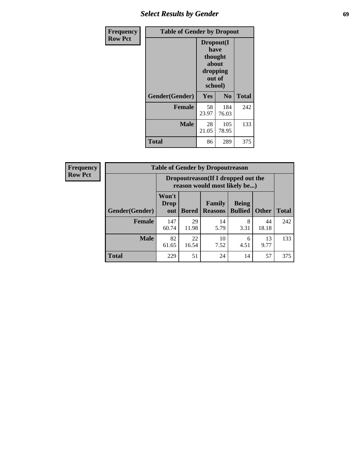## *Select Results by Gender* **69**

| Frequency      | <b>Table of Gender by Dropout</b> |                                                              |                |              |  |  |
|----------------|-----------------------------------|--------------------------------------------------------------|----------------|--------------|--|--|
| <b>Row Pct</b> |                                   | Dropout(I<br>have<br>thought<br>about<br>dropping<br>school) | out of         |              |  |  |
|                | Gender(Gender)                    | Yes                                                          | N <sub>0</sub> | <b>Total</b> |  |  |
|                | <b>Female</b>                     | 58<br>23.97                                                  | 184<br>76.03   | 242          |  |  |
|                | <b>Male</b>                       | 28<br>21.05                                                  | 105<br>78.95   | 133          |  |  |
|                | <b>Total</b>                      | 86                                                           | 289            | 375          |  |  |

| <b>Frequency</b> |                | <b>Table of Gender by Dropoutreason</b> |              |                                                                     |                                |              |              |  |
|------------------|----------------|-----------------------------------------|--------------|---------------------------------------------------------------------|--------------------------------|--------------|--------------|--|
| <b>Row Pct</b>   |                |                                         |              | Dropoutreason (If I dropped out the<br>reason would most likely be) |                                |              |              |  |
|                  | Gender(Gender) | Won't<br><b>Drop</b><br>out             | <b>Bored</b> | Family<br><b>Reasons</b>                                            | <b>Being</b><br><b>Bullied</b> | <b>Other</b> | <b>Total</b> |  |
|                  | <b>Female</b>  | 147<br>60.74                            | 29<br>11.98  | 14<br>5.79                                                          | 8<br>3.31                      | 44<br>18.18  | 242          |  |
|                  | <b>Male</b>    | 82<br>61.65                             | 22<br>16.54  | 10<br>7.52                                                          | 6<br>4.51                      | 13<br>9.77   | 133          |  |
|                  | <b>Total</b>   | 229                                     | 51           | 24                                                                  | 14                             | 57           | 375          |  |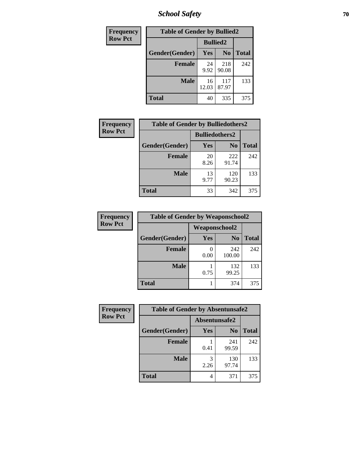*School Safety* **70**

| Frequency      | <b>Table of Gender by Bullied2</b> |                 |                |              |
|----------------|------------------------------------|-----------------|----------------|--------------|
| <b>Row Pct</b> |                                    | <b>Bullied2</b> |                |              |
|                | Gender(Gender)                     | Yes             | N <sub>0</sub> | <b>Total</b> |
|                | <b>Female</b>                      | 24<br>9.92      | 218<br>90.08   | 242          |
|                | <b>Male</b>                        | 16<br>12.03     | 117<br>87.97   | 133          |
|                | <b>Total</b>                       | 40              | 335            | 375          |

| Frequency      |                | <b>Table of Gender by Bulliedothers2</b> |                |              |  |
|----------------|----------------|------------------------------------------|----------------|--------------|--|
| <b>Row Pct</b> |                | <b>Bulliedothers2</b>                    |                |              |  |
|                | Gender(Gender) | <b>Yes</b>                               | N <sub>0</sub> | <b>Total</b> |  |
|                | <b>Female</b>  | 20<br>8.26                               | 222<br>91.74   | 242          |  |
|                | <b>Male</b>    | 13<br>9.77                               | 120<br>90.23   | 133          |  |
|                | <b>Total</b>   | 33                                       | 342            | 375          |  |

| <b>Frequency</b> | <b>Table of Gender by Weaponschool2</b> |                      |                |              |
|------------------|-----------------------------------------|----------------------|----------------|--------------|
| <b>Row Pct</b>   |                                         | <b>Weaponschool2</b> |                |              |
|                  | Gender(Gender)                          | Yes                  | N <sub>0</sub> | <b>Total</b> |
|                  | <b>Female</b>                           | 0.00                 | 242<br>100.00  | 242          |
|                  | <b>Male</b>                             | 0.75                 | 132<br>99.25   | 133          |
|                  | <b>Total</b>                            |                      | 374            | 375          |

| Frequency      | <b>Table of Gender by Absentunsafe2</b> |               |                |              |
|----------------|-----------------------------------------|---------------|----------------|--------------|
| <b>Row Pct</b> |                                         | Absentunsafe2 |                |              |
|                | Gender(Gender)                          | Yes           | N <sub>0</sub> | <b>Total</b> |
|                | <b>Female</b>                           | 0.41          | 241<br>99.59   | 242          |
|                | <b>Male</b>                             | 2.26          | 130<br>97.74   | 133          |
|                | <b>Total</b>                            | 4             | 371            | 375          |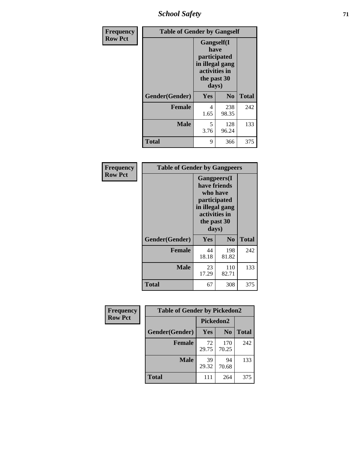*School Safety* **71**

| Frequency      |                | <b>Table of Gender by Gangself</b>                                                                     |              |              |  |
|----------------|----------------|--------------------------------------------------------------------------------------------------------|--------------|--------------|--|
| <b>Row Pct</b> |                | <b>Gangself</b> (I<br>have<br>participated<br>in illegal gang<br>activities in<br>the past 30<br>days) |              |              |  |
|                | Gender(Gender) | Yes                                                                                                    | $\bf No$     | <b>Total</b> |  |
|                | <b>Female</b>  | 4<br>1.65                                                                                              | 238<br>98.35 | 242          |  |
|                | <b>Male</b>    | 5<br>3.76                                                                                              | 128<br>96.24 | 133          |  |
|                | <b>Total</b>   | 9                                                                                                      | 366          | 375          |  |

| Frequency      | <b>Table of Gender by Gangpeers</b> |                                                                                                                             |                |              |
|----------------|-------------------------------------|-----------------------------------------------------------------------------------------------------------------------------|----------------|--------------|
| <b>Row Pct</b> |                                     | <b>Gangpeers</b> (I<br>have friends<br>who have<br>participated<br>in illegal gang<br>activities in<br>the past 30<br>days) |                |              |
|                | Gender(Gender)                      | Yes                                                                                                                         | N <sub>0</sub> | <b>Total</b> |
|                | <b>Female</b>                       | 44<br>18.18                                                                                                                 | 198<br>81.82   | 242          |
|                | <b>Male</b>                         | 23<br>17.29                                                                                                                 | 110<br>82.71   | 133          |
|                | Total                               | 67                                                                                                                          | 308            | 375          |

| Frequency      | <b>Table of Gender by Pickedon2</b> |             |                |              |  |
|----------------|-------------------------------------|-------------|----------------|--------------|--|
| <b>Row Pct</b> |                                     | Pickedon2   |                |              |  |
|                | Gender(Gender)                      | <b>Yes</b>  | N <sub>0</sub> | <b>Total</b> |  |
|                | <b>Female</b>                       | 72<br>29.75 | 170<br>70.25   | 242          |  |
|                | <b>Male</b>                         | 39<br>29.32 | 94<br>70.68    | 133          |  |
|                | <b>Total</b>                        | 111         | 264            | 375          |  |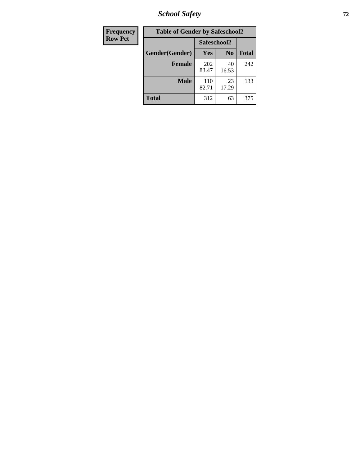*School Safety* **72**

| Frequency      | <b>Table of Gender by Safeschool2</b> |              |                |              |
|----------------|---------------------------------------|--------------|----------------|--------------|
| <b>Row Pct</b> |                                       | Safeschool2  |                |              |
|                | Gender(Gender)                        | Yes          | N <sub>0</sub> | <b>Total</b> |
|                | <b>Female</b>                         | 202<br>83.47 | 40<br>16.53    | 242          |
|                | <b>Male</b>                           | 110<br>82.71 | 23<br>17.29    | 133          |
|                | <b>Total</b>                          | 312          | 63             | 375          |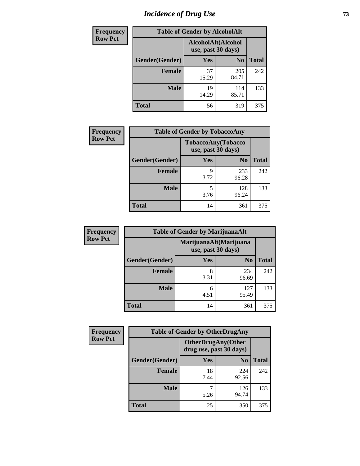# *Incidence of Drug Use* 73

| <b>Frequency</b> | <b>Table of Gender by AlcoholAlt</b>     |             |                |              |  |
|------------------|------------------------------------------|-------------|----------------|--------------|--|
| <b>Row Pct</b>   | AlcoholAlt(Alcohol<br>use, past 30 days) |             |                |              |  |
|                  | Gender(Gender)                           | Yes         | N <sub>0</sub> | <b>Total</b> |  |
|                  | <b>Female</b>                            | 37<br>15.29 | 205<br>84.71   | 242          |  |
|                  | <b>Male</b>                              | 19<br>14.29 | 114<br>85.71   | 133          |  |
|                  | <b>Total</b>                             | 56          | 319            | 375          |  |

| <b>Frequency</b> | <b>Table of Gender by TobaccoAny</b> |                    |                    |              |  |
|------------------|--------------------------------------|--------------------|--------------------|--------------|--|
| <b>Row Pct</b>   |                                      | use, past 30 days) | TobaccoAny(Tobacco |              |  |
|                  | Gender(Gender)                       | Yes                | N <sub>0</sub>     | <b>Total</b> |  |
|                  | <b>Female</b>                        | q<br>3.72          | 233<br>96.28       | 242          |  |
|                  | <b>Male</b>                          | 5<br>3.76          | 128<br>96.24       | 133          |  |
|                  | <b>Total</b>                         | 14                 | 361                | 375          |  |

| <b>Frequency</b> | <b>Table of Gender by MarijuanaAlt</b> |                                              |                |              |
|------------------|----------------------------------------|----------------------------------------------|----------------|--------------|
| <b>Row Pct</b>   |                                        | MarijuanaAlt(Marijuana<br>use, past 30 days) |                |              |
|                  | Gender(Gender)                         | Yes                                          | N <sub>0</sub> | <b>Total</b> |
|                  | Female                                 | 8<br>3.31                                    | 234<br>96.69   | 242          |
|                  | <b>Male</b>                            | 6<br>4.51                                    | 127<br>95.49   | 133          |
|                  | <b>Total</b>                           | 14                                           | 361            | 375          |

| <b>Frequency</b> | <b>Table of Gender by OtherDrugAny</b> |                         |                           |              |  |
|------------------|----------------------------------------|-------------------------|---------------------------|--------------|--|
| <b>Row Pct</b>   |                                        | drug use, past 30 days) | <b>OtherDrugAny(Other</b> |              |  |
|                  | Gender(Gender)                         | <b>Yes</b>              | N <sub>0</sub>            | <b>Total</b> |  |
|                  | <b>Female</b>                          | 18<br>7.44              | 224<br>92.56              | 242          |  |
|                  | <b>Male</b>                            | 5.26                    | 126<br>94.74              | 133          |  |
|                  | <b>Total</b>                           | 25                      | 350                       | 375          |  |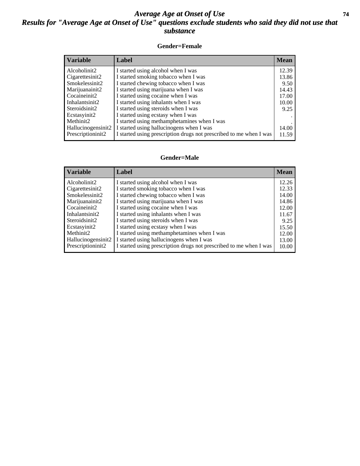### *Average Age at Onset of Use* **74** *Results for "Average Age at Onset of Use" questions exclude students who said they did not use that substance*

### **Gender=Female**

| <b>Variable</b>    | <b>Label</b>                                                       | <b>Mean</b> |
|--------------------|--------------------------------------------------------------------|-------------|
| Alcoholinit2       | I started using alcohol when I was                                 | 12.39       |
| Cigarettesinit2    | I started smoking tobacco when I was                               | 13.86       |
| Smokelessinit2     | I started chewing tobacco when I was                               | 9.50        |
| Marijuanainit2     | I started using marijuana when I was                               | 14.43       |
| Cocaineinit2       | I started using cocaine when I was                                 | 17.00       |
| Inhalantsinit2     | I started using inhalants when I was                               | 10.00       |
| Steroidsinit2      | I started using steroids when I was                                | 9.25        |
| Ecstasyinit2       | I started using ecstasy when I was                                 |             |
| Methinit2          | I started using methamphetamines when I was                        |             |
| Hallucinogensinit2 | I started using hallucinogens when I was                           | 14.00       |
| Prescription in t2 | I started using prescription drugs not prescribed to me when I was | 11.59       |

### **Gender=Male**

| <b>Variable</b>       | Label                                                              | <b>Mean</b> |
|-----------------------|--------------------------------------------------------------------|-------------|
| Alcoholinit2          | I started using alcohol when I was                                 | 12.26       |
| Cigarettesinit2       | I started smoking tobacco when I was                               | 12.33       |
| Smokelessinit2        | I started chewing tobacco when I was                               | 14.00       |
| Marijuanainit2        | I started using marijuana when I was                               | 14.86       |
| Cocaineinit2          | I started using cocaine when I was                                 | 12.00       |
| Inhalantsinit2        | I started using inhalants when I was                               | 11.67       |
| Steroidsinit2         | I started using steroids when I was                                | 9.25        |
| Ecstasyinit2          | I started using ecstasy when I was                                 | 15.50       |
| Methinit <sub>2</sub> | I started using methamphetamines when I was                        | 12.00       |
| Hallucinogensinit2    | I started using hallucinogens when I was                           | 13.00       |
| Prescriptioninit2     | I started using prescription drugs not prescribed to me when I was | 10.00       |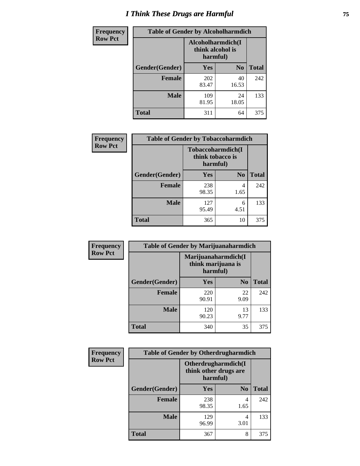# *I Think These Drugs are Harmful* **75**

| <b>Frequency</b> | <b>Table of Gender by Alcoholharmdich</b> |                                                   |                |              |
|------------------|-------------------------------------------|---------------------------------------------------|----------------|--------------|
| <b>Row Pct</b>   |                                           | Alcoholharmdich(I<br>think alcohol is<br>harmful) |                |              |
|                  | Gender(Gender)                            | Yes                                               | N <sub>0</sub> | <b>Total</b> |
|                  | <b>Female</b>                             | 202<br>83.47                                      | 40<br>16.53    | 242          |
|                  | <b>Male</b>                               | 109<br>81.95                                      | 24<br>18.05    | 133          |
|                  | <b>Total</b>                              | 311                                               | 64             | 375          |

| Frequency      | <b>Table of Gender by Tobaccoharmdich</b> |                  |                               |              |
|----------------|-------------------------------------------|------------------|-------------------------------|--------------|
| <b>Row Pct</b> |                                           | think tobacco is | Tobaccoharmdich(I<br>harmful) |              |
|                | Gender(Gender)                            | <b>Yes</b>       | N <sub>0</sub>                | <b>Total</b> |
|                | <b>Female</b>                             | 238<br>98.35     | 4<br>1.65                     | 242          |
|                | <b>Male</b>                               | 127<br>95.49     | 6<br>4.51                     | 133          |
|                | Total                                     | 365              | 10                            | 375          |

| Frequency      | <b>Table of Gender by Marijuanaharmdich</b> |                                |                     |              |  |
|----------------|---------------------------------------------|--------------------------------|---------------------|--------------|--|
| <b>Row Pct</b> |                                             | think marijuana is<br>harmful) | Marijuanaharmdich(I |              |  |
|                | Gender(Gender)                              | <b>Yes</b>                     | N <sub>0</sub>      | <b>Total</b> |  |
|                | <b>Female</b>                               | 220<br>90.91                   | 22<br>9.09          | 242          |  |
|                | <b>Male</b>                                 | 120<br>90.23                   | 13<br>9.77          | 133          |  |
|                | <b>Total</b>                                | 340                            | 35                  | 375          |  |

| Frequency      | <b>Table of Gender by Otherdrugharmdich</b> |                                                          |                |              |  |
|----------------|---------------------------------------------|----------------------------------------------------------|----------------|--------------|--|
| <b>Row Pct</b> |                                             | Otherdrugharmdich(I<br>think other drugs are<br>harmful) |                |              |  |
|                | Gender(Gender)                              | <b>Yes</b>                                               | N <sub>0</sub> | <b>Total</b> |  |
|                | <b>Female</b>                               | 238<br>98.35                                             | 4<br>1.65      | 242          |  |
|                | <b>Male</b>                                 | 129<br>96.99                                             | 4<br>3.01      | 133          |  |
|                | <b>Total</b>                                | 367                                                      | 8              | 375          |  |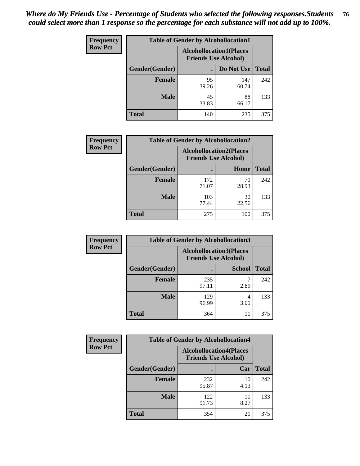| <b>Frequency</b> | <b>Table of Gender by Alcohollocation1</b> |                                                               |              |              |
|------------------|--------------------------------------------|---------------------------------------------------------------|--------------|--------------|
| <b>Row Pct</b>   |                                            | <b>Alcohollocation1(Places</b><br><b>Friends Use Alcohol)</b> |              |              |
|                  | Gender(Gender)                             |                                                               | Do Not Use   | <b>Total</b> |
|                  | <b>Female</b>                              | 95<br>39.26                                                   | 147<br>60.74 | 242          |
|                  | <b>Male</b>                                | 45<br>33.83                                                   | 88<br>66.17  | 133          |
|                  | <b>Total</b>                               | 140                                                           | 235          | 375          |

| <b>Frequency</b> |                | <b>Table of Gender by Alcohollocation2</b>                    |             |              |
|------------------|----------------|---------------------------------------------------------------|-------------|--------------|
| <b>Row Pct</b>   |                | <b>Alcohollocation2(Places</b><br><b>Friends Use Alcohol)</b> |             |              |
|                  | Gender(Gender) |                                                               | Home        | <b>Total</b> |
|                  | <b>Female</b>  | 172<br>71.07                                                  | 70<br>28.93 | 242          |
|                  | <b>Male</b>    | 103<br>77.44                                                  | 30<br>22.56 | 133          |
|                  | <b>Total</b>   | 275                                                           | 100         | 375          |

| Frequency      | <b>Table of Gender by Alcohollocation3</b> |                                                               |               |              |
|----------------|--------------------------------------------|---------------------------------------------------------------|---------------|--------------|
| <b>Row Pct</b> |                                            | <b>Alcohollocation3(Places</b><br><b>Friends Use Alcohol)</b> |               |              |
|                | Gender(Gender)                             |                                                               | <b>School</b> | <b>Total</b> |
|                | <b>Female</b>                              | 235<br>97.11                                                  | 2.89          | 242          |
|                | <b>Male</b>                                | 129<br>96.99                                                  | 4<br>3.01     | 133          |
|                | <b>Total</b>                               | 364                                                           | 11            | 375          |

| Frequency      | <b>Table of Gender by Alcohollocation4</b> |              |                                                               |              |
|----------------|--------------------------------------------|--------------|---------------------------------------------------------------|--------------|
| <b>Row Pct</b> |                                            |              | <b>Alcohollocation4(Places</b><br><b>Friends Use Alcohol)</b> |              |
|                | Gender(Gender)                             |              | Car                                                           | <b>Total</b> |
|                | <b>Female</b>                              | 232<br>95.87 | 10<br>4.13                                                    | 242          |
|                | <b>Male</b>                                | 122<br>91.73 | 11<br>8.27                                                    | 133          |
|                | <b>Total</b>                               | 354          | 21                                                            | 375          |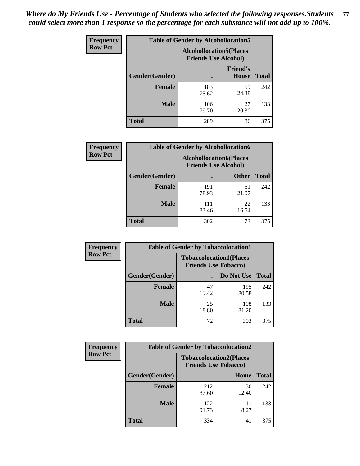| <b>Frequency</b> | <b>Table of Gender by Alcohollocation5</b> |                                                               |                          |              |
|------------------|--------------------------------------------|---------------------------------------------------------------|--------------------------|--------------|
| <b>Row Pct</b>   |                                            | <b>Alcohollocation5(Places</b><br><b>Friends Use Alcohol)</b> |                          |              |
|                  | Gender(Gender)                             |                                                               | <b>Friend's</b><br>House | <b>Total</b> |
|                  | <b>Female</b>                              | 183<br>75.62                                                  | 59<br>24.38              | 242          |
|                  | <b>Male</b>                                | 106<br>79.70                                                  | 27<br>20.30              | 133          |
|                  | <b>Total</b>                               | 289                                                           | 86                       | 375          |

| Frequency      | <b>Table of Gender by Alcohollocation6</b> |                                                               |              |              |
|----------------|--------------------------------------------|---------------------------------------------------------------|--------------|--------------|
| <b>Row Pct</b> |                                            | <b>Alcohollocation6(Places</b><br><b>Friends Use Alcohol)</b> |              |              |
|                | Gender(Gender)                             |                                                               | <b>Other</b> | <b>Total</b> |
|                | <b>Female</b>                              | 191<br>78.93                                                  | 51<br>21.07  | 242          |
|                | <b>Male</b>                                | 111<br>83.46                                                  | 22<br>16.54  | 133          |
|                | <b>Total</b>                               | 302                                                           | 73           | 375          |

| Frequency      | <b>Table of Gender by Tobaccolocation1</b> |                                                               |              |              |  |
|----------------|--------------------------------------------|---------------------------------------------------------------|--------------|--------------|--|
| <b>Row Pct</b> |                                            | <b>Tobaccolocation1(Places</b><br><b>Friends Use Tobacco)</b> |              |              |  |
|                | Gender(Gender)                             |                                                               | Do Not Use   | <b>Total</b> |  |
|                | Female                                     | 47<br>19.42                                                   | 195<br>80.58 | 242          |  |
|                | <b>Male</b>                                | 25<br>18.80                                                   | 108<br>81.20 | 133          |  |
|                | <b>Total</b>                               | 72                                                            | 303          | 375          |  |

| <b>Frequency</b> |                        | <b>Table of Gender by Tobaccolocation2</b> |                                                               |              |  |
|------------------|------------------------|--------------------------------------------|---------------------------------------------------------------|--------------|--|
| <b>Row Pct</b>   |                        |                                            | <b>Tobaccolocation2(Places</b><br><b>Friends Use Tobacco)</b> |              |  |
|                  | <b>Gender</b> (Gender) |                                            | Home                                                          | <b>Total</b> |  |
|                  | <b>Female</b>          | 212<br>87.60                               | 30<br>12.40                                                   | 242          |  |
|                  | <b>Male</b>            | 122<br>91.73                               | 11<br>8.27                                                    | 133          |  |
|                  | <b>Total</b>           | 334                                        | 41                                                            | 375          |  |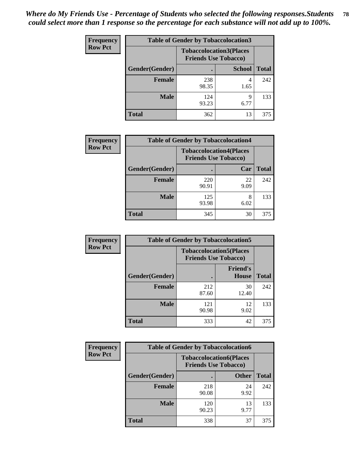| <b>Frequency</b> | <b>Table of Gender by Tobaccolocation3</b> |                             |                                |              |
|------------------|--------------------------------------------|-----------------------------|--------------------------------|--------------|
| <b>Row Pct</b>   |                                            | <b>Friends Use Tobacco)</b> | <b>Tobaccolocation3(Places</b> |              |
|                  | Gender(Gender)                             |                             | <b>School</b>                  | <b>Total</b> |
|                  | <b>Female</b>                              | 238<br>98.35                | 4<br>1.65                      | 242          |
|                  | <b>Male</b>                                | 124<br>93.23                | 9<br>6.77                      | 133          |
|                  | Total                                      | 362                         | 13                             | 375          |

| <b>Frequency</b> | <b>Table of Gender by Tobaccolocation4</b> |                                                               |            |              |
|------------------|--------------------------------------------|---------------------------------------------------------------|------------|--------------|
| <b>Row Pct</b>   |                                            | <b>Tobaccolocation4(Places</b><br><b>Friends Use Tobacco)</b> |            |              |
|                  | Gender(Gender)                             |                                                               | Car        | <b>Total</b> |
|                  | <b>Female</b>                              | 220<br>90.91                                                  | 22<br>9.09 | 242          |
|                  | <b>Male</b>                                | 125<br>93.98                                                  | 6.02       | 133          |
|                  | <b>Total</b>                               | 345                                                           | 30         | 375          |

| <b>Frequency</b> | <b>Table of Gender by Tobaccolocation5</b> |                                                               |                          |              |
|------------------|--------------------------------------------|---------------------------------------------------------------|--------------------------|--------------|
| <b>Row Pct</b>   |                                            | <b>Tobaccolocation5(Places</b><br><b>Friends Use Tobacco)</b> |                          |              |
|                  | Gender(Gender)                             |                                                               | <b>Friend's</b><br>House | <b>Total</b> |
|                  | <b>Female</b>                              | 212<br>87.60                                                  | 30<br>12.40              | 242          |
|                  | <b>Male</b>                                | 121<br>90.98                                                  | 12<br>9.02               | 133          |
|                  | <b>Total</b>                               | 333                                                           | 42                       | 375          |

| <b>Frequency</b> |                        | <b>Table of Gender by Tobaccolocation6</b> |                                                               |              |
|------------------|------------------------|--------------------------------------------|---------------------------------------------------------------|--------------|
| <b>Row Pct</b>   |                        |                                            | <b>Tobaccolocation6(Places</b><br><b>Friends Use Tobacco)</b> |              |
|                  | <b>Gender</b> (Gender) |                                            | <b>Other</b>                                                  | <b>Total</b> |
|                  | <b>Female</b>          | 218<br>90.08                               | 24<br>9.92                                                    | 242          |
|                  | <b>Male</b>            | 120<br>90.23                               | 13<br>9.77                                                    | 133          |
|                  | <b>Total</b>           | 338                                        | 37                                                            | 375          |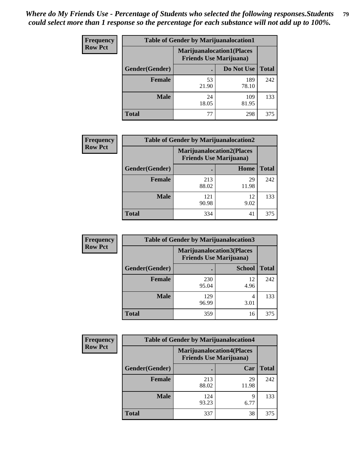| <b>Frequency</b> | <b>Table of Gender by Marijuanalocation1</b> |                                                                    |              |              |
|------------------|----------------------------------------------|--------------------------------------------------------------------|--------------|--------------|
| <b>Row Pct</b>   |                                              | <b>Marijuanalocation1(Places</b><br><b>Friends Use Marijuana</b> ) |              |              |
|                  | Gender(Gender)                               |                                                                    | Do Not Use   | <b>Total</b> |
|                  | <b>Female</b>                                | 53<br>21.90                                                        | 189<br>78.10 | 242          |
|                  | <b>Male</b>                                  | 24<br>18.05                                                        | 109<br>81.95 | 133          |
|                  | Total                                        | 77                                                                 | 298          | 375          |

| <b>Frequency</b> | <b>Table of Gender by Marijuanalocation2</b> |                                                                    |             |              |
|------------------|----------------------------------------------|--------------------------------------------------------------------|-------------|--------------|
| <b>Row Pct</b>   |                                              | <b>Marijuanalocation2(Places</b><br><b>Friends Use Marijuana</b> ) |             |              |
|                  | Gender(Gender)                               |                                                                    | Home        | <b>Total</b> |
|                  | <b>Female</b>                                | 213<br>88.02                                                       | 29<br>11.98 | 242          |
|                  | <b>Male</b>                                  | 121<br>90.98                                                       | 12<br>9.02  | 133          |
|                  | <b>Total</b>                                 | 334                                                                | 41          | 375          |

| Frequency      | <b>Table of Gender by Marijuanalocation3</b> |              |                                                                     |              |
|----------------|----------------------------------------------|--------------|---------------------------------------------------------------------|--------------|
| <b>Row Pct</b> |                                              |              | <b>Marijuanalocation3(Places)</b><br><b>Friends Use Marijuana</b> ) |              |
|                | Gender(Gender)                               |              | <b>School</b>                                                       | <b>Total</b> |
|                | Female                                       | 230<br>95.04 | 12<br>4.96                                                          | 242          |
|                | <b>Male</b>                                  | 129<br>96.99 | 4<br>3.01                                                           | 133          |
|                | <b>Total</b>                                 | 359          | 16                                                                  | 375          |

| <b>Frequency</b> | <b>Table of Gender by Marijuanalocation4</b> |                                |                                  |              |
|------------------|----------------------------------------------|--------------------------------|----------------------------------|--------------|
| <b>Row Pct</b>   |                                              | <b>Friends Use Marijuana</b> ) | <b>Marijuanalocation4(Places</b> |              |
|                  | Gender(Gender)                               |                                | Car                              | <b>Total</b> |
|                  | <b>Female</b>                                | 213<br>88.02                   | 29<br>11.98                      | 242          |
|                  | <b>Male</b>                                  | 124<br>93.23                   | q<br>6.77                        | 133          |
|                  | <b>Total</b>                                 | 337                            | 38                               | 375          |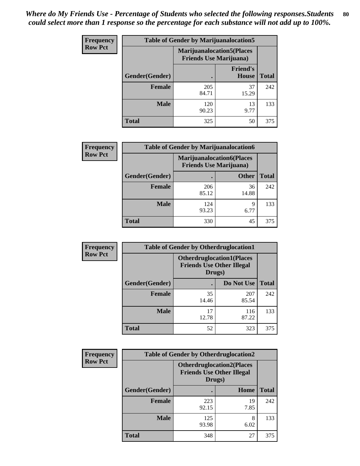| <b>Frequency</b> | <b>Table of Gender by Marijuanalocation5</b> |                                                                    |                          |              |
|------------------|----------------------------------------------|--------------------------------------------------------------------|--------------------------|--------------|
| <b>Row Pct</b>   |                                              | <b>Marijuanalocation5(Places</b><br><b>Friends Use Marijuana</b> ) |                          |              |
|                  | Gender(Gender)                               |                                                                    | <b>Friend's</b><br>House | <b>Total</b> |
|                  | Female                                       | 205<br>84.71                                                       | 37<br>15.29              | 242          |
|                  | <b>Male</b>                                  | 120<br>90.23                                                       | 13<br>9.77               | 133          |
|                  | <b>Total</b>                                 | 325                                                                | 50                       | 375          |

| <b>Frequency</b> | <b>Table of Gender by Marijuanalocation6</b> |                                |                                   |              |
|------------------|----------------------------------------------|--------------------------------|-----------------------------------|--------------|
| <b>Row Pct</b>   |                                              | <b>Friends Use Marijuana</b> ) | <b>Marijuanalocation6(Places)</b> |              |
|                  | Gender(Gender)                               |                                | <b>Other</b>                      | <b>Total</b> |
|                  | <b>Female</b>                                | 206<br>85.12                   | 36<br>14.88                       | 242          |
|                  | <b>Male</b>                                  | 124<br>93.23                   | 9<br>6.77                         | 133          |
|                  | <b>Total</b>                                 | 330                            | 45                                | 375          |

| <b>Frequency</b> | <b>Table of Gender by Otherdruglocation1</b> |                                                                                |              |              |
|------------------|----------------------------------------------|--------------------------------------------------------------------------------|--------------|--------------|
| <b>Row Pct</b>   |                                              | <b>Otherdruglocation1(Places</b><br><b>Friends Use Other Illegal</b><br>Drugs) |              |              |
|                  | <b>Gender</b> (Gender)                       |                                                                                | Do Not Use   | <b>Total</b> |
|                  | <b>Female</b>                                | 35<br>14.46                                                                    | 207<br>85.54 | 242          |
|                  | <b>Male</b>                                  | 17<br>12.78                                                                    | 116<br>87.22 | 133          |
|                  | <b>Total</b>                                 | 52                                                                             | 323          | 375          |

| Frequency      | <b>Table of Gender by Otherdruglocation2</b> |                                            |                                  |              |
|----------------|----------------------------------------------|--------------------------------------------|----------------------------------|--------------|
| <b>Row Pct</b> |                                              | <b>Friends Use Other Illegal</b><br>Drugs) | <b>Otherdruglocation2(Places</b> |              |
|                | Gender(Gender)                               |                                            | Home                             | <b>Total</b> |
|                | <b>Female</b>                                | 223<br>92.15                               | 19<br>7.85                       | 242          |
|                | <b>Male</b>                                  | 125<br>93.98                               | 8<br>6.02                        | 133          |
|                | <b>Total</b>                                 | 348                                        | 27                               | 375          |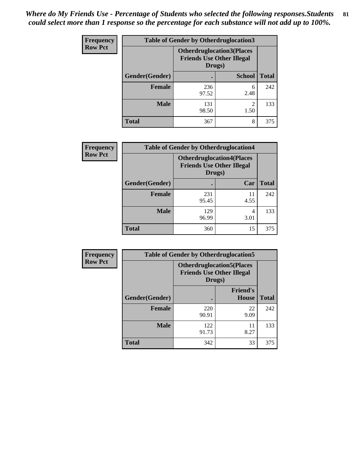| <b>Frequency</b> | <b>Table of Gender by Otherdruglocation3</b> |                                                                                |                        |              |
|------------------|----------------------------------------------|--------------------------------------------------------------------------------|------------------------|--------------|
| <b>Row Pct</b>   |                                              | <b>Otherdruglocation3(Places</b><br><b>Friends Use Other Illegal</b><br>Drugs) |                        |              |
|                  | Gender(Gender)                               |                                                                                | <b>School</b>          | <b>Total</b> |
|                  | <b>Female</b>                                | 236<br>97.52                                                                   | 6<br>2.48              | 242          |
|                  | <b>Male</b>                                  | 131<br>98.50                                                                   | $\mathfrak{D}$<br>1.50 | 133          |
|                  | <b>Total</b>                                 | 367                                                                            | 8                      | 375          |

| Frequency      | <b>Table of Gender by Otherdruglocation4</b> |                                                                                |            |              |
|----------------|----------------------------------------------|--------------------------------------------------------------------------------|------------|--------------|
| <b>Row Pct</b> |                                              | <b>Otherdruglocation4(Places</b><br><b>Friends Use Other Illegal</b><br>Drugs) |            |              |
|                | Gender(Gender)                               |                                                                                | Car        | <b>Total</b> |
|                | <b>Female</b>                                | 231<br>95.45                                                                   | 11<br>4.55 | 242          |
|                | <b>Male</b>                                  | 129<br>96.99                                                                   | 4<br>3.01  | 133          |
|                | <b>Total</b>                                 | 360                                                                            | 15         | 375          |

| Frequency      | <b>Table of Gender by Otherdruglocation5</b>                                   |              |                                 |              |
|----------------|--------------------------------------------------------------------------------|--------------|---------------------------------|--------------|
| <b>Row Pct</b> | <b>Otherdruglocation5(Places</b><br><b>Friends Use Other Illegal</b><br>Drugs) |              |                                 |              |
|                | Gender(Gender)                                                                 |              | <b>Friend's</b><br><b>House</b> | <b>Total</b> |
|                | <b>Female</b>                                                                  | 220<br>90.91 | 22<br>9.09                      | 242          |
|                | <b>Male</b>                                                                    | 122<br>91.73 | 11<br>8.27                      | 133          |
|                | <b>Total</b>                                                                   | 342          | 33                              | 375          |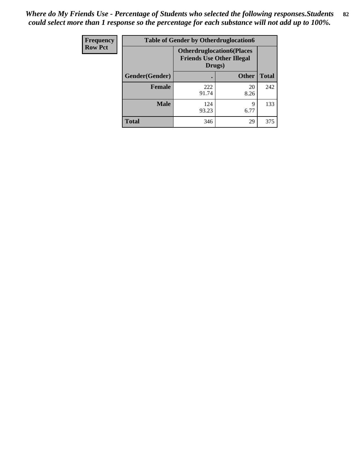| Frequency      | <b>Table of Gender by Otherdruglocation6</b>                                   |              |              |              |
|----------------|--------------------------------------------------------------------------------|--------------|--------------|--------------|
| <b>Row Pct</b> | <b>Otherdruglocation6(Places</b><br><b>Friends Use Other Illegal</b><br>Drugs) |              |              |              |
|                | Gender(Gender)                                                                 |              | <b>Other</b> | <b>Total</b> |
|                | <b>Female</b>                                                                  | 222<br>91.74 | 20<br>8.26   | 242          |
|                | <b>Male</b>                                                                    | 124<br>93.23 | 9<br>6.77    | 133          |
|                | <b>Total</b>                                                                   | 346          | 29           | 375          |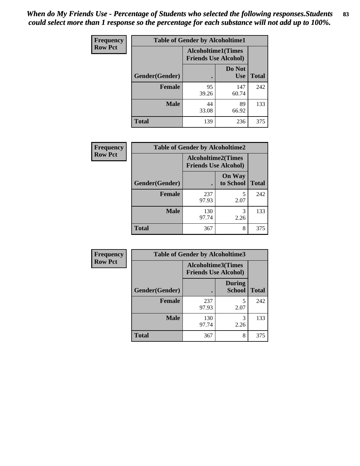| <b>Frequency</b> | <b>Table of Gender by Alcoholtime1</b> |                                                          |                      |              |
|------------------|----------------------------------------|----------------------------------------------------------|----------------------|--------------|
| <b>Row Pct</b>   |                                        | <b>Alcoholtime1(Times</b><br><b>Friends Use Alcohol)</b> |                      |              |
|                  | Gender(Gender)                         | $\bullet$                                                | Do Not<br><b>Use</b> | <b>Total</b> |
|                  | <b>Female</b>                          | 95<br>39.26                                              | 147<br>60.74         | 242          |
|                  | <b>Male</b>                            | 44<br>33.08                                              | 89<br>66.92          | 133          |
|                  | <b>Total</b>                           | 139                                                      | 236                  | 375          |

| <b>Frequency</b> | <b>Table of Gender by Alcoholtime2</b> |                                                          |                            |              |
|------------------|----------------------------------------|----------------------------------------------------------|----------------------------|--------------|
| <b>Row Pct</b>   |                                        | <b>Alcoholtime2(Times</b><br><b>Friends Use Alcohol)</b> |                            |              |
|                  | Gender(Gender)                         |                                                          | <b>On Way</b><br>to School | <b>Total</b> |
|                  | <b>Female</b>                          | 237<br>97.93                                             | 5<br>2.07                  | 242          |
|                  | <b>Male</b>                            | 130<br>97.74                                             | 3<br>2.26                  | 133          |
|                  | <b>Total</b>                           | 367                                                      | 8                          | 375          |

| Frequency      | <b>Table of Gender by Alcoholtime3</b> |                                                          |                                |              |
|----------------|----------------------------------------|----------------------------------------------------------|--------------------------------|--------------|
| <b>Row Pct</b> |                                        | <b>Alcoholtime3(Times</b><br><b>Friends Use Alcohol)</b> |                                |              |
|                | Gender(Gender)                         |                                                          | <b>During</b><br><b>School</b> | <b>Total</b> |
|                | <b>Female</b>                          | 237<br>97.93                                             | 5<br>2.07                      | 242          |
|                | <b>Male</b>                            | 130<br>97.74                                             | 3<br>2.26                      | 133          |
|                | <b>Total</b>                           | 367                                                      | 8                              | 375          |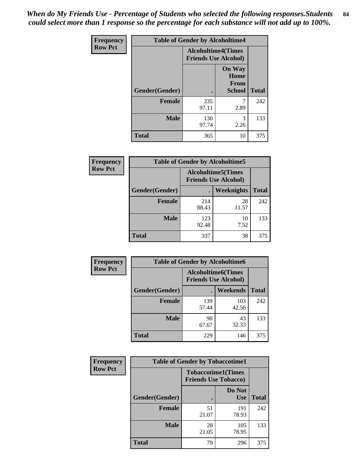*When do My Friends Use - Percentage of Students who selected the following responses.Students could select more than 1 response so the percentage for each substance will not add up to 100%.* **84**

| Frequency      | <b>Table of Gender by Alcoholtime4</b> |                                                          |                                                |              |
|----------------|----------------------------------------|----------------------------------------------------------|------------------------------------------------|--------------|
| <b>Row Pct</b> |                                        | <b>Alcoholtime4(Times</b><br><b>Friends Use Alcohol)</b> |                                                |              |
|                | Gender(Gender)                         |                                                          | <b>On Way</b><br>Home<br><b>From</b><br>School | <b>Total</b> |
|                | <b>Female</b>                          | 235<br>97.11                                             | 7<br>2.89                                      | 242          |
|                | <b>Male</b>                            | 130<br>97.74                                             | 3<br>2.26                                      | 133          |
|                | <b>Total</b>                           | 365                                                      | 10                                             | 375          |

| <b>Frequency</b> | <b>Table of Gender by Alcoholtime5</b> |              |                                                           |              |
|------------------|----------------------------------------|--------------|-----------------------------------------------------------|--------------|
| <b>Row Pct</b>   |                                        |              | <b>Alcoholtime5</b> (Times<br><b>Friends Use Alcohol)</b> |              |
|                  | Gender(Gender)                         |              | <b>Weeknights</b>                                         | <b>Total</b> |
|                  | <b>Female</b>                          | 214<br>88.43 | 28<br>11.57                                               | 242          |
|                  | <b>Male</b>                            | 123<br>92.48 | 10<br>7.52                                                | 133          |
|                  | <b>Total</b>                           | 337          | 38                                                        | 375          |

| <b>Frequency</b> | <b>Table of Gender by Alcoholtime6</b> |              |                                                           |              |  |
|------------------|----------------------------------------|--------------|-----------------------------------------------------------|--------------|--|
| <b>Row Pct</b>   |                                        |              | <b>Alcoholtime6</b> (Times<br><b>Friends Use Alcohol)</b> |              |  |
|                  | Gender(Gender)                         | $\bullet$    | Weekends                                                  | <b>Total</b> |  |
|                  | <b>Female</b>                          | 139<br>57.44 | 103<br>42.56                                              | 242          |  |
|                  | <b>Male</b>                            | 90<br>67.67  | 43<br>32.33                                               | 133          |  |
|                  | <b>Total</b>                           | 229          | 146                                                       | 375          |  |

| <b>Frequency</b> | <b>Table of Gender by Tobaccotime1</b> |                                                          |                      |              |
|------------------|----------------------------------------|----------------------------------------------------------|----------------------|--------------|
| <b>Row Pct</b>   |                                        | <b>Tobaccotime1(Times</b><br><b>Friends Use Tobacco)</b> |                      |              |
|                  | Gender(Gender)                         |                                                          | Do Not<br><b>Use</b> | <b>Total</b> |
|                  | <b>Female</b>                          | 51<br>21.07                                              | 191<br>78.93         | 242          |
|                  | <b>Male</b>                            | 28<br>21.05                                              | 105<br>78.95         | 133          |
|                  | <b>Total</b>                           | 79                                                       | 296                  | 375          |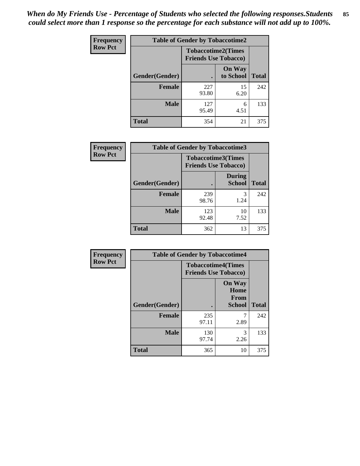*When do My Friends Use - Percentage of Students who selected the following responses.Students could select more than 1 response so the percentage for each substance will not add up to 100%.* **85**

| <b>Frequency</b> | <b>Table of Gender by Tobaccotime2</b> |                                                          |                            |              |
|------------------|----------------------------------------|----------------------------------------------------------|----------------------------|--------------|
| <b>Row Pct</b>   |                                        | <b>Tobaccotime2(Times</b><br><b>Friends Use Tobacco)</b> |                            |              |
|                  | Gender(Gender)                         | $\bullet$                                                | <b>On Way</b><br>to School | <b>Total</b> |
|                  | Female                                 | 227<br>93.80                                             | 15<br>6.20                 | 242          |
|                  | <b>Male</b>                            | 127<br>95.49                                             | 6<br>4.51                  | 133          |
|                  | <b>Total</b>                           | 354                                                      | 21                         | 375          |

| Frequency      | <b>Table of Gender by Tobaccotime3</b> |                             |                                |              |
|----------------|----------------------------------------|-----------------------------|--------------------------------|--------------|
| <b>Row Pct</b> |                                        | <b>Friends Use Tobacco)</b> | <b>Tobaccotime3(Times</b>      |              |
|                | Gender(Gender)                         |                             | <b>During</b><br><b>School</b> | <b>Total</b> |
|                | <b>Female</b>                          | 239<br>98.76                | 3<br>1.24                      | 242          |
|                | <b>Male</b>                            | 123<br>92.48                | 10<br>7.52                     | 133          |
|                | <b>Total</b>                           | 362                         | 13                             | 375          |

| <b>Frequency</b> | <b>Table of Gender by Tobaccotime4</b> |                                                          |                                                |              |
|------------------|----------------------------------------|----------------------------------------------------------|------------------------------------------------|--------------|
| <b>Row Pct</b>   |                                        | <b>Tobaccotime4(Times</b><br><b>Friends Use Tobacco)</b> |                                                |              |
|                  | Gender(Gender)                         |                                                          | <b>On Way</b><br>Home<br>From<br><b>School</b> | <b>Total</b> |
|                  | <b>Female</b>                          | 235<br>97.11                                             | 2.89                                           | 242          |
|                  | <b>Male</b>                            | 130<br>97.74                                             | 3<br>2.26                                      | 133          |
|                  | <b>Total</b>                           | 365                                                      | 10                                             | 375          |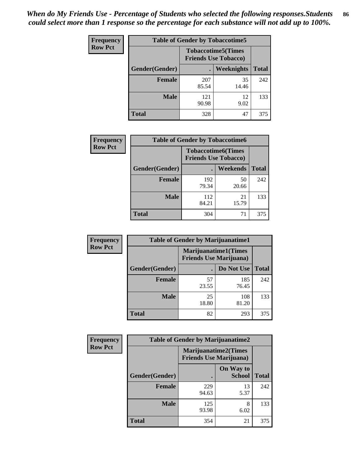| <b>Frequency</b> | <b>Table of Gender by Tobaccotime5</b> |              |                                                          |              |  |
|------------------|----------------------------------------|--------------|----------------------------------------------------------|--------------|--|
| <b>Row Pct</b>   |                                        |              | <b>Tobaccotime5(Times</b><br><b>Friends Use Tobacco)</b> |              |  |
|                  | <b>Gender</b> (Gender)                 |              | <b>Weeknights</b>                                        | <b>Total</b> |  |
|                  | <b>Female</b>                          | 207<br>85.54 | 35<br>14.46                                              | 242          |  |
|                  | <b>Male</b>                            | 121<br>90.98 | 12<br>9.02                                               | 133          |  |
|                  | Total                                  | 328          | 47                                                       | 375          |  |

| Frequency      | <b>Table of Gender by Tobaccotime6</b> |                                                          |                 |              |
|----------------|----------------------------------------|----------------------------------------------------------|-----------------|--------------|
| <b>Row Pct</b> |                                        | <b>Tobaccotime6(Times</b><br><b>Friends Use Tobacco)</b> |                 |              |
|                | Gender(Gender)                         |                                                          | <b>Weekends</b> | <b>Total</b> |
|                | Female                                 | 192<br>79.34                                             | 50<br>20.66     | 242          |
|                | <b>Male</b>                            | 112<br>84.21                                             | 21<br>15.79     | 133          |
|                | <b>Total</b>                           | 304                                                      | 71              | 375          |

| Frequency      | <b>Table of Gender by Marijuanatime1</b> |                                |                             |              |
|----------------|------------------------------------------|--------------------------------|-----------------------------|--------------|
| <b>Row Pct</b> |                                          | <b>Friends Use Marijuana</b> ) | <b>Marijuanatime1(Times</b> |              |
|                | Gender(Gender)                           |                                | Do Not Use                  | <b>Total</b> |
|                | <b>Female</b>                            | 57<br>23.55                    | 185<br>76.45                | 242          |
|                | <b>Male</b>                              | 25<br>18.80                    | 108<br>81.20                | 133          |
|                | <b>Total</b>                             | 82                             | 293                         | 375          |

| <b>Frequency</b> | <b>Table of Gender by Marijuanatime2</b> |                                                        |                            |              |
|------------------|------------------------------------------|--------------------------------------------------------|----------------------------|--------------|
| <b>Row Pct</b>   |                                          | Marijuanatime2(Times<br><b>Friends Use Marijuana</b> ) |                            |              |
|                  | Gender(Gender)                           |                                                        | On Way to<br><b>School</b> | <b>Total</b> |
|                  | <b>Female</b>                            | 229<br>94.63                                           | 13<br>5.37                 | 242          |
|                  | <b>Male</b>                              | 125<br>93.98                                           | 8<br>6.02                  | 133          |
|                  | <b>Total</b>                             | 354                                                    | 21                         | 375          |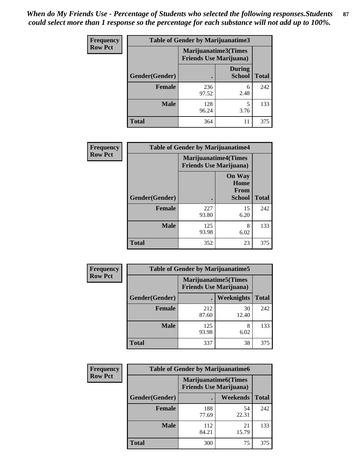*When do My Friends Use - Percentage of Students who selected the following responses.Students could select more than 1 response so the percentage for each substance will not add up to 100%.* **87**

| <b>Frequency</b> | Table of Gender by Marijuanatime3 |                                                        |                                |              |
|------------------|-----------------------------------|--------------------------------------------------------|--------------------------------|--------------|
| <b>Row Pct</b>   |                                   | Marijuanatime3(Times<br><b>Friends Use Marijuana</b> ) |                                |              |
|                  | Gender(Gender)                    |                                                        | <b>During</b><br><b>School</b> | <b>Total</b> |
|                  | <b>Female</b>                     | 236<br>97.52                                           | 6<br>2.48                      | 242          |
|                  | <b>Male</b>                       | 128<br>96.24                                           | 5<br>3.76                      | 133          |
|                  | <b>Total</b>                      | 364                                                    | 11                             | 375          |

| Frequency      | <b>Table of Gender by Marijuanatime4</b> |              |                                                                |              |
|----------------|------------------------------------------|--------------|----------------------------------------------------------------|--------------|
| <b>Row Pct</b> |                                          |              | <b>Marijuanatime4</b> (Times<br><b>Friends Use Marijuana</b> ) |              |
|                | <b>Gender</b> (Gender)                   |              | <b>On Way</b><br>Home<br><b>From</b><br><b>School</b>          | <b>Total</b> |
|                | <b>Female</b>                            | 227<br>93.80 | 15<br>6.20                                                     | 242          |
|                | <b>Male</b>                              | 125<br>93.98 | 8<br>6.02                                                      | 133          |
|                | <b>Total</b>                             | 352          | 23                                                             | 375          |

| Frequency      | <b>Table of Gender by Marijuanatime5</b> |              |                                                                |              |  |
|----------------|------------------------------------------|--------------|----------------------------------------------------------------|--------------|--|
| <b>Row Pct</b> |                                          |              | <b>Marijuanatime5</b> (Times<br><b>Friends Use Marijuana</b> ) |              |  |
|                | Gender(Gender)                           |              | <b>Weeknights</b>                                              | <b>Total</b> |  |
|                | <b>Female</b>                            | 212<br>87.60 | 30<br>12.40                                                    | 242          |  |
|                | <b>Male</b>                              | 125<br>93.98 | 8<br>6.02                                                      | 133          |  |
|                | <b>Total</b>                             | 337          | 38                                                             | 375          |  |

| Frequency      |                | <b>Table of Gender by Marijuanatime6</b>                      |                 |              |
|----------------|----------------|---------------------------------------------------------------|-----------------|--------------|
| <b>Row Pct</b> |                | <b>Marijuanatime6(Times</b><br><b>Friends Use Marijuana</b> ) |                 |              |
|                | Gender(Gender) |                                                               | <b>Weekends</b> | <b>Total</b> |
|                | <b>Female</b>  | 188<br>77.69                                                  | 54<br>22.31     | 242          |
|                | <b>Male</b>    | 112<br>84.21                                                  | 21<br>15.79     | 133          |
|                | <b>Total</b>   | 300                                                           | 75              | 375          |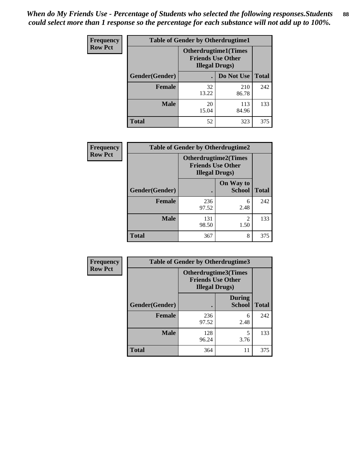| <b>Frequency</b> | <b>Table of Gender by Otherdrugtime1</b> |                                                                                    |              |              |
|------------------|------------------------------------------|------------------------------------------------------------------------------------|--------------|--------------|
| <b>Row Pct</b>   |                                          | <b>Otherdrugtime1</b> (Times<br><b>Friends Use Other</b><br><b>Illegal Drugs</b> ) |              |              |
|                  | Gender(Gender)                           |                                                                                    | Do Not Use   | <b>Total</b> |
|                  | <b>Female</b>                            | 32<br>13.22                                                                        | 210<br>86.78 | 242          |
|                  | <b>Male</b>                              | 20<br>15.04                                                                        | 113<br>84.96 | 133          |
|                  | <b>Total</b>                             | 52                                                                                 | 323          | 375          |

| Frequency      |                        | <b>Table of Gender by Otherdrugtime2</b>                                          |                            |              |
|----------------|------------------------|-----------------------------------------------------------------------------------|----------------------------|--------------|
| <b>Row Pct</b> |                        | <b>Otherdrugtime2(Times</b><br><b>Friends Use Other</b><br><b>Illegal Drugs</b> ) |                            |              |
|                | <b>Gender</b> (Gender) |                                                                                   | On Way to<br><b>School</b> | <b>Total</b> |
|                | <b>Female</b>          | 236<br>97.52                                                                      | 6<br>2.48                  | 242          |
|                | <b>Male</b>            | 131<br>98.50                                                                      | $\overline{2}$<br>1.50     | 133          |
|                | <b>Total</b>           | 367                                                                               | 8                          | 375          |

| <b>Frequency</b> |                | <b>Table of Gender by Otherdrugtime3</b> |                                                  |              |
|------------------|----------------|------------------------------------------|--------------------------------------------------|--------------|
| <b>Row Pct</b>   |                | <b>Illegal Drugs</b> )                   | Otherdrugtime3(Times<br><b>Friends Use Other</b> |              |
|                  | Gender(Gender) |                                          | <b>During</b><br><b>School</b>                   | <b>Total</b> |
|                  | <b>Female</b>  | 236<br>97.52                             | 6<br>2.48                                        | 242          |
|                  | <b>Male</b>    | 128<br>96.24                             | 5<br>3.76                                        | 133          |
|                  | <b>Total</b>   | 364                                      | 11                                               | 375          |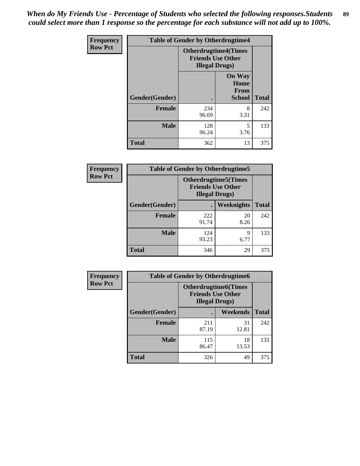*When do My Friends Use - Percentage of Students who selected the following responses.Students could select more than 1 response so the percentage for each substance will not add up to 100%.* **89**

| <b>Frequency</b> | <b>Table of Gender by Otherdrugtime4</b> |                        |                                                         |              |
|------------------|------------------------------------------|------------------------|---------------------------------------------------------|--------------|
| <b>Row Pct</b>   |                                          | <b>Illegal Drugs</b> ) | <b>Otherdrugtime4(Times</b><br><b>Friends Use Other</b> |              |
|                  | Gender(Gender)                           |                        | <b>On Way</b><br>Home<br><b>From</b><br><b>School</b>   | <b>Total</b> |
|                  | <b>Female</b>                            | 234<br>96.69           | 8<br>3.31                                               | 242          |
|                  | <b>Male</b>                              | 128<br>96.24           | 5<br>3.76                                               | 133          |
|                  | <b>Total</b>                             | 362                    | 13                                                      | 375          |

| <b>Frequency</b> | <b>Table of Gender by Otherdrugtime5</b> |              |                                                                                    |              |
|------------------|------------------------------------------|--------------|------------------------------------------------------------------------------------|--------------|
| <b>Row Pct</b>   |                                          |              | <b>Otherdrugtime5</b> (Times<br><b>Friends Use Other</b><br><b>Illegal Drugs</b> ) |              |
|                  | Gender(Gender)                           |              | Weeknights                                                                         | <b>Total</b> |
|                  | <b>Female</b>                            | 222<br>91.74 | 20<br>8.26                                                                         | 242          |
|                  | <b>Male</b>                              | 124<br>93.23 | 9<br>6.77                                                                          | 133          |
|                  | Total                                    | 346          | 29                                                                                 | 375          |

| <b>Frequency</b> |                | <b>Table of Gender by Otherdrugtime6</b>                                          |                 |              |
|------------------|----------------|-----------------------------------------------------------------------------------|-----------------|--------------|
| <b>Row Pct</b>   |                | <b>Otherdrugtime6(Times</b><br><b>Friends Use Other</b><br><b>Illegal Drugs</b> ) |                 |              |
|                  | Gender(Gender) |                                                                                   | <b>Weekends</b> | <b>Total</b> |
|                  | <b>Female</b>  | 211<br>87.19                                                                      | 31<br>12.81     | 242          |
|                  | <b>Male</b>    | 115<br>86.47                                                                      | 18<br>13.53     | 133          |
|                  | <b>Total</b>   | 326                                                                               | 49              | 375          |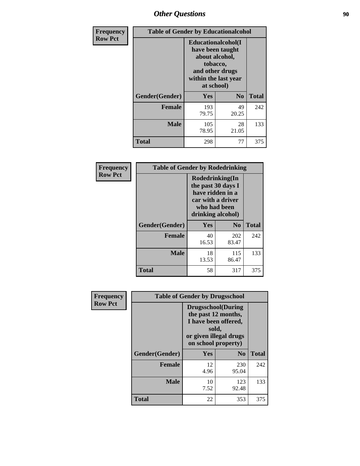### *Other Questions* **90**

| <b>Frequency</b> | <b>Table of Gender by Educationalcohol</b> |                                                                                                                                       |                |              |
|------------------|--------------------------------------------|---------------------------------------------------------------------------------------------------------------------------------------|----------------|--------------|
| <b>Row Pct</b>   |                                            | <b>Educationalcohol</b> (I<br>have been taught<br>about alcohol,<br>tobacco,<br>and other drugs<br>within the last year<br>at school) |                |              |
|                  | Gender(Gender)                             | <b>Yes</b>                                                                                                                            | N <sub>0</sub> | <b>Total</b> |
|                  | <b>Female</b>                              | 193<br>79.75                                                                                                                          | 49<br>20.25    | 242          |
|                  | <b>Male</b>                                | 105<br>78.95                                                                                                                          | 28<br>21.05    | 133          |
|                  | <b>Total</b>                               | 298                                                                                                                                   | 77             | 375          |

| Frequency<br><b>Row Pct</b> | <b>Table of Gender by Rodedrinking</b> |                                                                                                                     |                |              |
|-----------------------------|----------------------------------------|---------------------------------------------------------------------------------------------------------------------|----------------|--------------|
|                             |                                        | Rodedrinking(In<br>the past 30 days I<br>have ridden in a<br>car with a driver<br>who had been<br>drinking alcohol) |                |              |
|                             | Gender(Gender)                         | Yes                                                                                                                 | N <sub>0</sub> | <b>Total</b> |
|                             | <b>Female</b>                          | 40<br>16.53                                                                                                         | 202<br>83.47   | 242          |
|                             | <b>Male</b>                            | 18<br>13.53                                                                                                         | 115<br>86.47   | 133          |
|                             | <b>Total</b>                           | 58                                                                                                                  | 317            | 375          |

| Frequency      | <b>Table of Gender by Drugsschool</b> |                                                                                                                                     |                |              |  |
|----------------|---------------------------------------|-------------------------------------------------------------------------------------------------------------------------------------|----------------|--------------|--|
| <b>Row Pct</b> |                                       | <b>Drugsschool</b> (During<br>the past 12 months,<br>I have been offered,<br>sold,<br>or given illegal drugs<br>on school property) |                |              |  |
|                | Gender(Gender)                        | <b>Yes</b>                                                                                                                          | N <sub>0</sub> | <b>Total</b> |  |
|                | <b>Female</b>                         | 12<br>4.96                                                                                                                          | 230<br>95.04   | 242          |  |
|                | <b>Male</b>                           | 10<br>7.52                                                                                                                          | 123<br>92.48   | 133          |  |
|                | <b>Total</b>                          | 22                                                                                                                                  | 353            | 375          |  |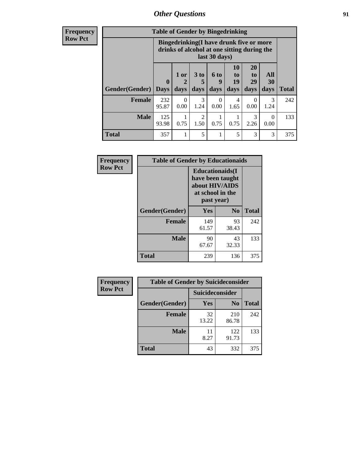### *Other Questions* **91**

**Frequency Row Pct**

| <b>Table of Gender by Bingedrinking</b> |                                                                                                         |              |                   |                   |                        |                               |                          |              |
|-----------------------------------------|---------------------------------------------------------------------------------------------------------|--------------|-------------------|-------------------|------------------------|-------------------------------|--------------------------|--------------|
|                                         | Bingedrinking(I have drunk five or more<br>drinks of alcohol at one sitting during the<br>last 30 days) |              |                   |                   |                        |                               |                          |              |
| <b>Gender</b> (Gender)                  | $\mathbf 0$<br><b>Days</b>                                                                              | 1 or<br>days | 3 to<br>5<br>days | 6 to<br>q<br>days | 10<br>to<br>19<br>days | <b>20</b><br>to<br>29<br>days | All<br><b>30</b><br>days | <b>Total</b> |
| <b>Female</b>                           | 232<br>95.87                                                                                            | 0<br>0.00    | 3<br>1.24         | 0<br>0.00         | 4<br>1.65              | 0<br>0.00                     | 3<br>1.24                | 242          |
| <b>Male</b>                             | 125<br>93.98                                                                                            | 0.75         | 2<br>1.50         | 0.75              | 0.75                   | 3<br>2.26                     | $\Omega$<br>0.00         | 133          |
| <b>Total</b>                            | 357                                                                                                     |              | 5                 |                   | 5                      | 3                             | 3                        | 375          |

| Frequency      | <b>Table of Gender by Educationaids</b> |                                                                                                 |                |              |  |
|----------------|-----------------------------------------|-------------------------------------------------------------------------------------------------|----------------|--------------|--|
| <b>Row Pct</b> |                                         | <b>Educationaids</b> (I<br>have been taught<br>about HIV/AIDS<br>at school in the<br>past year) |                |              |  |
|                | Gender(Gender)                          | Yes                                                                                             | $\mathbf{N_0}$ | <b>Total</b> |  |
|                | <b>Female</b>                           | 149<br>61.57                                                                                    | 93<br>38.43    | 242          |  |
|                | <b>Male</b>                             | 90<br>67.67                                                                                     | 43<br>32.33    | 133          |  |
|                | <b>Total</b>                            | 239                                                                                             | 136            | 375          |  |

| <b>Frequency</b> | <b>Table of Gender by Suicideconsider</b> |                 |                |              |  |
|------------------|-------------------------------------------|-----------------|----------------|--------------|--|
| <b>Row Pct</b>   |                                           | Suicideconsider |                |              |  |
|                  | Gender(Gender)                            | Yes             | N <sub>0</sub> | <b>Total</b> |  |
|                  | <b>Female</b>                             | 32<br>13.22     | 210<br>86.78   | 242          |  |
|                  | <b>Male</b>                               | 11<br>8.27      | 122<br>91.73   | 133          |  |
|                  | Total                                     | 43              | 332            | 375          |  |